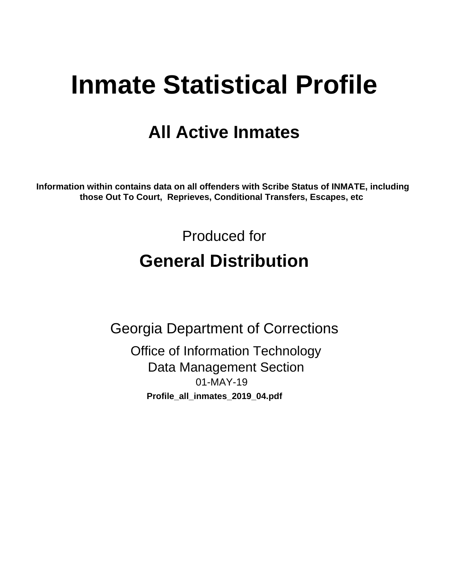# **Inmate Statistical Profile**

## **All Active Inmates**

Information within contains data on all offenders with Scribe Status of INMATE, including those Out To Court, Reprieves, Conditional Transfers, Escapes, etc

> Produced for **General Distribution**

**Georgia Department of Corrections** 

**Office of Information Technology Data Management Section** 01-MAY-19 Profile\_all\_inmates\_2019\_04.pdf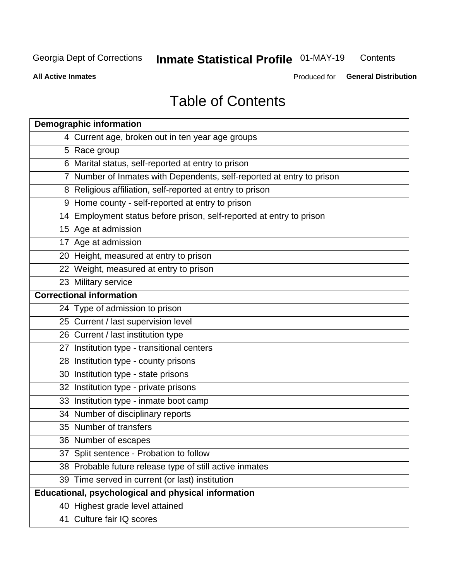#### **Inmate Statistical Profile 01-MAY-19** Contents

**All Active Inmates** 

Produced for General Distribution

## **Table of Contents**

| <b>Demographic information</b>                                        |
|-----------------------------------------------------------------------|
| 4 Current age, broken out in ten year age groups                      |
| 5 Race group                                                          |
| 6 Marital status, self-reported at entry to prison                    |
| 7 Number of Inmates with Dependents, self-reported at entry to prison |
| 8 Religious affiliation, self-reported at entry to prison             |
| 9 Home county - self-reported at entry to prison                      |
| 14 Employment status before prison, self-reported at entry to prison  |
| 15 Age at admission                                                   |
| 17 Age at admission                                                   |
| 20 Height, measured at entry to prison                                |
| 22 Weight, measured at entry to prison                                |
| 23 Military service                                                   |
| <b>Correctional information</b>                                       |
| 24 Type of admission to prison                                        |
| 25 Current / last supervision level                                   |
| 26 Current / last institution type                                    |
| 27 Institution type - transitional centers                            |
| 28 Institution type - county prisons                                  |
| 30 Institution type - state prisons                                   |
| 32 Institution type - private prisons                                 |
| 33 Institution type - inmate boot camp                                |
| 34 Number of disciplinary reports                                     |
| 35 Number of transfers                                                |
| 36 Number of escapes                                                  |
| 37 Split sentence - Probation to follow                               |
| 38 Probable future release type of still active inmates               |
| 39 Time served in current (or last) institution                       |
| Educational, psychological and physical information                   |
| 40 Highest grade level attained                                       |
| 41 Culture fair IQ scores                                             |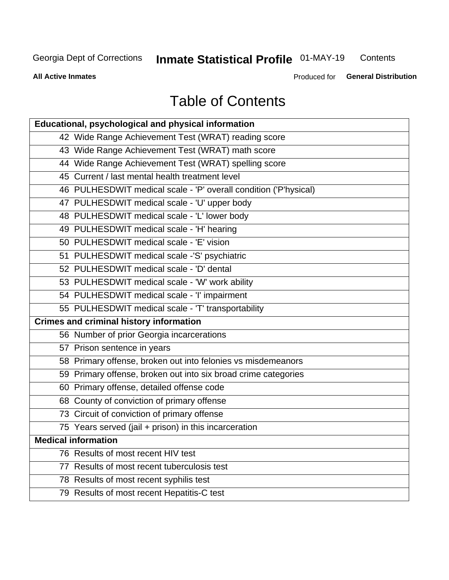## **Inmate Statistical Profile 01-MAY-19**

Contents

**All Active Inmates** 

Produced for General Distribution

## **Table of Contents**

| Educational, psychological and physical information              |
|------------------------------------------------------------------|
| 42 Wide Range Achievement Test (WRAT) reading score              |
| 43 Wide Range Achievement Test (WRAT) math score                 |
| 44 Wide Range Achievement Test (WRAT) spelling score             |
| 45 Current / last mental health treatment level                  |
| 46 PULHESDWIT medical scale - 'P' overall condition ('P'hysical) |
| 47 PULHESDWIT medical scale - 'U' upper body                     |
| 48 PULHESDWIT medical scale - 'L' lower body                     |
| 49 PULHESDWIT medical scale - 'H' hearing                        |
| 50 PULHESDWIT medical scale - 'E' vision                         |
| 51 PULHESDWIT medical scale -'S' psychiatric                     |
| 52 PULHESDWIT medical scale - 'D' dental                         |
| 53 PULHESDWIT medical scale - 'W' work ability                   |
| 54 PULHESDWIT medical scale - 'I' impairment                     |
| 55 PULHESDWIT medical scale - 'T' transportability               |
| <b>Crimes and criminal history information</b>                   |
| 56 Number of prior Georgia incarcerations                        |
| 57 Prison sentence in years                                      |
| 58 Primary offense, broken out into felonies vs misdemeanors     |
| 59 Primary offense, broken out into six broad crime categories   |
| 60 Primary offense, detailed offense code                        |
| 68 County of conviction of primary offense                       |
| 73 Circuit of conviction of primary offense                      |
| 75 Years served (jail + prison) in this incarceration            |
| <b>Medical information</b>                                       |
| 76 Results of most recent HIV test                               |
| 77 Results of most recent tuberculosis test                      |
| 78 Results of most recent syphilis test                          |
| 79 Results of most recent Hepatitis-C test                       |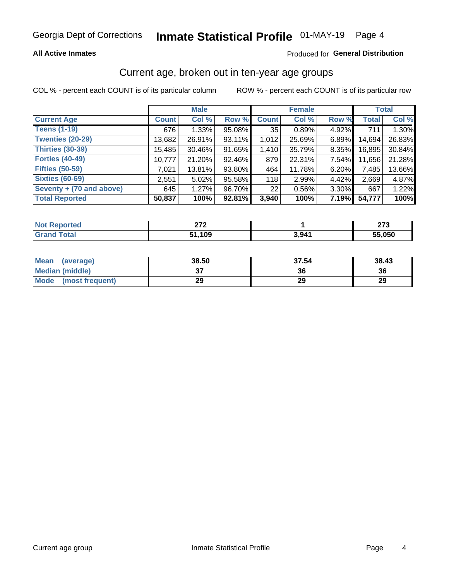## Inmate Statistical Profile 01-MAY-19 Page 4

### **All Active Inmates**

### Produced for General Distribution

## Current age, broken out in ten-year age groups

COL % - percent each COUNT is of its particular column

|                          |              | <b>Male</b> |        | <b>Female</b> |        |          | <b>Total</b> |        |
|--------------------------|--------------|-------------|--------|---------------|--------|----------|--------------|--------|
| <b>Current Age</b>       | <b>Count</b> | Col %       | Row %  | <b>Count</b>  | Col %  | Row %    | <b>Total</b> | Col %  |
| <b>Teens (1-19)</b>      | 676          | 1.33%       | 95.08% | 35            | 0.89%  | 4.92%    | 711          | 1.30%  |
| <b>Twenties (20-29)</b>  | 13,682       | 26.91%      | 93.11% | 1,012         | 25.69% | $6.89\%$ | 14,694       | 26.83% |
| <b>Thirties (30-39)</b>  | 15,485       | 30.46%      | 91.65% | 1,410         | 35.79% | $8.35\%$ | 16,895       | 30.84% |
| <b>Forties (40-49)</b>   | 10,777       | 21.20%      | 92.46% | 879           | 22.31% | 7.54%    | 11,656       | 21.28% |
| <b>Fifties (50-59)</b>   | 7,021        | 13.81%      | 93.80% | 464           | 11.78% | 6.20%    | 7,485        | 13.66% |
| <b>Sixties (60-69)</b>   | 2,551        | 5.02%       | 95.58% | 118           | 2.99%  | 4.42%    | 2,669        | 4.87%  |
| Seventy + (70 and above) | 645          | 1.27%       | 96.70% | 22            | 0.56%  | $3.30\%$ | 667          | 1.22%  |
| <b>Total Reported</b>    | 50,837       | 100%        | 92.81% | 3,940         | 100%   | 7.19%    | 54,777       | 100%   |

| <b>Not Reported</b> | 070<br><u>_</u> |       | $\sim$<br>21 J |
|---------------------|-----------------|-------|----------------|
| <b>Total</b>        | ,109            | 3,941 | 55,050         |

| <b>Mean</b><br>(average) | 38.50    | 37.54 | 38.43 |
|--------------------------|----------|-------|-------|
| Median (middle)          | ^<br>ا پ | 36    | 36    |
| Mode<br>(most frequent)  | 29       | 29    | 29    |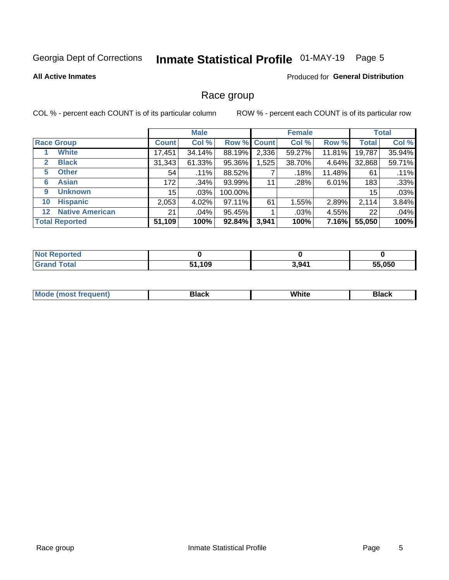## Inmate Statistical Profile 01-MAY-19 Page 5

#### **All Active Inmates**

### Produced for General Distribution

### Race group

COL % - percent each COUNT is of its particular column

|                                   |              | <b>Male</b> |         |             | <b>Female</b> |          |              | <b>Total</b> |  |
|-----------------------------------|--------------|-------------|---------|-------------|---------------|----------|--------------|--------------|--|
| <b>Race Group</b>                 | <b>Count</b> | Col %       |         | Row % Count | Col %         | Row %    | <b>Total</b> | Col %        |  |
| <b>White</b>                      | 17,451       | 34.14%      | 88.19%  | 2,336       | 59.27%        | 11.81%   | 19,787       | 35.94%       |  |
| <b>Black</b><br>2                 | 31,343       | 61.33%      | 95.36%  | .525        | 38.70%        | $4.64\%$ | 32,868       | 59.71%       |  |
| <b>Other</b><br>5                 | 54           | .11%        | 88.52%  |             | .18%          | 11.48%   | 61           | .11%         |  |
| <b>Asian</b><br>6                 | 172          | .34%        | 93.99%  | 11          | .28%          | 6.01%    | 183          | .33%         |  |
| <b>Unknown</b><br>9               | 15           | $.03\%$     | 100.00% |             |               |          | 15           | .03%         |  |
| <b>Hispanic</b><br>10             | 2,053        | 4.02%       | 97.11%  | 61          | 1.55%         | 2.89%    | 2,114        | 3.84%        |  |
| <b>Native American</b><br>$12 \,$ | 21           | .04%        | 95.45%  |             | .03%          | 4.55%    | 22           | .04%         |  |
| <b>Total Reported</b>             | 51,109       | 100%        | 92.84%  | 3,941       | 100%          | 7.16%    | 55,050       | 100%         |  |

| Reported<br><b>NOT</b> |              |       |        |
|------------------------|--------------|-------|--------|
| Total<br>'Grano        | 51,109<br>E4 | 3,941 | 55,050 |

| m | <br>w<br>$\sim$ $\sim$ $\sim$ $\sim$ |  |
|---|--------------------------------------|--|
|   |                                      |  |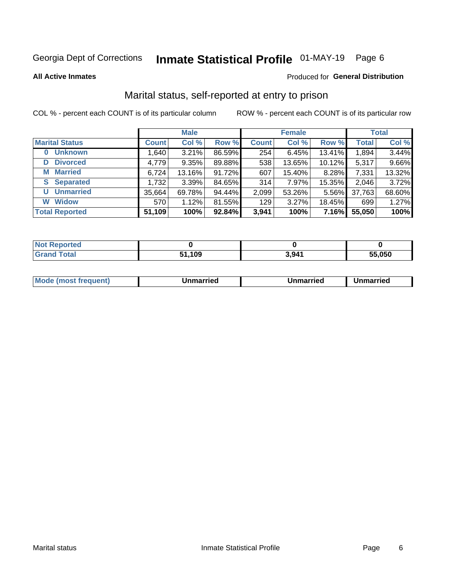## Inmate Statistical Profile 01-MAY-19 Page 6

**All Active Inmates** 

#### Produced for General Distribution

## Marital status, self-reported at entry to prison

COL % - percent each COUNT is of its particular column

|                            | <b>Male</b>  |        |        |                  | <b>Female</b> | <b>Total</b> |              |        |
|----------------------------|--------------|--------|--------|------------------|---------------|--------------|--------------|--------|
| <b>Marital Status</b>      | <b>Count</b> | Col %  | Row %  | <b>Count</b>     | Col %         | Row %        | <b>Total</b> | Col %  |
| <b>Unknown</b><br>$\bf{0}$ | 1,640        | 3.21%  | 86.59% | 254              | 6.45%         | 13.41%       | 1,894        | 3.44%  |
| <b>Divorced</b><br>D       | 4,779        | 9.35%  | 89.88% | 538              | 13.65%        | 10.12%       | 5,317        | 9.66%  |
| <b>Married</b><br>М        | 6,724        | 13.16% | 91.72% | 607              | 15.40%        | 8.28%        | 7,331        | 13.32% |
| <b>Separated</b><br>S.     | 1,732        | 3.39%  | 84.65% | 314              | 7.97%         | 15.35%       | 2,046        | 3.72%  |
| <b>Unmarried</b><br>U      | 35,664       | 69.78% | 94.44% | 2,099            | 53.26%        | 5.56%        | 37,763       | 68.60% |
| <b>Widow</b><br>W          | 570          | 1.12%  | 81.55% | 129 <sub>1</sub> | 3.27%         | 18.45%       | 699          | 1.27%  |
| <b>Total Reported</b>      | 51,109       | 100%   | 92.84% | 3,941            | 100%          | 7.16%        | 55,050       | 100%   |

| <b>orted</b><br>I NOT |      |       |        |
|-----------------------|------|-------|--------|
| $\sim$                | ,109 | 3,941 | 55.050 |

|--|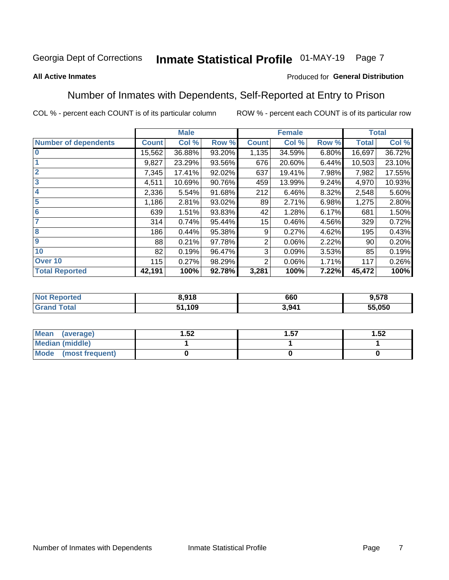#### Inmate Statistical Profile 01-MAY-19 Page 7

#### **All Active Inmates**

### Produced for General Distribution

## Number of Inmates with Dependents, Self-Reported at Entry to Prison

COL % - percent each COUNT is of its particular column

|                             |              | <b>Male</b> |        |              | <b>Female</b> |       |              | <b>Total</b> |
|-----------------------------|--------------|-------------|--------|--------------|---------------|-------|--------------|--------------|
| <b>Number of dependents</b> | <b>Count</b> | Col %       | Row %  | <b>Count</b> | Col %         | Row % | <b>Total</b> | Col %        |
| l 0                         | 15,562       | 36.88%      | 93.20% | 1,135        | 34.59%        | 6.80% | 16,697       | 36.72%       |
|                             | 9,827        | 23.29%      | 93.56% | 676          | 20.60%        | 6.44% | 10,503       | 23.10%       |
| $\overline{2}$              | 7,345        | 17.41%      | 92.02% | 637          | 19.41%        | 7.98% | 7,982        | 17.55%       |
| $\overline{\mathbf{3}}$     | 4,511        | 10.69%      | 90.76% | 459          | 13.99%        | 9.24% | 4,970        | 10.93%       |
| 4                           | 2,336        | 5.54%       | 91.68% | 212          | 6.46%         | 8.32% | 2,548        | 5.60%        |
| 5                           | 1,186        | 2.81%       | 93.02% | 89           | 2.71%         | 6.98% | 1,275        | 2.80%        |
| 6                           | 639          | 1.51%       | 93.83% | 42           | 1.28%         | 6.17% | 681          | 1.50%        |
| 7                           | 314          | 0.74%       | 95.44% | 15           | 0.46%         | 4.56% | 329          | 0.72%        |
| 8                           | 186          | 0.44%       | 95.38% | 9            | 0.27%         | 4.62% | 195          | 0.43%        |
| 9                           | 88           | 0.21%       | 97.78% | 2            | 0.06%         | 2.22% | 90           | 0.20%        |
| 10                          | 82           | 0.19%       | 96.47% | 3            | 0.09%         | 3.53% | 85           | 0.19%        |
| Over 10                     | 115          | 0.27%       | 98.29% | 2            | 0.06%         | 1.71% | 117          | 0.26%        |
| <b>Total Reported</b>       | 42,191       | 100%        | 92.78% | 3,281        | 100%          | 7.22% | 45,472       | 100%         |

| w. | 3.918  | 660   | 9,578  |
|----|--------|-------|--------|
|    | 51,109 | 3.941 | 55,050 |

| Mean (average)          | .52 | 57.، | 1.52 |
|-------------------------|-----|------|------|
| <b>Median (middle)</b>  |     |      |      |
| Mode<br>(most frequent) |     |      |      |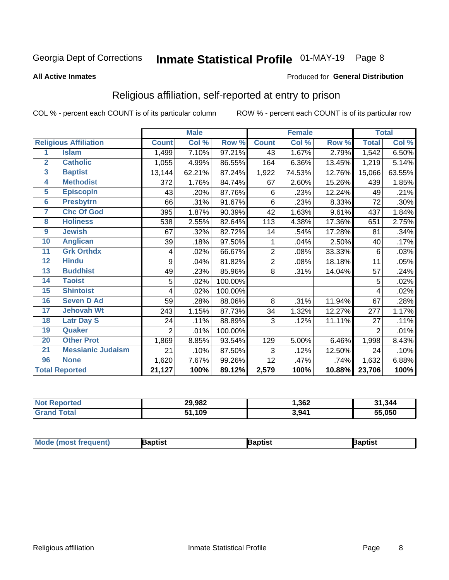## Inmate Statistical Profile 01-MAY-19 Page 8

#### **All Active Inmates**

#### Produced for General Distribution

## Religious affiliation, self-reported at entry to prison

COL % - percent each COUNT is of its particular column

|                         |                              |              | <b>Male</b> |         |                | <b>Female</b> |        |                     | <b>Total</b> |
|-------------------------|------------------------------|--------------|-------------|---------|----------------|---------------|--------|---------------------|--------------|
|                         | <b>Religious Affiliation</b> | <b>Count</b> | Col %       | Row %   | <b>Count</b>   | Col %         | Row %  | <b>Total</b>        | Col %        |
| 1                       | <b>Islam</b>                 | 1,499        | 7.10%       | 97.21%  | 43             | 1.67%         | 2.79%  | 1,542               | 6.50%        |
| $\mathbf{2}$            | <b>Catholic</b>              | 1,055        | 4.99%       | 86.55%  | 164            | 6.36%         | 13.45% | 1,219               | 5.14%        |
| $\overline{\mathbf{3}}$ | <b>Baptist</b>               | 13,144       | 62.21%      | 87.24%  | 1,922          | 74.53%        | 12.76% | 15,066              | 63.55%       |
| 4                       | <b>Methodist</b>             | 372          | 1.76%       | 84.74%  | 67             | 2.60%         | 15.26% | 439                 | 1.85%        |
| $\overline{5}$          | <b>EpiscopIn</b>             | 43           | .20%        | 87.76%  | 6              | .23%          | 12.24% | 49                  | .21%         |
| $6\phantom{1}6$         | <b>Presbytrn</b>             | 66           | .31%        | 91.67%  | 6              | .23%          | 8.33%  | 72                  | .30%         |
| 7                       | <b>Chc Of God</b>            | 395          | 1.87%       | 90.39%  | 42             | 1.63%         | 9.61%  | 437                 | 1.84%        |
| 8                       | <b>Holiness</b>              | 538          | 2.55%       | 82.64%  | 113            | 4.38%         | 17.36% | 651                 | 2.75%        |
| 9                       | <b>Jewish</b>                | 67           | .32%        | 82.72%  | 14             | .54%          | 17.28% | 81                  | .34%         |
| 10                      | <b>Anglican</b>              | 39           | .18%        | 97.50%  | 1              | .04%          | 2.50%  | 40                  | .17%         |
| 11                      | <b>Grk Orthdx</b>            | 4            | .02%        | 66.67%  | $\overline{2}$ | .08%          | 33.33% | 6                   | .03%         |
| 12                      | <b>Hindu</b>                 | 9            | .04%        | 81.82%  | $\overline{2}$ | .08%          | 18.18% | 11                  | .05%         |
| 13                      | <b>Buddhist</b>              | 49           | .23%        | 85.96%  | 8              | .31%          | 14.04% | 57                  | .24%         |
| 14                      | <b>Taoist</b>                | 5            | .02%        | 100.00% |                |               |        | 5                   | .02%         |
| 15                      | <b>Shintoist</b>             | 4            | .02%        | 100.00% |                |               |        | 4                   | .02%         |
| 16                      | <b>Seven D Ad</b>            | 59           | .28%        | 88.06%  | 8              | .31%          | 11.94% | 67                  | .28%         |
| 17                      | <b>Jehovah Wt</b>            | 243          | 1.15%       | 87.73%  | 34             | 1.32%         | 12.27% | 277                 | 1.17%        |
| 18                      | <b>Latr Day S</b>            | 24           | .11%        | 88.89%  | 3              | .12%          | 11.11% | 27                  | .11%         |
| 19                      | Quaker                       | 2            | .01%        | 100.00% |                |               |        | $\overline{2}$      | .01%         |
| 20                      | <b>Other Prot</b>            | 1,869        | 8.85%       | 93.54%  | 129            | 5.00%         | 6.46%  | 1,998               | 8.43%        |
| 21                      | <b>Messianic Judaism</b>     | 21           | .10%        | 87.50%  | 3              | .12%          | 12.50% | 24                  | .10%         |
| 96                      | <b>None</b>                  | 1,620        | 7.67%       | 99.26%  | 12             | .47%          | .74%   | 1,632               | 6.88%        |
|                         | <b>Total Reported</b>        | 21,127       | 100%        | 89.12%  | 2,579          | 100%          | 10.88% | $\overline{23,706}$ | 100%         |

| orted | 29,982      | ,362  | 31,344       |
|-------|-------------|-------|--------------|
| ſotal | 1,109<br>51 | 3,941 | 55.050<br>55 |

| <b>Mode (most frequent)</b> | <b>Japtist</b> | Baptist | Baptist |
|-----------------------------|----------------|---------|---------|
|-----------------------------|----------------|---------|---------|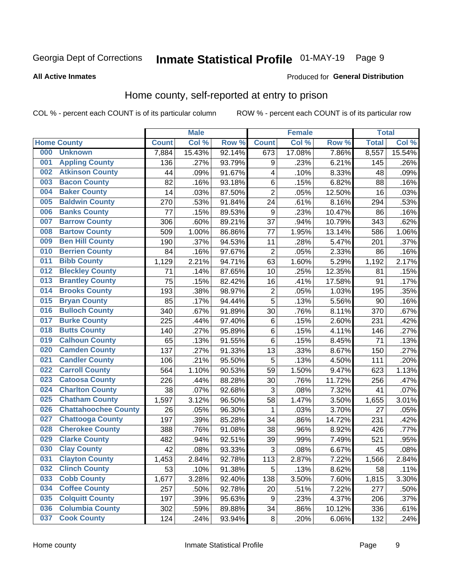## Inmate Statistical Profile 01-MAY-19 Page 9

#### **All Active Inmates**

#### Produced for General Distribution

## Home county, self-reported at entry to prison

COL % - percent each COUNT is of its particular column

|     |                             |              | <b>Male</b> |        |                  | <b>Female</b> |        | <b>Total</b> |        |
|-----|-----------------------------|--------------|-------------|--------|------------------|---------------|--------|--------------|--------|
|     | <b>Home County</b>          | <b>Count</b> | Col %       | Row %  | <b>Count</b>     | Col %         | Row %  | <b>Total</b> | Col %  |
| 000 | <b>Unknown</b>              | 7,884        | 15.43%      | 92.14% | 673              | 17.08%        | 7.86%  | 8,557        | 15.54% |
| 001 | <b>Appling County</b>       | 136          | .27%        | 93.79% | 9                | .23%          | 6.21%  | 145          | .26%   |
| 002 | <b>Atkinson County</b>      | 44           | .09%        | 91.67% | 4                | .10%          | 8.33%  | 48           | .09%   |
| 003 | <b>Bacon County</b>         | 82           | .16%        | 93.18% | $\,6$            | .15%          | 6.82%  | 88           | .16%   |
| 004 | <b>Baker County</b>         | 14           | .03%        | 87.50% | $\overline{2}$   | .05%          | 12.50% | 16           | .03%   |
| 005 | <b>Baldwin County</b>       | 270          | .53%        | 91.84% | 24               | .61%          | 8.16%  | 294          | .53%   |
| 006 | <b>Banks County</b>         | 77           | .15%        | 89.53% | $\boldsymbol{9}$ | .23%          | 10.47% | 86           | .16%   |
| 007 | <b>Barrow County</b>        | 306          | .60%        | 89.21% | 37               | .94%          | 10.79% | 343          | .62%   |
| 008 | <b>Bartow County</b>        | 509          | 1.00%       | 86.86% | 77               | 1.95%         | 13.14% | 586          | 1.06%  |
| 009 | <b>Ben Hill County</b>      | 190          | .37%        | 94.53% | 11               | .28%          | 5.47%  | 201          | .37%   |
| 010 | <b>Berrien County</b>       | 84           | .16%        | 97.67% | $\overline{c}$   | .05%          | 2.33%  | 86           | .16%   |
| 011 | <b>Bibb County</b>          | 1,129        | 2.21%       | 94.71% | 63               | 1.60%         | 5.29%  | 1,192        | 2.17%  |
| 012 | <b>Bleckley County</b>      | 71           | .14%        | 87.65% | 10               | .25%          | 12.35% | 81           | .15%   |
| 013 | <b>Brantley County</b>      | 75           | .15%        | 82.42% | 16               | .41%          | 17.58% | 91           | .17%   |
| 014 | <b>Brooks County</b>        | 193          | .38%        | 98.97% | $\overline{2}$   | .05%          | 1.03%  | 195          | .35%   |
| 015 | <b>Bryan County</b>         | 85           | .17%        | 94.44% | 5                | .13%          | 5.56%  | 90           | .16%   |
| 016 | <b>Bulloch County</b>       | 340          | .67%        | 91.89% | 30               | .76%          | 8.11%  | 370          | .67%   |
| 017 | <b>Burke County</b>         | 225          | .44%        | 97.40% | $\,6$            | .15%          | 2.60%  | 231          | .42%   |
| 018 | <b>Butts County</b>         | 140          | .27%        | 95.89% | $\,6$            | .15%          | 4.11%  | 146          | .27%   |
| 019 | <b>Calhoun County</b>       | 65           | .13%        | 91.55% | 6                | .15%          | 8.45%  | 71           | .13%   |
| 020 | <b>Camden County</b>        | 137          | .27%        | 91.33% | 13               | .33%          | 8.67%  | 150          | .27%   |
| 021 | <b>Candler County</b>       | 106          | .21%        | 95.50% | 5                | .13%          | 4.50%  | 111          | .20%   |
| 022 | <b>Carroll County</b>       | 564          | 1.10%       | 90.53% | 59               | 1.50%         | 9.47%  | 623          | 1.13%  |
| 023 | <b>Catoosa County</b>       | 226          | .44%        | 88.28% | 30               | .76%          | 11.72% | 256          | .47%   |
| 024 | <b>Charlton County</b>      | 38           | .07%        | 92.68% | 3                | .08%          | 7.32%  | 41           | .07%   |
| 025 | <b>Chatham County</b>       | 1,597        | 3.12%       | 96.50% | 58               | 1.47%         | 3.50%  | 1,655        | 3.01%  |
| 026 | <b>Chattahoochee County</b> | 26           | .05%        | 96.30% | $\mathbf{1}$     | .03%          | 3.70%  | 27           | .05%   |
| 027 | <b>Chattooga County</b>     | 197          | .39%        | 85.28% | 34               | .86%          | 14.72% | 231          | .42%   |
| 028 | <b>Cherokee County</b>      | 388          | .76%        | 91.08% | 38               | .96%          | 8.92%  | 426          | .77%   |
| 029 | <b>Clarke County</b>        | 482          | .94%        | 92.51% | 39               | .99%          | 7.49%  | 521          | .95%   |
| 030 | <b>Clay County</b>          | 42           | .08%        | 93.33% | $\mathbf{3}$     | .08%          | 6.67%  | 45           | .08%   |
| 031 | <b>Clayton County</b>       | 1,453        | 2.84%       | 92.78% | 113              | 2.87%         | 7.22%  | 1,566        | 2.84%  |
| 032 | <b>Clinch County</b>        | 53           | .10%        | 91.38% | 5                | .13%          | 8.62%  | 58           | .11%   |
| 033 | <b>Cobb County</b>          | 1,677        | 3.28%       | 92.40% | 138              | 3.50%         | 7.60%  | 1,815        | 3.30%  |
| 034 | <b>Coffee County</b>        | 257          | .50%        | 92.78% | 20               | .51%          | 7.22%  | 277          | .50%   |
| 035 | <b>Colquitt County</b>      | 197          | .39%        | 95.63% | 9                | .23%          | 4.37%  | 206          | .37%   |
| 036 | <b>Columbia County</b>      | 302          | .59%        | 89.88% | 34               | .86%          | 10.12% | 336          | .61%   |
| 037 | <b>Cook County</b>          | 124          | .24%        | 93.94% | $\bf 8$          | .20%          | 6.06%  | 132          | .24%   |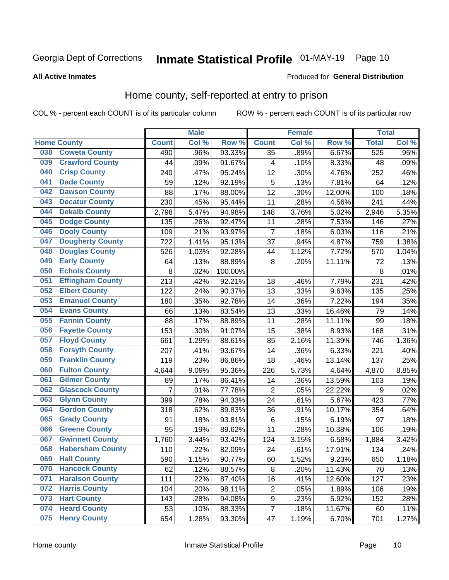## Inmate Statistical Profile 01-MAY-19 Page 10

### **All Active Inmates**

### Produced for General Distribution

### Home county, self-reported at entry to prison

COL % - percent each COUNT is of its particular column

|     |                         |                    | <b>Male</b> |         |                         | <b>Female</b> |        | <b>Total</b> |       |
|-----|-------------------------|--------------------|-------------|---------|-------------------------|---------------|--------|--------------|-------|
|     | <b>Home County</b>      | <b>Count</b>       | Col%        | Row %   | <b>Count</b>            | Col %         | Row %  | <b>Total</b> | Col % |
| 038 | <b>Coweta County</b>    | 490                | .96%        | 93.33%  | $\overline{35}$         | .89%          | 6.67%  | 525          | .95%  |
| 039 | <b>Crawford County</b>  | 44                 | .09%        | 91.67%  | 4                       | .10%          | 8.33%  | 48           | .09%  |
| 040 | <b>Crisp County</b>     | 240                | .47%        | 95.24%  | 12                      | .30%          | 4.76%  | 252          | .46%  |
| 041 | <b>Dade County</b>      | 59                 | .12%        | 92.19%  | 5                       | .13%          | 7.81%  | 64           | .12%  |
| 042 | <b>Dawson County</b>    | 88                 | .17%        | 88.00%  | 12                      | .30%          | 12.00% | 100          | .18%  |
| 043 | <b>Decatur County</b>   | 230                | .45%        | 95.44%  | 11                      | .28%          | 4.56%  | 241          | .44%  |
| 044 | <b>Dekalb County</b>    | 2,798              | 5.47%       | 94.98%  | 148                     | 3.76%         | 5.02%  | 2,946        | 5.35% |
| 045 | <b>Dodge County</b>     | 135                | .26%        | 92.47%  | 11                      | .28%          | 7.53%  | 146          | .27%  |
| 046 | <b>Dooly County</b>     | 109                | .21%        | 93.97%  | $\overline{7}$          | .18%          | 6.03%  | 116          | .21%  |
| 047 | <b>Dougherty County</b> | 722                | 1.41%       | 95.13%  | 37                      | .94%          | 4.87%  | 759          | 1.38% |
| 048 | <b>Douglas County</b>   | 526                | 1.03%       | 92.28%  | 44                      | 1.12%         | 7.72%  | 570          | 1.04% |
| 049 | <b>Early County</b>     | 64                 | .13%        | 88.89%  | 8                       | .20%          | 11.11% | 72           | .13%  |
| 050 | <b>Echols County</b>    | 8                  | .02%        | 100.00% |                         |               |        | 8            | .01%  |
| 051 | <b>Effingham County</b> | 213                | .42%        | 92.21%  | 18                      | .46%          | 7.79%  | 231          | .42%  |
| 052 | <b>Elbert County</b>    | 122                | .24%        | 90.37%  | 13                      | .33%          | 9.63%  | 135          | .25%  |
| 053 | <b>Emanuel County</b>   | 180                | .35%        | 92.78%  | 14                      | .36%          | 7.22%  | 194          | .35%  |
| 054 | <b>Evans County</b>     | 66                 | .13%        | 83.54%  | 13                      | .33%          | 16.46% | 79           | .14%  |
| 055 | <b>Fannin County</b>    | 88                 | .17%        | 88.89%  | 11                      | .28%          | 11.11% | 99           | .18%  |
| 056 | <b>Fayette County</b>   | 153                | .30%        | 91.07%  | 15                      | .38%          | 8.93%  | 168          | .31%  |
| 057 | <b>Floyd County</b>     | 661                | 1.29%       | 88.61%  | 85                      | 2.16%         | 11.39% | 746          | 1.36% |
| 058 | <b>Forsyth County</b>   | 207                | .41%        | 93.67%  | 14                      | .36%          | 6.33%  | 221          | .40%  |
| 059 | <b>Franklin County</b>  | 119                | .23%        | 86.86%  | 18                      | .46%          | 13.14% | 137          | .25%  |
| 060 | <b>Fulton County</b>    | 4,644              | 9.09%       | 95.36%  | 226                     | 5.73%         | 4.64%  | 4,870        | 8.85% |
| 061 | <b>Gilmer County</b>    | 89                 | .17%        | 86.41%  | 14                      | .36%          | 13.59% | 103          | .19%  |
| 062 | <b>Glascock County</b>  | $\overline{7}$     | .01%        | 77.78%  | $\overline{2}$          | .05%          | 22.22% | 9            | .02%  |
| 063 | <b>Glynn County</b>     | 399                | .78%        | 94.33%  | 24                      | .61%          | 5.67%  | 423          | .77%  |
| 064 | <b>Gordon County</b>    | 318                | .62%        | 89.83%  | 36                      | .91%          | 10.17% | 354          | .64%  |
| 065 | <b>Grady County</b>     | 91                 | .18%        | 93.81%  | $\,6$                   | .15%          | 6.19%  | 97           | .18%  |
| 066 | <b>Greene County</b>    | 95                 | .19%        | 89.62%  | 11                      | .28%          | 10.38% | 106          | .19%  |
| 067 | <b>Gwinnett County</b>  | $\overline{1,760}$ | 3.44%       | 93.42%  | 124                     | 3.15%         | 6.58%  | 1,884        | 3.42% |
| 068 | <b>Habersham County</b> | 110                | .22%        | 82.09%  | 24                      | .61%          | 17.91% | 134          | .24%  |
| 069 | <b>Hall County</b>      | 590                | 1.15%       | 90.77%  | 60                      | 1.52%         | 9.23%  | 650          | 1.18% |
| 070 | <b>Hancock County</b>   | 62                 | .12%        | 88.57%  | 8                       | .20%          | 11.43% | 70           | .13%  |
| 071 | <b>Haralson County</b>  | 111                | .22%        | 87.40%  | 16                      | .41%          | 12.60% | 127          | .23%  |
| 072 | <b>Harris County</b>    | 104                | .20%        | 98.11%  | $\overline{\mathbf{c}}$ | .05%          | 1.89%  | 106          | .19%  |
| 073 | <b>Hart County</b>      | 143                | .28%        | 94.08%  | 9                       | .23%          | 5.92%  | 152          | .28%  |
| 074 | <b>Heard County</b>     | 53                 | .10%        | 88.33%  | $\overline{7}$          | .18%          | 11.67% | 60           | .11%  |
| 075 | <b>Henry County</b>     | 654                | 1.28%       | 93.30%  | 47                      | 1.19%         | 6.70%  | 701          | 1.27% |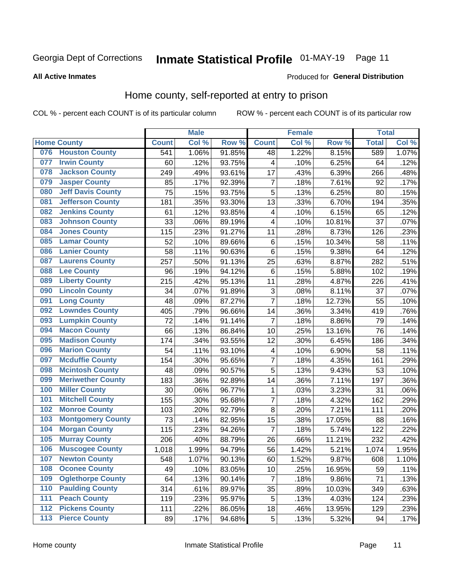## Inmate Statistical Profile 01-MAY-19 Page 11

#### **All Active Inmates**

### Produced for General Distribution

### Home county, self-reported at entry to prison

COL % - percent each COUNT is of its particular column

|     |                          |              | <b>Male</b> |                  |                         | <b>Female</b> |        | <b>Total</b> |       |
|-----|--------------------------|--------------|-------------|------------------|-------------------------|---------------|--------|--------------|-------|
|     | <b>Home County</b>       | <b>Count</b> | Col %       | Row <sup>%</sup> | <b>Count</b>            | Col %         | Row %  | <b>Total</b> | Col % |
|     | 076 Houston County       | 541          | 1.06%       | 91.85%           | 48                      | 1.22%         | 8.15%  | 589          | 1.07% |
| 077 | <b>Irwin County</b>      | 60           | .12%        | 93.75%           | 4                       | .10%          | 6.25%  | 64           | .12%  |
| 078 | <b>Jackson County</b>    | 249          | .49%        | 93.61%           | 17                      | .43%          | 6.39%  | 266          | .48%  |
| 079 | <b>Jasper County</b>     | 85           | .17%        | 92.39%           | $\overline{7}$          | .18%          | 7.61%  | 92           | .17%  |
| 080 | <b>Jeff Davis County</b> | 75           | .15%        | 93.75%           | 5                       | .13%          | 6.25%  | 80           | .15%  |
| 081 | <b>Jefferson County</b>  | 181          | .35%        | 93.30%           | 13                      | .33%          | 6.70%  | 194          | .35%  |
| 082 | <b>Jenkins County</b>    | 61           | .12%        | 93.85%           | 4                       | .10%          | 6.15%  | 65           | .12%  |
| 083 | <b>Johnson County</b>    | 33           | .06%        | 89.19%           | $\overline{\mathbf{4}}$ | .10%          | 10.81% | 37           | .07%  |
| 084 | <b>Jones County</b>      | 115          | .23%        | 91.27%           | 11                      | .28%          | 8.73%  | 126          | .23%  |
| 085 | <b>Lamar County</b>      | 52           | .10%        | 89.66%           | $\,6$                   | .15%          | 10.34% | 58           | .11%  |
| 086 | <b>Lanier County</b>     | 58           | .11%        | 90.63%           | $\,6$                   | .15%          | 9.38%  | 64           | .12%  |
| 087 | <b>Laurens County</b>    | 257          | .50%        | 91.13%           | 25                      | .63%          | 8.87%  | 282          | .51%  |
| 088 | <b>Lee County</b>        | 96           | .19%        | 94.12%           | $\,6$                   | .15%          | 5.88%  | 102          | .19%  |
| 089 | <b>Liberty County</b>    | 215          | .42%        | 95.13%           | 11                      | .28%          | 4.87%  | 226          | .41%  |
| 090 | <b>Lincoln County</b>    | 34           | .07%        | 91.89%           | 3                       | .08%          | 8.11%  | 37           | .07%  |
| 091 | <b>Long County</b>       | 48           | .09%        | 87.27%           | $\overline{7}$          | .18%          | 12.73% | 55           | .10%  |
| 092 | <b>Lowndes County</b>    | 405          | .79%        | 96.66%           | 14                      | .36%          | 3.34%  | 419          | .76%  |
| 093 | <b>Lumpkin County</b>    | 72           | .14%        | 91.14%           | $\overline{7}$          | .18%          | 8.86%  | 79           | .14%  |
| 094 | <b>Macon County</b>      | 66           | .13%        | 86.84%           | 10                      | .25%          | 13.16% | 76           | .14%  |
| 095 | <b>Madison County</b>    | 174          | .34%        | 93.55%           | 12                      | .30%          | 6.45%  | 186          | .34%  |
| 096 | <b>Marion County</b>     | 54           | .11%        | 93.10%           | $\overline{\mathbf{4}}$ | .10%          | 6.90%  | 58           | .11%  |
| 097 | <b>Mcduffie County</b>   | 154          | .30%        | 95.65%           | $\overline{7}$          | .18%          | 4.35%  | 161          | .29%  |
| 098 | <b>Mcintosh County</b>   | 48           | .09%        | 90.57%           | $\overline{5}$          | .13%          | 9.43%  | 53           | .10%  |
| 099 | <b>Meriwether County</b> | 183          | .36%        | 92.89%           | 14                      | .36%          | 7.11%  | 197          | .36%  |
| 100 | <b>Miller County</b>     | 30           | .06%        | 96.77%           | 1                       | .03%          | 3.23%  | 31           | .06%  |
| 101 | <b>Mitchell County</b>   | 155          | .30%        | 95.68%           | $\overline{7}$          | .18%          | 4.32%  | 162          | .29%  |
| 102 | <b>Monroe County</b>     | 103          | .20%        | 92.79%           | 8                       | .20%          | 7.21%  | 111          | .20%  |
| 103 | <b>Montgomery County</b> | 73           | .14%        | 82.95%           | 15                      | .38%          | 17.05% | 88           | .16%  |
| 104 | <b>Morgan County</b>     | 115          | .23%        | 94.26%           | $\overline{7}$          | .18%          | 5.74%  | 122          | .22%  |
| 105 | <b>Murray County</b>     | 206          | .40%        | 88.79%           | 26                      | .66%          | 11.21% | 232          | .42%  |
| 106 | <b>Muscogee County</b>   | 1,018        | 1.99%       | 94.79%           | 56                      | 1.42%         | 5.21%  | 1,074        | 1.95% |
| 107 | <b>Newton County</b>     | 548          | 1.07%       | 90.13%           | 60                      | 1.52%         | 9.87%  | 608          | 1.10% |
| 108 | <b>Oconee County</b>     | 49           | .10%        | 83.05%           | 10                      | .25%          | 16.95% | 59           | .11%  |
| 109 | <b>Oglethorpe County</b> | 64           | .13%        | 90.14%           | $\overline{7}$          | .18%          | 9.86%  | 71           | .13%  |
| 110 | <b>Paulding County</b>   | 314          | .61%        | 89.97%           | 35                      | .89%          | 10.03% | 349          | .63%  |
| 111 | <b>Peach County</b>      | 119          | .23%        | 95.97%           | 5                       | .13%          | 4.03%  | 124          | .23%  |
| 112 | <b>Pickens County</b>    | 111          | .22%        | 86.05%           | 18                      | .46%          | 13.95% | 129          | .23%  |
| 113 | <b>Pierce County</b>     | 89           | .17%        | 94.68%           | $\sqrt{5}$              | .13%          | 5.32%  | 94           | .17%  |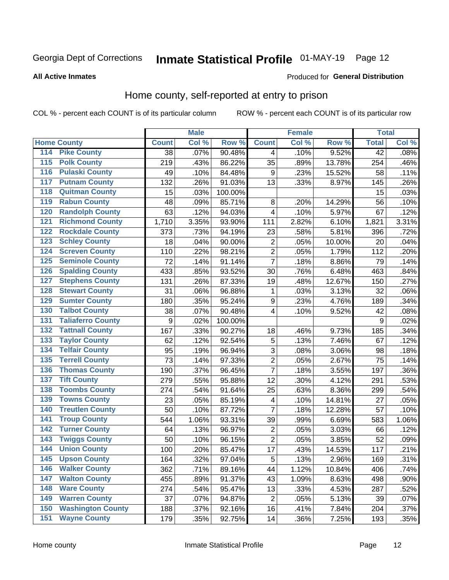## Inmate Statistical Profile 01-MAY-19 Page 12

#### **All Active Inmates**

#### Produced for General Distribution

### Home county, self-reported at entry to prison

COL % - percent each COUNT is of its particular column

|                    |                          |              | <b>Male</b> |         |                  | <b>Female</b> |        | <b>Total</b>    |       |
|--------------------|--------------------------|--------------|-------------|---------|------------------|---------------|--------|-----------------|-------|
| <b>Home County</b> |                          | <b>Count</b> | Col %       | Row %   | <b>Count</b>     | Col %         | Row %  | <b>Total</b>    | Col % |
| 114                | <b>Pike County</b>       | 38           | .07%        | 90.48%  | 4                | .10%          | 9.52%  | $\overline{42}$ | .08%  |
| 115                | <b>Polk County</b>       | 219          | .43%        | 86.22%  | 35               | .89%          | 13.78% | 254             | .46%  |
| 116                | <b>Pulaski County</b>    | 49           | .10%        | 84.48%  | 9                | .23%          | 15.52% | 58              | .11%  |
| 117                | <b>Putnam County</b>     | 132          | .26%        | 91.03%  | 13               | .33%          | 8.97%  | 145             | .26%  |
| 118                | <b>Quitman County</b>    | 15           | .03%        | 100.00% |                  |               |        | 15              | .03%  |
| 119                | <b>Rabun County</b>      | 48           | .09%        | 85.71%  | 8                | .20%          | 14.29% | 56              | .10%  |
| 120                | <b>Randolph County</b>   | 63           | .12%        | 94.03%  | 4                | .10%          | 5.97%  | 67              | .12%  |
| 121                | <b>Richmond County</b>   | 1,710        | 3.35%       | 93.90%  | 111              | 2.82%         | 6.10%  | 1,821           | 3.31% |
| 122                | <b>Rockdale County</b>   | 373          | .73%        | 94.19%  | 23               | .58%          | 5.81%  | 396             | .72%  |
| 123                | <b>Schley County</b>     | 18           | .04%        | 90.00%  | $\overline{2}$   | .05%          | 10.00% | 20              | .04%  |
| 124                | <b>Screven County</b>    | 110          | .22%        | 98.21%  | $\overline{2}$   | .05%          | 1.79%  | 112             | .20%  |
| 125                | <b>Seminole County</b>   | 72           | .14%        | 91.14%  | $\overline{7}$   | .18%          | 8.86%  | 79              | .14%  |
| 126                | <b>Spalding County</b>   | 433          | .85%        | 93.52%  | 30               | .76%          | 6.48%  | 463             | .84%  |
| 127                | <b>Stephens County</b>   | 131          | .26%        | 87.33%  | 19               | .48%          | 12.67% | 150             | .27%  |
| 128                | <b>Stewart County</b>    | 31           | .06%        | 96.88%  | 1                | .03%          | 3.13%  | 32              | .06%  |
| 129                | <b>Sumter County</b>     | 180          | .35%        | 95.24%  | $\boldsymbol{9}$ | .23%          | 4.76%  | 189             | .34%  |
| 130                | <b>Talbot County</b>     | 38           | .07%        | 90.48%  | 4                | .10%          | 9.52%  | 42              | .08%  |
| 131                | <b>Taliaferro County</b> | 9            | .02%        | 100.00% |                  |               |        | 9               | .02%  |
| 132                | <b>Tattnall County</b>   | 167          | .33%        | 90.27%  | 18               | .46%          | 9.73%  | 185             | .34%  |
| 133                | <b>Taylor County</b>     | 62           | .12%        | 92.54%  | 5                | .13%          | 7.46%  | 67              | .12%  |
| 134                | <b>Telfair County</b>    | 95           | .19%        | 96.94%  | $\mathbf{3}$     | .08%          | 3.06%  | 98              | .18%  |
| 135                | <b>Terrell County</b>    | 73           | .14%        | 97.33%  | $\overline{c}$   | .05%          | 2.67%  | 75              | .14%  |
| 136                | <b>Thomas County</b>     | 190          | .37%        | 96.45%  | $\overline{7}$   | .18%          | 3.55%  | 197             | .36%  |
| 137                | <b>Tift County</b>       | 279          | .55%        | 95.88%  | 12               | .30%          | 4.12%  | 291             | .53%  |
| 138                | <b>Toombs County</b>     | 274          | .54%        | 91.64%  | 25               | .63%          | 8.36%  | 299             | .54%  |
| 139                | <b>Towns County</b>      | 23           | .05%        | 85.19%  | 4                | .10%          | 14.81% | 27              | .05%  |
| 140                | <b>Treutlen County</b>   | 50           | .10%        | 87.72%  | $\overline{7}$   | .18%          | 12.28% | 57              | .10%  |
| 141                | <b>Troup County</b>      | 544          | 1.06%       | 93.31%  | 39               | .99%          | 6.69%  | 583             | 1.06% |
| 142                | <b>Turner County</b>     | 64           | .13%        | 96.97%  | $\overline{2}$   | .05%          | 3.03%  | 66              | .12%  |
| 143                | <b>Twiggs County</b>     | 50           | .10%        | 96.15%  | $\overline{2}$   | .05%          | 3.85%  | 52              | .09%  |
| 144                | <b>Union County</b>      | 100          | .20%        | 85.47%  | 17               | .43%          | 14.53% | 117             | .21%  |
| 145                | <b>Upson County</b>      | 164          | .32%        | 97.04%  | 5                | .13%          | 2.96%  | 169             | .31%  |
| 146                | <b>Walker County</b>     | 362          | .71%        | 89.16%  | 44               | 1.12%         | 10.84% | 406             | .74%  |
| 147                | <b>Walton County</b>     | 455          | .89%        | 91.37%  | 43               | 1.09%         | 8.63%  | 498             | .90%  |
| 148                | <b>Ware County</b>       | 274          | .54%        | 95.47%  | 13               | .33%          | 4.53%  | 287             | .52%  |
| 149                | <b>Warren County</b>     | 37           | .07%        | 94.87%  | $\overline{2}$   | .05%          | 5.13%  | 39              | .07%  |
| 150                | <b>Washington County</b> | 188          | .37%        | 92.16%  | 16               | .41%          | 7.84%  | 204             | .37%  |
| 151                | <b>Wayne County</b>      | 179          | .35%        | 92.75%  | 14               | .36%          | 7.25%  | 193             | .35%  |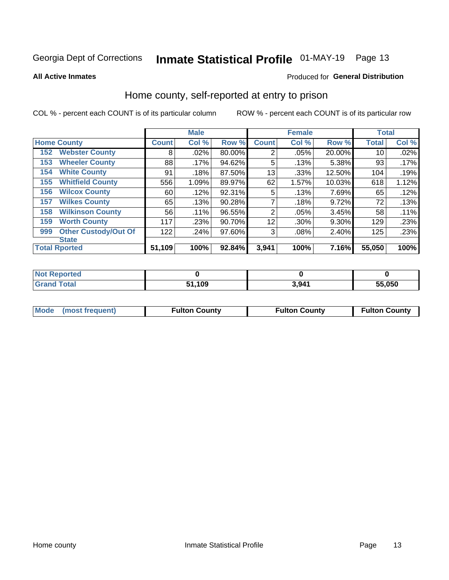## Inmate Statistical Profile 01-MAY-19 Page 13

#### **All Active Inmates**

#### Produced for General Distribution

### Home county, self-reported at entry to prison

COL % - percent each COUNT is of its particular column

|     |                             |              | <b>Male</b> |        |                | <b>Female</b> |          | <b>Total</b> |       |
|-----|-----------------------------|--------------|-------------|--------|----------------|---------------|----------|--------------|-------|
|     | <b>Home County</b>          | <b>Count</b> | Col %       | Row %  | <b>Count</b>   | Col %         | Row %    | <b>Total</b> | Col % |
| 152 | <b>Webster County</b>       | 8            | .02%        | 80.00% | $\overline{2}$ | .05%          | 20.00%   | 10           | .02%  |
| 153 | <b>Wheeler County</b>       | 88           | .17%        | 94.62% | 5              | .13%          | 5.38%    | 93           | .17%  |
| 154 | <b>White County</b>         | 91           | .18%        | 87.50% | 13             | .33%          | 12.50%   | 104          | .19%  |
| 155 | <b>Whitfield County</b>     | 556          | 1.09%       | 89.97% | 62             | 1.57%         | 10.03%   | 618          | 1.12% |
| 156 | <b>Wilcox County</b>        | 60           | .12%        | 92.31% | 5              | .13%          | 7.69%    | 65           | .12%  |
| 157 | <b>Wilkes County</b>        | 65           | .13%        | 90.28% | 7              | .18%          | 9.72%    | 72           | .13%  |
| 158 | <b>Wilkinson County</b>     | 56           | .11%        | 96.55% | 2              | .05%          | 3.45%    | 58           | .11%  |
| 159 | <b>Worth County</b>         | 117          | .23%        | 90.70% | 12             | .30%          | 9.30%    | 129          | .23%  |
| 999 | <b>Other Custody/Out Of</b> | 122          | .24%        | 97.60% | 3              | .08%          | $2.40\%$ | 125          | .23%  |
|     | <b>State</b>                |              |             |        |                |               |          |              |       |
|     | <b>Total Rported</b>        | 51,109       | 100%        | 92.84% | 3,941          | 100%          | 7.16%    | 55,050       | 100%  |

| 'Not<br>Reported |              |      |        |
|------------------|--------------|------|--------|
| <b>Total</b>     | 1,109<br>E4. | 3941 | 55,050 |

|  | Mode (most frequent) | <b>Fulton County</b> | <b>Fulton County</b> | <b>Fulton County</b> |
|--|----------------------|----------------------|----------------------|----------------------|
|--|----------------------|----------------------|----------------------|----------------------|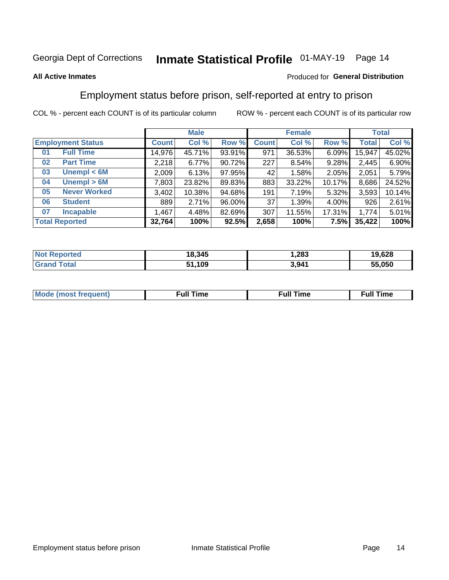## Inmate Statistical Profile 01-MAY-19 Page 14

### **All Active Inmates**

### Produced for General Distribution

## Employment status before prison, self-reported at entry to prison

COL % - percent each COUNT is of its particular column

|                           |         | <b>Male</b> |        |              | <b>Female</b> |        | <b>Total</b> |        |
|---------------------------|---------|-------------|--------|--------------|---------------|--------|--------------|--------|
| <b>Employment Status</b>  | Count l | Col %       | Row %  | <b>Count</b> | Col %         | Row %  | Total        | Col %  |
| <b>Full Time</b><br>01    | 14,976  | 45.71%      | 93.91% | 971          | 36.53%        | 6.09%  | 15,947       | 45.02% |
| <b>Part Time</b><br>02    | 2,218   | 6.77%       | 90.72% | 227          | 8.54%         | 9.28%  | 2,445        | 6.90%  |
| Unempl $<$ 6M<br>03       | 2,009   | 6.13%       | 97.95% | 42           | 1.58%         | 2.05%  | 2,051        | 5.79%  |
| Unempl > 6M<br>04         | 7,803   | 23.82%      | 89.83% | 883          | 33.22%        | 10.17% | 8,686        | 24.52% |
| <b>Never Worked</b><br>05 | 3,402   | 10.38%      | 94.68% | 191          | 7.19%         | 5.32%  | 3,593        | 10.14% |
| <b>Student</b><br>06      | 889     | 2.71%       | 96.00% | 37           | 1.39%         | 4.00%  | 926          | 2.61%  |
| <b>Incapable</b><br>07    | .467    | 4.48%       | 82.69% | 307          | 11.55%        | 17.31% | 1,774        | 5.01%  |
| <b>Total Reported</b>     | 32,764  | 100%        | 92.5%  | 2,658        | 100%          | 7.5%   | 35,422       | 100%   |

| orted<br>NOI | 18,345 | .283  | 19,628 |
|--------------|--------|-------|--------|
| $\sim$ 10    | ,109   | 3,941 | 55.050 |

| Mc | ∴ull | ----<br>ıme<br>w |
|----|------|------------------|
|    |      |                  |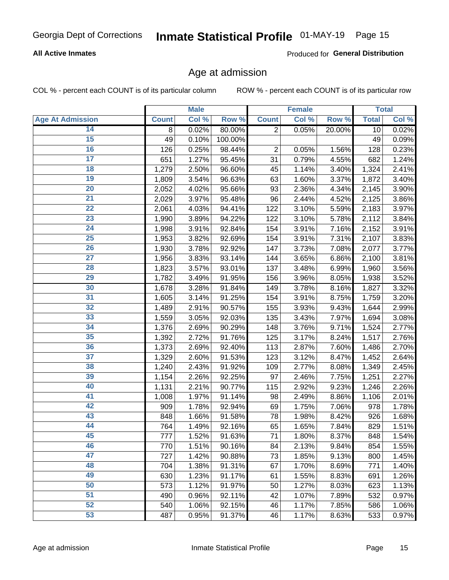## Inmate Statistical Profile 01-MAY-19 Page 15

### **All Active Inmates**

Produced for General Distribution

### Age at admission

COL % - percent each COUNT is of its particular column

|                         |                    | <b>Male</b> |         |                | <b>Female</b> |        |              | <b>Total</b> |
|-------------------------|--------------------|-------------|---------|----------------|---------------|--------|--------------|--------------|
| <b>Age At Admission</b> | <b>Count</b>       | Col %       | Row %   | <b>Count</b>   | Col %         | Row %  | <b>Total</b> | Col %        |
| 14                      | 8                  | 0.02%       | 80.00%  | $\overline{2}$ | 0.05%         | 20.00% | 10           | 0.02%        |
| $\overline{15}$         | 49                 | 0.10%       | 100.00% |                |               |        | 49           | 0.09%        |
| 16                      | 126                | 0.25%       | 98.44%  | 2              | 0.05%         | 1.56%  | 128          | 0.23%        |
| $\overline{17}$         | 651                | 1.27%       | 95.45%  | 31             | 0.79%         | 4.55%  | 682          | 1.24%        |
| $\overline{18}$         | $\overline{1,279}$ | 2.50%       | 96.60%  | 45             | 1.14%         | 3.40%  | 1,324        | 2.41%        |
| 19                      | 1,809              | 3.54%       | 96.63%  | 63             | 1.60%         | 3.37%  | 1,872        | 3.40%        |
| 20                      | 2,052              | 4.02%       | 95.66%  | 93             | 2.36%         | 4.34%  | 2,145        | 3.90%        |
| $\overline{21}$         | 2,029              | 3.97%       | 95.48%  | 96             | 2.44%         | 4.52%  | 2,125        | 3.86%        |
| $\overline{22}$         | 2,061              | 4.03%       | 94.41%  | 122            | 3.10%         | 5.59%  | 2,183        | 3.97%        |
| 23                      | 1,990              | 3.89%       | 94.22%  | 122            | 3.10%         | 5.78%  | 2,112        | 3.84%        |
| 24                      | 1,998              | 3.91%       | 92.84%  | 154            | 3.91%         | 7.16%  | 2,152        | 3.91%        |
| $\overline{25}$         | 1,953              | 3.82%       | 92.69%  | 154            | 3.91%         | 7.31%  | 2,107        | 3.83%        |
| $\overline{26}$         | 1,930              | 3.78%       | 92.92%  | 147            | 3.73%         | 7.08%  | 2,077        | 3.77%        |
| $\overline{27}$         | 1,956              | 3.83%       | 93.14%  | 144            | 3.65%         | 6.86%  | 2,100        | 3.81%        |
| 28                      | 1,823              | 3.57%       | 93.01%  | 137            | 3.48%         | 6.99%  | 1,960        | 3.56%        |
| 29                      | 1,782              | 3.49%       | 91.95%  | 156            | 3.96%         | 8.05%  | 1,938        | 3.52%        |
| 30                      | 1,678              | 3.28%       | 91.84%  | 149            | 3.78%         | 8.16%  | 1,827        | 3.32%        |
| 31                      | 1,605              | 3.14%       | 91.25%  | 154            | 3.91%         | 8.75%  | 1,759        | 3.20%        |
| 32                      | 1,489              | 2.91%       | 90.57%  | 155            | 3.93%         | 9.43%  | 1,644        | 2.99%        |
| 33                      | 1,559              | 3.05%       | 92.03%  | 135            | 3.43%         | 7.97%  | 1,694        | 3.08%        |
| 34                      | 1,376              | 2.69%       | 90.29%  | 148            | 3.76%         | 9.71%  | 1,524        | 2.77%        |
| 35                      | 1,392              | 2.72%       | 91.76%  | 125            | 3.17%         | 8.24%  | 1,517        | 2.76%        |
| 36                      | 1,373              | 2.69%       | 92.40%  | 113            | 2.87%         | 7.60%  | 1,486        | 2.70%        |
| 37                      | 1,329              | 2.60%       | 91.53%  | 123            | 3.12%         | 8.47%  | 1,452        | 2.64%        |
| 38                      | 1,240              | 2.43%       | 91.92%  | 109            | 2.77%         | 8.08%  | 1,349        | 2.45%        |
| 39                      | 1,154              | 2.26%       | 92.25%  | 97             | 2.46%         | 7.75%  | 1,251        | $2.27\%$     |
| 40                      | 1,131              | 2.21%       | 90.77%  | 115            | 2.92%         | 9.23%  | 1,246        | 2.26%        |
| 41                      | 1,008              | 1.97%       | 91.14%  | 98             | 2.49%         | 8.86%  | 1,106        | 2.01%        |
| 42                      | 909                | 1.78%       | 92.94%  | 69             | 1.75%         | 7.06%  | 978          | 1.78%        |
| 43                      | 848                | 1.66%       | 91.58%  | 78             | 1.98%         | 8.42%  | 926          | 1.68%        |
| 44                      | 764                | 1.49%       | 92.16%  | 65             | 1.65%         | 7.84%  | 829          | 1.51%        |
| 45                      | 777                | 1.52%       | 91.63%  | 71             | 1.80%         | 8.37%  | 848          | 1.54%        |
| 46                      | 770                | 1.51%       | 90.16%  | 84             | 2.13%         | 9.84%  | 854          | 1.55%        |
| 47                      | 727                | 1.42%       | 90.88%  | 73             | 1.85%         | 9.13%  | 800          | 1.45%        |
| 48                      | 704                | 1.38%       | 91.31%  | 67             | 1.70%         | 8.69%  | 771          | 1.40%        |
| 49                      | 630                | 1.23%       | 91.17%  | 61             | 1.55%         | 8.83%  | 691          | 1.26%        |
| 50                      | 573                | 1.12%       | 91.97%  | 50             | 1.27%         | 8.03%  | 623          | 1.13%        |
| 51                      | 490                | 0.96%       | 92.11%  | 42             | 1.07%         | 7.89%  | 532          | 0.97%        |
| 52                      | 540                | 1.06%       | 92.15%  | 46             | 1.17%         | 7.85%  | 586          | 1.06%        |
| 53                      | 487                | 0.95%       | 91.37%  | 46             | 1.17%         | 8.63%  | 533          | 0.97%        |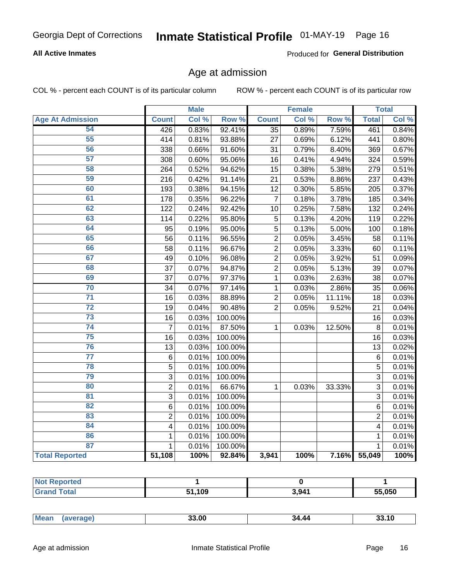## Inmate Statistical Profile 01-MAY-19 Page 16

### **All Active Inmates**

Produced for General Distribution

### Age at admission

COL % - percent each COUNT is of its particular column

|                         |                         | <b>Male</b> |         |                 | <b>Female</b> |        |                | <b>Total</b> |
|-------------------------|-------------------------|-------------|---------|-----------------|---------------|--------|----------------|--------------|
| <b>Age At Admission</b> | <b>Count</b>            | Col %       | Row %   | <b>Count</b>    | Col %         | Row %  | <b>Total</b>   | Col %        |
| 54                      | 426                     | 0.83%       | 92.41%  | $\overline{35}$ | 0.89%         | 7.59%  | 461            | 0.84%        |
| 55                      | 414                     | 0.81%       | 93.88%  | 27              | 0.69%         | 6.12%  | 441            | 0.80%        |
| 56                      | 338                     | 0.66%       | 91.60%  | 31              | 0.79%         | 8.40%  | 369            | 0.67%        |
| $\overline{57}$         | 308                     | 0.60%       | 95.06%  | 16              | 0.41%         | 4.94%  | 324            | 0.59%        |
| 58                      | 264                     | 0.52%       | 94.62%  | 15              | 0.38%         | 5.38%  | 279            | 0.51%        |
| 59                      | 216                     | 0.42%       | 91.14%  | 21              | 0.53%         | 8.86%  | 237            | 0.43%        |
| 60                      | 193                     | 0.38%       | 94.15%  | 12              | 0.30%         | 5.85%  | 205            | 0.37%        |
| 61                      | 178                     | 0.35%       | 96.22%  | $\overline{7}$  | 0.18%         | 3.78%  | 185            | 0.34%        |
| 62                      | 122                     | 0.24%       | 92.42%  | 10              | 0.25%         | 7.58%  | 132            | 0.24%        |
| 63                      | 114                     | 0.22%       | 95.80%  | 5               | 0.13%         | 4.20%  | 119            | 0.22%        |
| 64                      | 95                      | 0.19%       | 95.00%  | 5               | 0.13%         | 5.00%  | 100            | 0.18%        |
| 65                      | 56                      | 0.11%       | 96.55%  | $\overline{c}$  | 0.05%         | 3.45%  | 58             | 0.11%        |
| 66                      | 58                      | 0.11%       | 96.67%  | $\overline{2}$  | 0.05%         | 3.33%  | 60             | 0.11%        |
| 67                      | 49                      | 0.10%       | 96.08%  | $\overline{2}$  | 0.05%         | 3.92%  | 51             | 0.09%        |
| 68                      | 37                      | 0.07%       | 94.87%  | $\overline{2}$  | 0.05%         | 5.13%  | 39             | 0.07%        |
| 69                      | 37                      | 0.07%       | 97.37%  | 1               | 0.03%         | 2.63%  | 38             | 0.07%        |
| 70                      | 34                      | 0.07%       | 97.14%  | 1               | 0.03%         | 2.86%  | 35             | 0.06%        |
| $\overline{71}$         | 16                      | 0.03%       | 88.89%  | $\overline{2}$  | 0.05%         | 11.11% | 18             | 0.03%        |
| $\overline{72}$         | 19                      | 0.04%       | 90.48%  | $\overline{2}$  | 0.05%         | 9.52%  | 21             | 0.04%        |
| 73                      | 16                      | 0.03%       | 100.00% |                 |               |        | 16             | 0.03%        |
| 74                      | $\overline{7}$          | 0.01%       | 87.50%  | $\mathbf{1}$    | 0.03%         | 12.50% | 8              | 0.01%        |
| 75                      | 16                      | 0.03%       | 100.00% |                 |               |        | 16             | 0.03%        |
| 76                      | 13                      | 0.03%       | 100.00% |                 |               |        | 13             | 0.02%        |
| $\overline{77}$         | $\,6$                   | 0.01%       | 100.00% |                 |               |        | 6              | 0.01%        |
| 78                      | $\overline{5}$          | 0.01%       | 100.00% |                 |               |        | $\overline{5}$ | 0.01%        |
| 79                      | $\overline{3}$          | 0.01%       | 100.00% |                 |               |        | $\overline{3}$ | 0.01%        |
| 80                      | $\overline{2}$          | 0.01%       | 66.67%  | 1               | 0.03%         | 33.33% | 3              | 0.01%        |
| $\overline{81}$         | $\overline{3}$          | 0.01%       | 100.00% |                 |               |        | 3              | 0.01%        |
| 82                      | 6                       | 0.01%       | 100.00% |                 |               |        | 6              | 0.01%        |
| 83                      | $\overline{c}$          | 0.01%       | 100.00% |                 |               |        | $\overline{2}$ | 0.01%        |
| 84                      | $\overline{\mathbf{4}}$ | 0.01%       | 100.00% |                 |               |        | 4              | 0.01%        |
| 86                      | 1                       | 0.01%       | 100.00% |                 |               |        | 1              | 0.01%        |
| 87                      | $\mathbf{1}$            | 0.01%       | 100.00% |                 |               |        | $\mathbf{1}$   | 0.01%        |
| <b>Total Reported</b>   | 51,108                  | 100%        | 92.84%  | 3,941           | 100%          | 7.16%  | 55,049         | 100%         |

| τeι |            |       |        |
|-----|------------|-------|--------|
|     | ,109<br>c, | 3,941 | 55,050 |

|  | $M$ e<br>чин.<br>$\cdots$ | הה הה<br>טע, | 34 AA |  |
|--|---------------------------|--------------|-------|--|
|--|---------------------------|--------------|-------|--|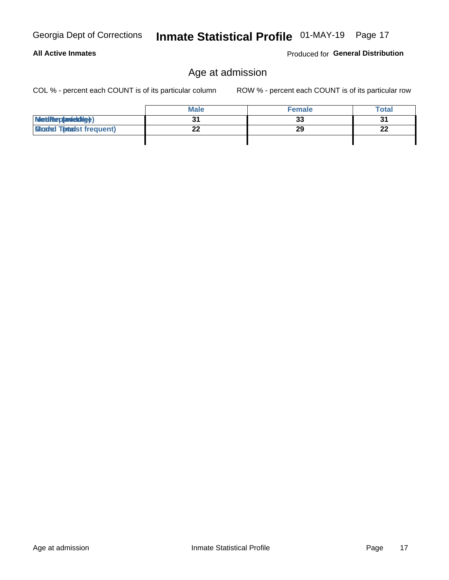**All Active Inmates** 

## Inmate Statistical Profile 01-MAY-19 Page 17

## Age at admission

COL % - percent each COUNT is of its particular column

ROW % - percent each COUNT is of its particular row

Produced for General Distribution

|                                   | <b>Male</b> | <b>Female</b> | <b>Total</b> |
|-----------------------------------|-------------|---------------|--------------|
| MetiRep(anicktig)                 |             | 33            | 31           |
| <b>Glicaded Tomadst frequent)</b> |             | 29            | 22           |
|                                   |             |               |              |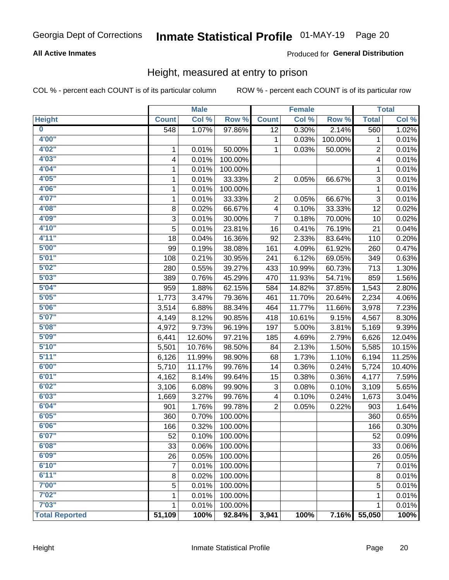## Inmate Statistical Profile 01-MAY-19 Page 20

### **All Active Inmates**

### Produced for General Distribution

### Height, measured at entry to prison

COL % - percent each COUNT is of its particular column

|                         |              | <b>Male</b> |         |                 | <b>Female</b> |         |                           | <b>Total</b> |
|-------------------------|--------------|-------------|---------|-----------------|---------------|---------|---------------------------|--------------|
| <b>Height</b>           | <b>Count</b> | Col %       | Row %   | <b>Count</b>    | Col %         | Row %   | <b>Total</b>              | Col %        |
| $\overline{\mathbf{0}}$ | 548          | 1.07%       | 97.86%  | $\overline{12}$ | 0.30%         | 2.14%   | 560                       | 1.02%        |
| 4'00"                   |              |             |         | 1               | 0.03%         | 100.00% | 1                         | 0.01%        |
| 4'02''                  | 1            | 0.01%       | 50.00%  | 1               | 0.03%         | 50.00%  | $\overline{c}$            | 0.01%        |
| 4'03"                   | 4            | 0.01%       | 100.00% |                 |               |         | 4                         | 0.01%        |
| 4'04"                   | 1            | 0.01%       | 100.00% |                 |               |         | 1                         | 0.01%        |
| 4'05"                   | 1            | 0.01%       | 33.33%  | 2               | 0.05%         | 66.67%  | 3                         | 0.01%        |
| 4'06"                   | 1            | 0.01%       | 100.00% |                 |               |         | 1                         | 0.01%        |
| 4'07"                   | 1            | 0.01%       | 33.33%  | 2               | 0.05%         | 66.67%  | $\ensuremath{\mathsf{3}}$ | 0.01%        |
| 4'08"                   | 8            | 0.02%       | 66.67%  | 4               | 0.10%         | 33.33%  | 12                        | 0.02%        |
| 4'09"                   | $\mathsf 3$  | 0.01%       | 30.00%  | 7               | 0.18%         | 70.00%  | 10                        | 0.02%        |
| 4'10''                  | 5            | 0.01%       | 23.81%  | 16              | 0.41%         | 76.19%  | 21                        | 0.04%        |
| 4'11''                  | 18           | 0.04%       | 16.36%  | 92              | 2.33%         | 83.64%  | 110                       | 0.20%        |
| 5'00''                  | 99           | 0.19%       | 38.08%  | 161             | 4.09%         | 61.92%  | 260                       | 0.47%        |
| 5'01"                   | 108          | 0.21%       | 30.95%  | 241             | 6.12%         | 69.05%  | 349                       | 0.63%        |
| 5'02"                   | 280          | 0.55%       | 39.27%  | 433             | 10.99%        | 60.73%  | 713                       | 1.30%        |
| 5'03''                  | 389          | 0.76%       | 45.29%  | 470             | 11.93%        | 54.71%  | 859                       | 1.56%        |
| 5'04"                   | 959          | 1.88%       | 62.15%  | 584             | 14.82%        | 37.85%  | 1,543                     | 2.80%        |
| 5'05"                   | 1,773        | 3.47%       | 79.36%  | 461             | 11.70%        | 20.64%  | 2,234                     | 4.06%        |
| 5'06''                  | 3,514        | 6.88%       | 88.34%  | 464             | 11.77%        | 11.66%  | 3,978                     | 7.23%        |
| 5'07''                  | 4,149        | 8.12%       | 90.85%  | 418             | 10.61%        | 9.15%   | 4,567                     | 8.30%        |
| 5'08''                  | 4,972        | 9.73%       | 96.19%  | 197             | 5.00%         | 3.81%   | 5,169                     | 9.39%        |
| 5'09''                  | 6,441        | 12.60%      | 97.21%  | 185             | 4.69%         | 2.79%   | 6,626                     | 12.04%       |
| 5'10''                  | 5,501        | 10.76%      | 98.50%  | 84              | 2.13%         | 1.50%   | 5,585                     | 10.15%       |
| 5'11"                   | 6,126        | 11.99%      | 98.90%  | 68              | 1.73%         | 1.10%   | 6,194                     | 11.25%       |
| 6'00''                  | 5,710        | 11.17%      | 99.76%  | 14              | 0.36%         | 0.24%   | 5,724                     | 10.40%       |
| 6'01''                  | 4,162        | 8.14%       | 99.64%  | 15              | 0.38%         | 0.36%   | 4,177                     | 7.59%        |
| 6'02"                   | 3,106        | 6.08%       | 99.90%  | 3               | 0.08%         | 0.10%   | 3,109                     | 5.65%        |
| 6'03''                  | 1,669        | 3.27%       | 99.76%  | 4               | 0.10%         | 0.24%   | 1,673                     | 3.04%        |
| 6'04"                   | 901          | 1.76%       | 99.78%  | $\overline{2}$  | 0.05%         | 0.22%   | 903                       | 1.64%        |
| 6'05"                   | 360          | 0.70%       | 100.00% |                 |               |         | 360                       | 0.65%        |
| 6'06"                   | 166          | 0.32%       | 100.00% |                 |               |         | 166                       | 0.30%        |
| 6'07"                   | 52           | 0.10%       | 100.00% |                 |               |         | 52                        | 0.09%        |
| 6'08''                  | 33           | 0.06%       | 100.00% |                 |               |         | 33                        | 0.06%        |
| 6'09''                  | 26           | 0.05%       | 100.00% |                 |               |         | 26                        | 0.05%        |
| 6'10''                  | 7            | 0.01%       | 100.00% |                 |               |         | $\overline{7}$            | 0.01%        |
| 6'11''                  | 8            | 0.02%       | 100.00% |                 |               |         | 8                         | 0.01%        |
| 7'00"                   | 5            | 0.01%       | 100.00% |                 |               |         | 5                         | 0.01%        |
| 7'02"                   | 1            | 0.01%       | 100.00% |                 |               |         | 1                         | 0.01%        |
| 7'03''                  | 1            | 0.01%       | 100.00% |                 |               |         | 1                         | 0.01%        |
| <b>Total Reported</b>   | 51,109       | 100%        | 92.84%  | 3,941           | 100%          | 7.16%   | 55,050                    | 100%         |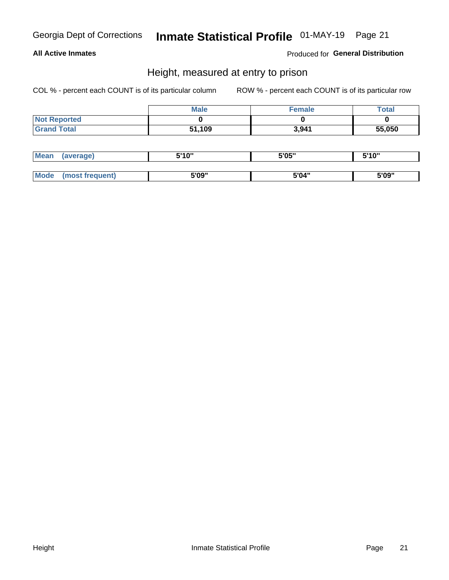## Inmate Statistical Profile 01-MAY-19 Page 21

### **All Active Inmates**

Produced for General Distribution

### Height, measured at entry to prison

COL % - percent each COUNT is of its particular column

|                     | <b>Male</b> | Female | Total  |
|---------------------|-------------|--------|--------|
| <b>Not Reported</b> |             |        |        |
| <b>Grand Total</b>  | 51,109      | 3,941  | 55,050 |

| Mean        | verage)       | 5'10" | 5'05" | ייח 1יי<br>. . u |
|-------------|---------------|-------|-------|------------------|
|             |               |       |       |                  |
| <b>Mode</b> | ost frequent) | 5'09" | 5'04" | 5'09"            |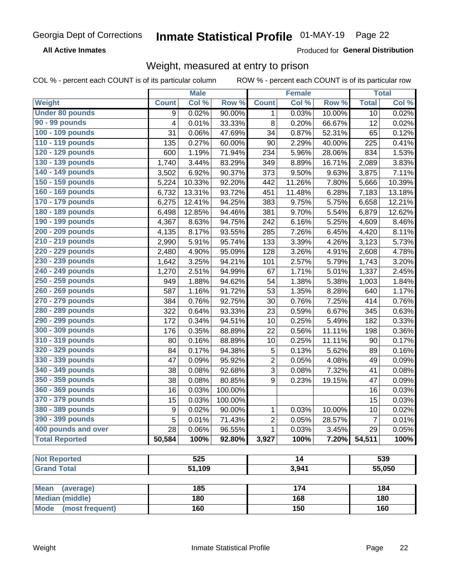#### **Inmate Statistical Profile 01-MAY-19** Page 22

**All Active Inmates** 

Produced for General Distribution

## Weight, measured at entry to prison

COL % - percent each COUNT is of its particular column

|                                | <b>Male</b>  |        | <b>Female</b> |                         |        | <b>Total</b> |                |                     |
|--------------------------------|--------------|--------|---------------|-------------------------|--------|--------------|----------------|---------------------|
| Weight                         | <b>Count</b> | Col %  | Row %         | <b>Count</b>            | Col %  | Row %        | <b>Total</b>   | Col %               |
| <b>Under 80 pounds</b>         | 9            | 0.02%  | 90.00%        | 1                       | 0.03%  | 10.00%       | 10             | 0.02%               |
| 90 - 99 pounds                 | 4            | 0.01%  | 33.33%        | 8                       | 0.20%  | 66.67%       | 12             | 0.02%               |
| 100 - 109 pounds               | 31           | 0.06%  | 47.69%        | 34                      | 0.87%  | 52.31%       | 65             | 0.12%               |
| 110 - 119 pounds               | 135          | 0.27%  | 60.00%        | 90                      | 2.29%  | 40.00%       | 225            | 0.41%               |
| 120 - 129 pounds               | 600          | 1.19%  | 71.94%        | 234                     | 5.96%  | 28.06%       | 834            | 1.53%               |
| 130 - 139 pounds               | 1,740        | 3.44%  | 83.29%        | 349                     | 8.89%  | 16.71%       | 2,089          | 3.83%               |
| 140 - 149 pounds               | 3,502        | 6.92%  | 90.37%        | 373                     | 9.50%  | 9.63%        | 3,875          | 7.11%               |
| 150 - 159 pounds               | 5,224        | 10.33% | 92.20%        | 442                     | 11.26% | 7.80%        | 5,666          | 10.39%              |
| 160 - 169 pounds               | 6,732        | 13.31% | 93.72%        | 451                     | 11.48% | 6.28%        | 7,183          | 13.18%              |
| 170 - 179 pounds               | 6,275        | 12.41% | 94.25%        | 383                     | 9.75%  | 5.75%        | 6,658          | 12.21%              |
| 180 - 189 pounds               | 6,498        | 12.85% | 94.46%        | 381                     | 9.70%  | 5.54%        | 6,879          | 12.62%              |
| 190 - 199 pounds               | 4,367        | 8.63%  | 94.75%        | 242                     | 6.16%  | 5.25%        | 4,609          | 8.46%               |
| 200 - 209 pounds               | 4,135        | 8.17%  | 93.55%        | 285                     | 7.26%  | 6.45%        | 4,420          | 8.11%               |
| 210 - 219 pounds               | 2,990        | 5.91%  | 95.74%        | 133                     | 3.39%  | 4.26%        | 3,123          | 5.73%               |
| 220 - 229 pounds               | 2,480        | 4.90%  | 95.09%        | 128                     | 3.26%  | 4.91%        | 2,608          | 4.78%               |
| 230 - 239 pounds               | 1,642        | 3.25%  | 94.21%        | 101                     | 2.57%  | 5.79%        | 1,743          | 3.20%               |
| 240 - 249 pounds               | 1,270        | 2.51%  | 94.99%        | 67                      | 1.71%  | 5.01%        | 1,337          | 2.45%               |
| 250 - 259 pounds               | 949          | 1.88%  | 94.62%        | 54                      | 1.38%  | 5.38%        | 1,003          | 1.84%               |
| 260 - 269 pounds               | 587          | 1.16%  | 91.72%        | 53                      | 1.35%  | 8.28%        | 640            | 1.17%               |
| 270 - 279 pounds               | 384          | 0.76%  | 92.75%        | 30                      | 0.76%  | 7.25%        | 414            | 0.76%               |
| 280 - 289 pounds               | 322          | 0.64%  | 93.33%        | 23                      | 0.59%  | 6.67%        | 345            | 0.63%               |
| 290 - 299 pounds               | 172          | 0.34%  | 94.51%        | 10                      | 0.25%  | 5.49%        | 182            | 0.33%               |
| 300 - 309 pounds               | 176          | 0.35%  | 88.89%        | 22                      | 0.56%  | 11.11%       | 198            | 0.36%               |
| 310 - 319 pounds               | 80           | 0.16%  | 88.89%        | 10                      | 0.25%  | 11.11%       | 90             | 0.17%               |
| 320 - 329 pounds               | 84           | 0.17%  | 94.38%        | $\mathbf 5$             | 0.13%  | 5.62%        | 89             | 0.16%               |
| 330 - 339 pounds               | 47           | 0.09%  | 95.92%        | $\overline{\mathbf{c}}$ | 0.05%  | 4.08%        | 49             | 0.09%               |
| 340 - 349 pounds               | 38           | 0.08%  | 92.68%        | $\overline{3}$          | 0.08%  | 7.32%        | 41             | 0.08%               |
| 350 - 359 pounds               | 38           | 0.08%  | 80.85%        | 9                       | 0.23%  | 19.15%       | 47             | 0.09%               |
| 360 - 369 pounds               | 16           | 0.03%  | 100.00%       |                         |        |              | 16             | 0.03%               |
| 370 - 379 pounds               | 15           | 0.03%  | 100.00%       |                         |        |              | 15             | 0.03%               |
| 380 - 389 pounds               | 9            | 0.02%  | 90.00%        | 1                       | 0.03%  | 10.00%       | 10             | 0.02%               |
| 390 - 399 pounds               | 5            | 0.01%  | 71.43%        | 2                       | 0.05%  | 28.57%       | $\overline{7}$ | $\overline{0.01\%}$ |
| 400 pounds and over            | 28           | 0.06%  | 96.55%        | 1                       | 0.03%  | 3.45%        | 29             | 0.05%               |
| <b>Total Reported</b>          | 50,584       | 100%   | 92.80%        | 3,927                   | 100%   | 7.20%        | 54,511         | 100%                |
|                                |              |        |               |                         |        |              |                |                     |
| <b>Not Reported</b>            |              | 525    |               |                         | 14     |              |                | 539                 |
| <b>Grand Total</b>             |              | 51,109 |               | 3,941                   |        |              | 55,050         |                     |
| <b>Mean</b><br>(average)       |              | 185    |               |                         | 174    |              |                | 184                 |
| <b>Median (middle)</b>         |              | 180    |               |                         | 168    |              |                | 180                 |
| <b>Mode</b><br>(most frequent) |              | 160    |               |                         | 150    |              |                | 160                 |
|                                |              |        |               |                         |        |              |                |                     |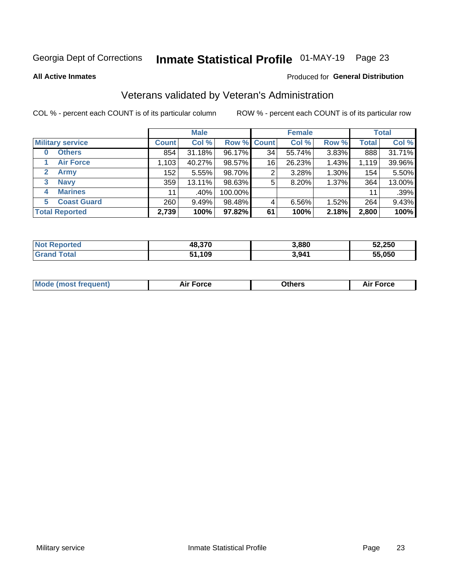## Inmate Statistical Profile 01-MAY-19 Page 23

**All Active Inmates** 

#### Produced for General Distribution

## Veterans validated by Veteran's Administration

COL % - percent each COUNT is of its particular column

|                          |              | <b>Male</b> |         |                    | <b>Female</b> |       |              | <b>Total</b> |
|--------------------------|--------------|-------------|---------|--------------------|---------------|-------|--------------|--------------|
| <b>Military service</b>  | <b>Count</b> | Col %       |         | <b>Row % Count</b> | Col %         | Row % | <b>Total</b> | Col %        |
| <b>Others</b><br>0       | 854          | 31.18%      | 96.17%  | 34                 | 55.74%        | 3.83% | 888          | 31.71%       |
| <b>Air Force</b>         | $1,103 +$    | 40.27%      | 98.57%  | 16                 | 26.23%        | 1.43% | 1,119        | 39.96%       |
| <b>Army</b><br>2         | 152          | 5.55%       | 98.70%  | 2                  | 3.28%         | 1.30% | 154          | 5.50%        |
| <b>Navy</b><br>3         | 359          | 13.11%      | 98.63%  | 5                  | 8.20%         | 1.37% | 364          | 13.00%       |
| <b>Marines</b><br>4      | 11           | .40%        | 100.00% |                    |               |       | 11           | .39%         |
| <b>Coast Guard</b><br>5. | 260          | 9.49%       | 98.48%  | 4                  | 6.56%         | 1.52% | 264          | 9.43%        |
| <b>Total Reported</b>    | 2,739        | 100%        | 97.82%  | 61                 | 100%          | 2.18% | 2,800        | 100%         |

| <b>Not</b><br>Reported | 48,370 | 3,880 | 52,250                         |
|------------------------|--------|-------|--------------------------------|
| <b>Total</b>           | 1,109  | 3,941 | 55.050<br>$\ddot{\phantom{a}}$ |

|  |  | <b>Mode (most frequent)</b> | <b>Force</b><br>Aır | วthers | orce |
|--|--|-----------------------------|---------------------|--------|------|
|--|--|-----------------------------|---------------------|--------|------|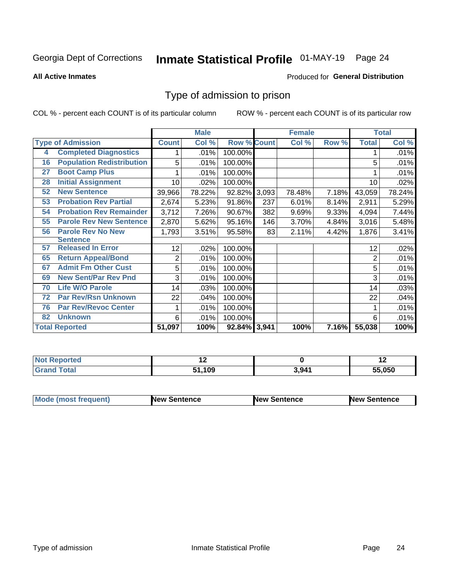## Inmate Statistical Profile 01-MAY-19 Page 24

#### **All Active Inmates**

#### Produced for General Distribution

### Type of admission to prison

COL % - percent each COUNT is of its particular column

|    |                                  |              | <b>Male</b> |                    |     | <b>Female</b> |       |              | <b>Total</b> |
|----|----------------------------------|--------------|-------------|--------------------|-----|---------------|-------|--------------|--------------|
|    | <b>Type of Admission</b>         | <b>Count</b> | Col %       | <b>Row % Count</b> |     | Col %         | Row % | <b>Total</b> | Col %        |
| 4  | <b>Completed Diagnostics</b>     |              | .01%        | 100.00%            |     |               |       |              | .01%         |
| 16 | <b>Population Redistribution</b> | 5            | .01%        | 100.00%            |     |               |       | 5            | .01%         |
| 27 | <b>Boot Camp Plus</b>            |              | .01%        | 100.00%            |     |               |       |              | .01%         |
| 28 | <b>Initial Assignment</b>        | 10           | .02%        | 100.00%            |     |               |       | 10           | .02%         |
| 52 | <b>New Sentence</b>              | 39,966       | 78.22%      | 92.82% 3,093       |     | 78.48%        | 7.18% | 43,059       | 78.24%       |
| 53 | <b>Probation Rev Partial</b>     | 2,674        | 5.23%       | 91.86%             | 237 | 6.01%         | 8.14% | 2,911        | 5.29%        |
| 54 | <b>Probation Rev Remainder</b>   | 3,712        | 7.26%       | 90.67%             | 382 | 9.69%         | 9.33% | 4,094        | 7.44%        |
| 55 | <b>Parole Rev New Sentence</b>   | 2,870        | 5.62%       | 95.16%             | 146 | 3.70%         | 4.84% | 3,016        | 5.48%        |
| 56 | <b>Parole Rev No New</b>         | 1,793        | 3.51%       | 95.58%             | 83  | 2.11%         | 4.42% | 1,876        | 3.41%        |
|    | <b>Sentence</b>                  |              |             |                    |     |               |       |              |              |
| 57 | <b>Released In Error</b>         | 12           | .02%        | 100.00%            |     |               |       | 12           | .02%         |
| 65 | <b>Return Appeal/Bond</b>        | 2            | .01%        | 100.00%            |     |               |       | 2            | .01%         |
| 67 | <b>Admit Fm Other Cust</b>       | 5            | .01%        | 100.00%            |     |               |       | 5            | .01%         |
| 69 | <b>New Sent/Par Rev Pnd</b>      | 3            | .01%        | 100.00%            |     |               |       | 3            | .01%         |
| 70 | <b>Life W/O Parole</b>           | 14           | .03%        | 100.00%            |     |               |       | 14           | .03%         |
| 72 | <b>Par Rev/Rsn Unknown</b>       | 22           | .04%        | 100.00%            |     |               |       | 22           | .04%         |
| 76 | <b>Par Rev/Revoc Center</b>      |              | .01%        | 100.00%            |     |               |       |              | .01%         |
| 82 | <b>Unknown</b>                   | 6            | .01%        | 100.00%            |     |               |       | 6            | .01%         |
|    | <b>Total Reported</b>            | 51,097       | 100%        | 92.84% 3,941       |     | 100%          | 7.16% | 55,038       | 100%         |

| <b>Not</b><br>Reported   |      |                   | . .    |
|--------------------------|------|-------------------|--------|
| $\mathsf{Total}$<br>Grar | .109 | 3.94 <sup>′</sup> | 55.050 |

| <b>Mode (most frequent)</b> | New Sentence | <b>New Sentence</b> | <b>New Sentence</b> |
|-----------------------------|--------------|---------------------|---------------------|
|                             |              |                     |                     |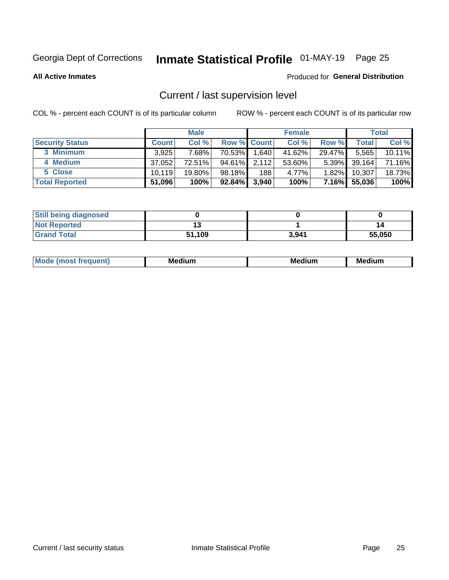## Inmate Statistical Profile 01-MAY-19 Page 25

**All Active Inmates** 

#### Produced for General Distribution

## Current / last supervision level

COL % - percent each COUNT is of its particular column

|                        |              | <b>Male</b> |                    |       | <b>Female</b> |          |        | <b>Total</b> |
|------------------------|--------------|-------------|--------------------|-------|---------------|----------|--------|--------------|
| <b>Security Status</b> | <b>Count</b> | Col %       | <b>Row % Count</b> |       | Col %         | Row %    | Total  | Col %        |
| 3 Minimum              | 3.925        | 7.68%l      | 70.53%             | 1,640 | 41.62%        | 29.47%   | 5,565  | 10.11%       |
| 4 Medium               | 37,052       | 72.51%      | 94.61%             | 2,112 | 53.60%        | $5.39\%$ | 39,164 | 71.16%       |
| 5 Close                | 10.119       | 19.80%      | 98.18%             | 188   | 4.77%         | $1.82\%$ | 10.307 | 18.73%       |
| <b>Total Reported</b>  | 51,096       | 100%        | $92.84\%$          | 3,940 | 100%          | $7.16\%$ | 55,036 | 100%         |

| <b>Still being diagnosed</b> |        |       |        |
|------------------------------|--------|-------|--------|
| <b>Not Reported</b>          |        |       | 14     |
| <b>Grand Total</b>           | 51,109 | 3,941 | 55,050 |

| M | M | . . |
|---|---|-----|
|   |   |     |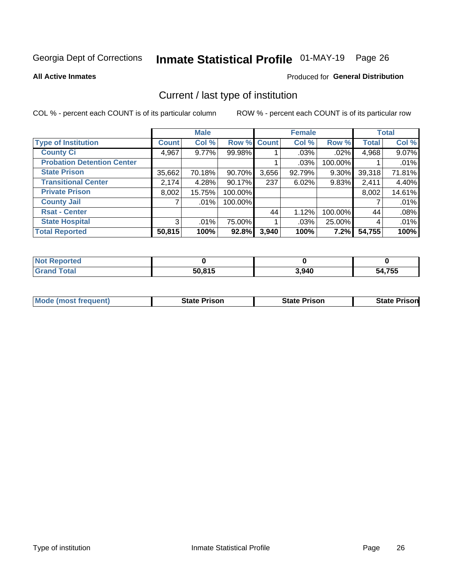## Inmate Statistical Profile 01-MAY-19 Page 26

**All Active Inmates** 

#### Produced for General Distribution

## Current / last type of institution

COL % - percent each COUNT is of its particular column

|                                   |                | <b>Male</b> |             |       | <b>Female</b> |         |              | <b>Total</b> |
|-----------------------------------|----------------|-------------|-------------|-------|---------------|---------|--------------|--------------|
| <b>Type of Institution</b>        | <b>Count</b>   | Col %       | Row % Count |       | Col %         | Row %   | <b>Total</b> | Col %        |
| <b>County Ci</b>                  | 4,967          | $9.77\%$    | 99.98%      |       | $.03\%$       | .02%    | 4,968        | 9.07%        |
| <b>Probation Detention Center</b> |                |             |             |       | .03%          | 100.00% |              | .01%         |
| <b>State Prison</b>               | 35,662         | 70.18%      | 90.70%      | 3,656 | 92.79%        | 9.30%   | 39,318       | 71.81%       |
| <b>Transitional Center</b>        | 2,174          | 4.28%       | 90.17%      | 237   | 6.02%         | 9.83%   | 2,411        | 4.40%        |
| <b>Private Prison</b>             | 8,002          | 15.75%      | 100.00%     |       |               |         | 8,002        | 14.61%       |
| <b>County Jail</b>                |                | .01%        | 100.00%     |       |               |         |              | .01%         |
| <b>Rsat - Center</b>              |                |             |             | 44    | 1.12%         | 100.00% | 44           | .08%         |
| <b>State Hospital</b>             | 3 <sup>1</sup> | .01%        | 75.00%      |       | .03%          | 25.00%  | 4            | .01%         |
| <b>Total Reported</b>             | 50,815         | 100%        | 92.8%       | 3,940 | 100%          | 7.2%    | 54,755       | 100%         |

| <b>Not</b><br>Reported |        |       |        |
|------------------------|--------|-------|--------|
| Total                  | 50,815 | 3,940 | 54,755 |

| Mode (most frequent) | <b>State Prison</b> | <b>State Prison</b> | <b>State Prisonl</b> |
|----------------------|---------------------|---------------------|----------------------|
|                      |                     |                     |                      |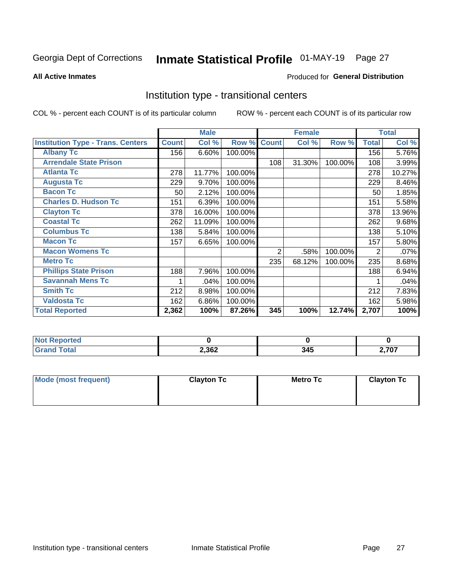## Inmate Statistical Profile 01-MAY-19 Page 27

#### **All Active Inmates**

#### Produced for General Distribution

### Institution type - transitional centers

COL % - percent each COUNT is of its particular column

|                                          |              | <b>Male</b> |         |                | <b>Female</b> |         |              | <b>Total</b> |
|------------------------------------------|--------------|-------------|---------|----------------|---------------|---------|--------------|--------------|
| <b>Institution Type - Trans. Centers</b> | <b>Count</b> | Col %       | Row %   | <b>Count</b>   | Col %         | Row %   | <b>Total</b> | Col %        |
| <b>Albany Tc</b>                         | 156          | 6.60%       | 100.00% |                |               |         | 156          | 5.76%        |
| <b>Arrendale State Prison</b>            |              |             |         | 108            | 31.30%        | 100.00% | 108          | 3.99%        |
| <b>Atlanta Tc</b>                        | 278          | 11.77%      | 100.00% |                |               |         | 278          | 10.27%       |
| <b>Augusta Tc</b>                        | 229          | 9.70%       | 100.00% |                |               |         | 229          | 8.46%        |
| <b>Bacon Tc</b>                          | 50           | 2.12%       | 100.00% |                |               |         | 50           | 1.85%        |
| <b>Charles D. Hudson Tc</b>              | 151          | 6.39%       | 100.00% |                |               |         | 151          | 5.58%        |
| <b>Clayton Tc</b>                        | 378          | 16.00%      | 100.00% |                |               |         | 378          | 13.96%       |
| <b>Coastal Tc</b>                        | 262          | 11.09%      | 100.00% |                |               |         | 262          | 9.68%        |
| <b>Columbus Tc</b>                       | 138          | 5.84%       | 100.00% |                |               |         | 138          | 5.10%        |
| <b>Macon Tc</b>                          | 157          | 6.65%       | 100.00% |                |               |         | 157          | 5.80%        |
| <b>Macon Womens Tc</b>                   |              |             |         | $\overline{2}$ | .58%          | 100.00% | 2            | .07%         |
| <b>Metro Tc</b>                          |              |             |         | 235            | 68.12%        | 100.00% | 235          | 8.68%        |
| <b>Phillips State Prison</b>             | 188          | 7.96%       | 100.00% |                |               |         | 188          | 6.94%        |
| <b>Savannah Mens Tc</b>                  | 1            | .04%        | 100.00% |                |               |         |              | .04%         |
| <b>Smith Tc</b>                          | 212          | 8.98%       | 100.00% |                |               |         | 212          | 7.83%        |
| <b>Valdosta Tc</b>                       | 162          | 6.86%       | 100.00% |                |               |         | 162          | 5.98%        |
| <b>Total Reported</b>                    | 2,362        | 100%        | 87.26%  | 345            | 100%          | 12.74%  | 2,707        | 100%         |

| <b>Reported</b> |       |     |                |
|-----------------|-------|-----|----------------|
| <b>Fotal</b>    | 2,362 | 345 | ラヘラ<br>, , v , |

| Mode (most frequent) | <b>Clayton Tc</b> | Metro Tc | <b>Clayton Tc</b> |
|----------------------|-------------------|----------|-------------------|
|                      |                   |          |                   |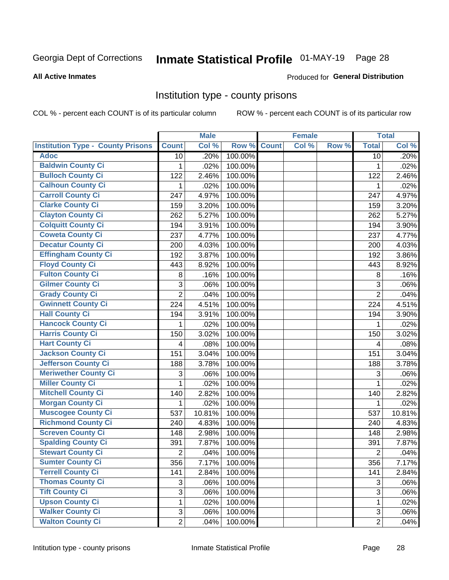## Inmate Statistical Profile 01-MAY-19 Page 28

#### **All Active Inmates**

#### Produced for General Distribution

### Institution type - county prisons

COL % - percent each COUNT is of its particular column

|                                          |                | <b>Male</b> |         |              | <b>Female</b> |       |                | <b>Total</b> |
|------------------------------------------|----------------|-------------|---------|--------------|---------------|-------|----------------|--------------|
| <b>Institution Type - County Prisons</b> | <b>Count</b>   | Col %       | Row %   | <b>Count</b> | Col %         | Row % | <b>Total</b>   | Col %        |
| <b>Adoc</b>                              | 10             | .20%        | 100.00% |              |               |       | 10             | .20%         |
| <b>Baldwin County Ci</b>                 | 1              | .02%        | 100.00% |              |               |       | 1              | .02%         |
| <b>Bulloch County Ci</b>                 | 122            | 2.46%       | 100.00% |              |               |       | 122            | 2.46%        |
| <b>Calhoun County Ci</b>                 | 1              | .02%        | 100.00% |              |               |       | 1              | .02%         |
| <b>Carroll County Ci</b>                 | 247            | 4.97%       | 100.00% |              |               |       | 247            | 4.97%        |
| <b>Clarke County Ci</b>                  | 159            | 3.20%       | 100.00% |              |               |       | 159            | 3.20%        |
| <b>Clayton County Ci</b>                 | 262            | 5.27%       | 100.00% |              |               |       | 262            | 5.27%        |
| <b>Colquitt County Ci</b>                | 194            | 3.91%       | 100.00% |              |               |       | 194            | 3.90%        |
| <b>Coweta County Ci</b>                  | 237            | 4.77%       | 100.00% |              |               |       | 237            | 4.77%        |
| <b>Decatur County Ci</b>                 | 200            | 4.03%       | 100.00% |              |               |       | 200            | 4.03%        |
| <b>Effingham County Ci</b>               | 192            | 3.87%       | 100.00% |              |               |       | 192            | 3.86%        |
| <b>Floyd County Ci</b>                   | 443            | 8.92%       | 100.00% |              |               |       | 443            | 8.92%        |
| <b>Fulton County Ci</b>                  | 8              | .16%        | 100.00% |              |               |       | 8              | .16%         |
| <b>Gilmer County Ci</b>                  | 3              | .06%        | 100.00% |              |               |       | 3              | .06%         |
| <b>Grady County Ci</b>                   | $\overline{2}$ | .04%        | 100.00% |              |               |       | $\overline{2}$ | .04%         |
| <b>Gwinnett County Ci</b>                | 224            | 4.51%       | 100.00% |              |               |       | 224            | 4.51%        |
| <b>Hall County Ci</b>                    | 194            | 3.91%       | 100.00% |              |               |       | 194            | 3.90%        |
| <b>Hancock County Ci</b>                 | 1              | .02%        | 100.00% |              |               |       | 1              | .02%         |
| <b>Harris County Ci</b>                  | 150            | 3.02%       | 100.00% |              |               |       | 150            | 3.02%        |
| <b>Hart County Ci</b>                    | 4              | .08%        | 100.00% |              |               |       | 4              | .08%         |
| <b>Jackson County Ci</b>                 | 151            | 3.04%       | 100.00% |              |               |       | 151            | 3.04%        |
| Jefferson County Ci                      | 188            | 3.78%       | 100.00% |              |               |       | 188            | 3.78%        |
| <b>Meriwether County Ci</b>              | 3              | .06%        | 100.00% |              |               |       | 3              | .06%         |
| <b>Miller County Ci</b>                  | 1              | .02%        | 100.00% |              |               |       | 1              | .02%         |
| <b>Mitchell County Ci</b>                | 140            | 2.82%       | 100.00% |              |               |       | 140            | 2.82%        |
| <b>Morgan County Ci</b>                  | 1              | .02%        | 100.00% |              |               |       | 1              | .02%         |
| <b>Muscogee County Ci</b>                | 537            | 10.81%      | 100.00% |              |               |       | 537            | 10.81%       |
| <b>Richmond County Ci</b>                | 240            | 4.83%       | 100.00% |              |               |       | 240            | 4.83%        |
| <b>Screven County Ci</b>                 | 148            | 2.98%       | 100.00% |              |               |       | 148            | 2.98%        |
| <b>Spalding County Ci</b>                | 391            | 7.87%       | 100.00% |              |               |       | 391            | 7.87%        |
| <b>Stewart County Ci</b>                 | $\overline{c}$ | .04%        | 100.00% |              |               |       | $\overline{2}$ | .04%         |
| <b>Sumter County Ci</b>                  | 356            | 7.17%       | 100.00% |              |               |       | 356            | 7.17%        |
| <b>Terrell County Ci</b>                 | 141            | 2.84%       | 100.00% |              |               |       | 141            | 2.84%        |
| <b>Thomas County Ci</b>                  | 3              | .06%        | 100.00% |              |               |       | 3              | .06%         |
| <b>Tift County Ci</b>                    | $\overline{3}$ | .06%        | 100.00% |              |               |       | $\overline{3}$ | .06%         |
| <b>Upson County Ci</b>                   | 1              | .02%        | 100.00% |              |               |       | $\mathbf 1$    | .02%         |
| <b>Walker County Ci</b>                  | 3              | .06%        | 100.00% |              |               |       | $\mathfrak{S}$ | .06%         |
| <b>Walton County Ci</b>                  | $\overline{2}$ | .04%        | 100.00% |              |               |       | $\overline{2}$ | .04%         |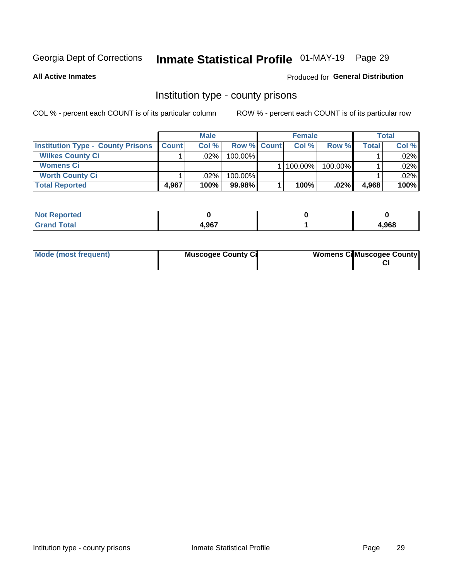## Inmate Statistical Profile 01-MAY-19 Page 29

**All Active Inmates** 

#### Produced for General Distribution

### Institution type - county prisons

COL % - percent each COUNT is of its particular column

|                                          |              | <b>Male</b> |                    | <b>Female</b> |         |       | <b>Total</b> |
|------------------------------------------|--------------|-------------|--------------------|---------------|---------|-------|--------------|
| <b>Institution Type - County Prisons</b> | <b>Count</b> | Col%        | <b>Row % Count</b> | Col%          | Row %   | Total | Col %        |
| <b>Wilkes County Ci</b>                  |              | .02%        | 100.00%            |               |         |       | $.02\%$      |
| <b>Womens Ci</b>                         |              |             |                    | 100.00%       | 100.00% |       | .02%         |
| <b>Worth County Ci</b>                   |              | $.02\%$     | 100.00%            |               |         |       | $.02\%$      |
| <b>Total Reported</b>                    | 4.967        | 100%        | $99.98\%$          | 100%          | $.02\%$ | 4,968 | 100%         |

| τeα                         |       |      |
|-----------------------------|-------|------|
| $\sim$ $\sim$ $\sim$ $\sim$ | l QG7 | ,968 |

| Mode (most frequent)<br><b>Muscogee County Ci</b> |  | <b>Womens CilMuscogee County</b> |
|---------------------------------------------------|--|----------------------------------|
|---------------------------------------------------|--|----------------------------------|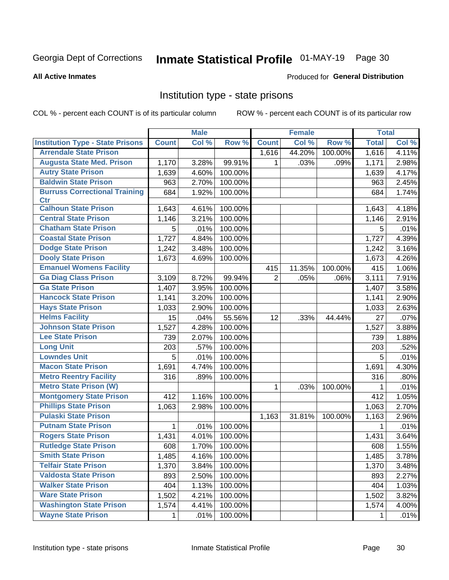## Inmate Statistical Profile 01-MAY-19 Page 30

#### **All Active Inmates**

### **Produced for General Distribution**

### Institution type - state prisons

COL % - percent each COUNT is of its particular column

|                                         |              | <b>Male</b> |         |                | <b>Female</b> |         | <b>Total</b> |       |
|-----------------------------------------|--------------|-------------|---------|----------------|---------------|---------|--------------|-------|
| <b>Institution Type - State Prisons</b> | <b>Count</b> | Col %       | Row %   | <b>Count</b>   | Col %         | Row %   | <b>Total</b> | Col % |
| <b>Arrendale State Prison</b>           |              |             |         | 1,616          | 44.20%        | 100.00% | 1,616        | 4.11% |
| <b>Augusta State Med. Prison</b>        | 1,170        | 3.28%       | 99.91%  | 1              | .03%          | .09%    | 1,171        | 2.98% |
| <b>Autry State Prison</b>               | 1,639        | 4.60%       | 100.00% |                |               |         | 1,639        | 4.17% |
| <b>Baldwin State Prison</b>             | 963          | 2.70%       | 100.00% |                |               |         | 963          | 2.45% |
| <b>Burruss Correctional Training</b>    | 684          | 1.92%       | 100.00% |                |               |         | 684          | 1.74% |
| <b>Ctr</b>                              |              |             |         |                |               |         |              |       |
| <b>Calhoun State Prison</b>             | 1,643        | 4.61%       | 100.00% |                |               |         | 1,643        | 4.18% |
| <b>Central State Prison</b>             | 1,146        | 3.21%       | 100.00% |                |               |         | 1,146        | 2.91% |
| <b>Chatham State Prison</b>             | 5            | .01%        | 100.00% |                |               |         | 5            | .01%  |
| <b>Coastal State Prison</b>             | 1,727        | 4.84%       | 100.00% |                |               |         | 1,727        | 4.39% |
| <b>Dodge State Prison</b>               | 1,242        | 3.48%       | 100.00% |                |               |         | 1,242        | 3.16% |
| <b>Dooly State Prison</b>               | 1,673        | 4.69%       | 100.00% |                |               |         | 1,673        | 4.26% |
| <b>Emanuel Womens Facility</b>          |              |             |         | 415            | 11.35%        | 100.00% | 415          | 1.06% |
| <b>Ga Diag Class Prison</b>             | 3,109        | 8.72%       | 99.94%  | $\overline{2}$ | .05%          | .06%    | 3,111        | 7.91% |
| <b>Ga State Prison</b>                  | 1,407        | 3.95%       | 100.00% |                |               |         | 1,407        | 3.58% |
| <b>Hancock State Prison</b>             | 1,141        | 3.20%       | 100.00% |                |               |         | 1,141        | 2.90% |
| <b>Hays State Prison</b>                | 1,033        | 2.90%       | 100.00% |                |               |         | 1,033        | 2.63% |
| <b>Helms Facility</b>                   | 15           | .04%        | 55.56%  | 12             | .33%          | 44.44%  | 27           | .07%  |
| <b>Johnson State Prison</b>             | 1,527        | 4.28%       | 100.00% |                |               |         | 1,527        | 3.88% |
| <b>Lee State Prison</b>                 | 739          | 2.07%       | 100.00% |                |               |         | 739          | 1.88% |
| <b>Long Unit</b>                        | 203          | .57%        | 100.00% |                |               |         | 203          | .52%  |
| <b>Lowndes Unit</b>                     | 5            | .01%        | 100.00% |                |               |         | 5            | .01%  |
| <b>Macon State Prison</b>               | 1,691        | 4.74%       | 100.00% |                |               |         | 1,691        | 4.30% |
| <b>Metro Reentry Facility</b>           | 316          | .89%        | 100.00% |                |               |         | 316          | .80%  |
| <b>Metro State Prison (W)</b>           |              |             |         | 1              | .03%          | 100.00% | 1            | .01%  |
| <b>Montgomery State Prison</b>          | 412          | 1.16%       | 100.00% |                |               |         | 412          | 1.05% |
| <b>Phillips State Prison</b>            | 1,063        | 2.98%       | 100.00% |                |               |         | 1,063        | 2.70% |
| <b>Pulaski State Prison</b>             |              |             |         | 1,163          | 31.81%        | 100.00% | 1,163        | 2.96% |
| <b>Putnam State Prison</b>              | 1            | .01%        | 100.00% |                |               |         | 1            | .01%  |
| <b>Rogers State Prison</b>              | 1,431        | 4.01%       | 100.00% |                |               |         | 1,431        | 3.64% |
| <b>Rutledge State Prison</b>            | 608          | 1.70%       | 100.00% |                |               |         | 608          | 1.55% |
| <b>Smith State Prison</b>               | 1,485        | 4.16%       | 100.00% |                |               |         | 1,485        | 3.78% |
| <b>Telfair State Prison</b>             | 1,370        | 3.84%       | 100.00% |                |               |         | 1,370        | 3.48% |
| <b>Valdosta State Prison</b>            | 893          | 2.50%       | 100.00% |                |               |         | 893          | 2.27% |
| <b>Walker State Prison</b>              | 404          | 1.13%       | 100.00% |                |               |         | 404          | 1.03% |
| <b>Ware State Prison</b>                | 1,502        | 4.21%       | 100.00% |                |               |         | 1,502        | 3.82% |
| <b>Washington State Prison</b>          | 1,574        | 4.41%       | 100.00% |                |               |         | 1,574        | 4.00% |
| <b>Wayne State Prison</b>               | 1            | .01%        | 100.00% |                |               |         | 1            | .01%  |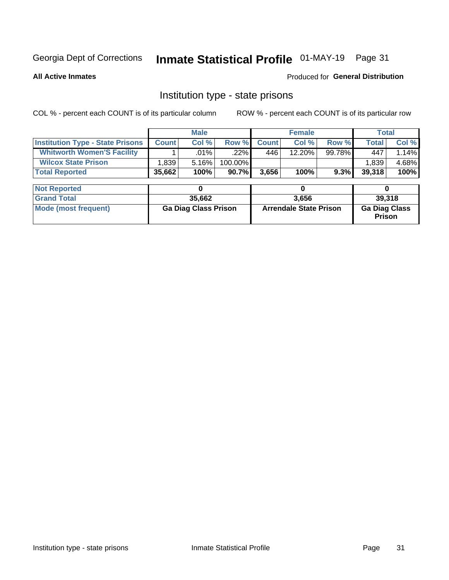## Inmate Statistical Profile 01-MAY-19 Page 31

**All Active Inmates** 

#### Produced for General Distribution

### Institution type - state prisons

COL % - percent each COUNT is of its particular column ROW % - percent each COUNT is of its particular row

|                                         | <b>Male</b>                 |        | <b>Female</b>                 |              |        | <b>Total</b>                          |              |        |  |
|-----------------------------------------|-----------------------------|--------|-------------------------------|--------------|--------|---------------------------------------|--------------|--------|--|
| <b>Institution Type - State Prisons</b> | <b>Count</b>                | Col %  | Row %                         | <b>Count</b> | Col %  | Row %                                 | <b>Total</b> | Col %  |  |
| <b>Whitworth Women'S Facility</b>       |                             | .01%   | $.22\%$                       | 446          | 12.20% | 99.78%                                | 447          | 1.14%  |  |
| <b>Wilcox State Prison</b>              | 1,839                       | 5.16%  | 100.00%                       |              |        |                                       | 1,839        | 4.68%  |  |
| <b>Total Reported</b>                   | 35,662                      | 100%   | 90.7%                         | 3,656        | 100%   | 9.3%                                  | 39,318       | 100%   |  |
|                                         |                             |        |                               |              |        |                                       |              |        |  |
| <b>Not Reported</b>                     |                             |        |                               |              | 0      |                                       | 0            |        |  |
| <b>Grand Total</b>                      |                             | 35,662 |                               |              | 3,656  |                                       |              | 39,318 |  |
| <b>Mode (most frequent)</b>             | <b>Ga Diag Class Prison</b> |        | <b>Arrendale State Prison</b> |              |        | <b>Ga Diag Class</b><br><b>Prison</b> |              |        |  |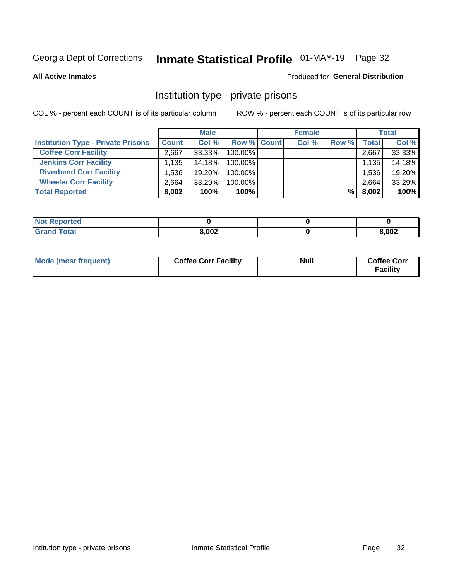## Inmate Statistical Profile 01-MAY-19 Page 32

**All Active Inmates** 

#### Produced for General Distribution

### Institution type - private prisons

COL % - percent each COUNT is of its particular column

|                                           |              | <b>Male</b> |                    | <b>Female</b> |       |       | <b>Total</b> |
|-------------------------------------------|--------------|-------------|--------------------|---------------|-------|-------|--------------|
| <b>Institution Type - Private Prisons</b> | <b>Count</b> | Col %       | <b>Row % Count</b> | Col %         | Row % | Total | Col %        |
| <b>Coffee Corr Facility</b>               | 2,667        | 33.33%      | 100.00%            |               |       | 2,667 | 33.33%       |
| <b>Jenkins Corr Facility</b>              | 1,135        | 14.18%      | $100.00\%$         |               |       | 1,135 | 14.18%       |
| <b>Riverbend Corr Facility</b>            | 1.536        | 19.20%      | 100.00%            |               |       | 1,536 | 19.20%       |
| <b>Wheeler Corr Facility</b>              | 2.664        | 33.29%      | 100.00%            |               |       | 2,664 | 33.29%       |
| <b>Total Reported</b>                     | 8,002        | 100%        | 100%               |               | %     | 8,002 | 100%         |

| <b>Not</b><br>Reported |       |       |
|------------------------|-------|-------|
| <b>Total</b>           | 8,002 | 8,002 |

| Mode (most frequent) | <b>Coffee Corr Facility</b> | <b>Null</b> | <b>Coffee Corr</b><br><b>Facility</b> |
|----------------------|-----------------------------|-------------|---------------------------------------|
|----------------------|-----------------------------|-------------|---------------------------------------|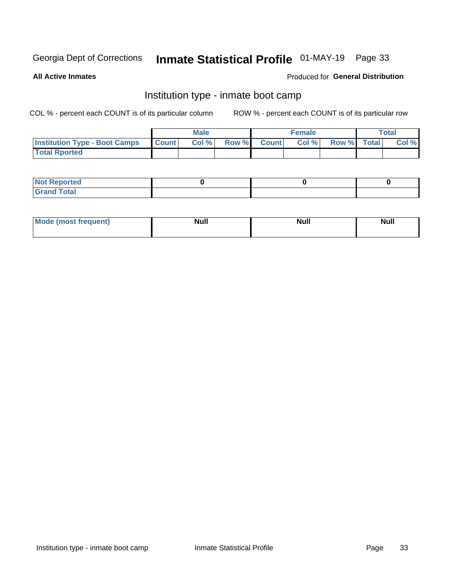## Inmate Statistical Profile 01-MAY-19 Page 33

**All Active Inmates** 

### Produced for General Distribution

## Institution type - inmate boot camp

COL % - percent each COUNT is of its particular column

|                                      |              | <b>Male</b> |               |              | <b>Female</b> |             | <b>Total</b> |
|--------------------------------------|--------------|-------------|---------------|--------------|---------------|-------------|--------------|
| <b>Institution Type - Boot Camps</b> | <b>Count</b> | Col %       | <b>Row %I</b> | <b>Count</b> | Col %         | Row % Total | Col %        |
| <b>Total Rported</b>                 |              |             |               |              |               |             |              |

| <b>Not Reported</b>            |  |  |
|--------------------------------|--|--|
| <b>Total</b><br>C <sub>r</sub> |  |  |

| Mod<br>uamo | Nul.<br>$- - - - - -$ | <b>Null</b> | . .<br>uu.<br>------ |
|-------------|-----------------------|-------------|----------------------|
|             |                       |             |                      |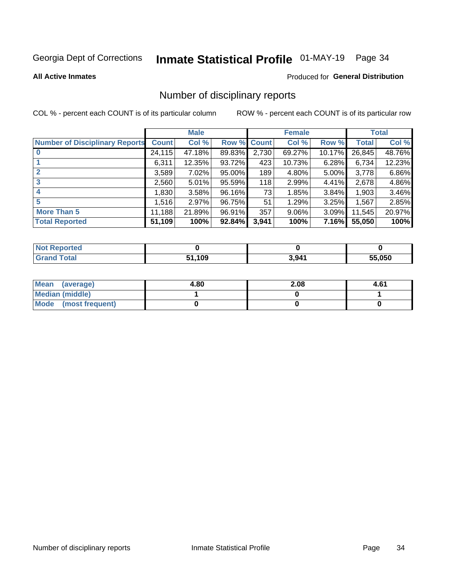## Inmate Statistical Profile 01-MAY-19 Page 34

#### **All Active Inmates**

#### Produced for General Distribution

## Number of disciplinary reports

COL % - percent each COUNT is of its particular column

|                                       |              | <b>Male</b> |             |       | <b>Female</b> |          |        | <b>Total</b> |
|---------------------------------------|--------------|-------------|-------------|-------|---------------|----------|--------|--------------|
| <b>Number of Disciplinary Reports</b> | <b>Count</b> | Col %       | Row % Count |       | Col %         | Row %    | Total  | Col %        |
| $\bf{0}$                              | 24,115       | 47.18%      | 89.83%      | 2,730 | 69.27%        | 10.17%   | 26,845 | 48.76%       |
|                                       | 6,311        | 12.35%      | 93.72%      | 423   | 10.73%        | 6.28%    | 6,734  | 12.23%       |
| $\mathbf{2}$                          | 3,589        | 7.02%       | 95.00%      | 189   | 4.80%         | $5.00\%$ | 3,778  | 6.86%        |
| 3                                     | 2,560        | 5.01%       | 95.59%      | 118   | 2.99%         | 4.41%    | 2,678  | 4.86%        |
|                                       | 1,830        | 3.58%       | 96.16%      | 73    | 1.85%         | 3.84%    | 1,903  | 3.46%        |
| 5                                     | 1,516        | 2.97%       | 96.75%      | 51    | 1.29%         | 3.25%    | 1,567  | 2.85%        |
| <b>More Than 5</b>                    | 11,188       | 21.89%      | 96.91%      | 357   | $9.06\%$      | 3.09%    | 11,545 | 20.97%       |
| <b>Total Reported</b>                 | 51,109       | 100%        | 92.84%      | 3,941 | 100%          | 7.16%    | 55,050 | 100%         |

| Reported<br>Not <b>F</b> |      |       |        |
|--------------------------|------|-------|--------|
| Total                    | .109 | 3,941 | 55.050 |

| Mean (average)       | 4.80 | 2.08 | 4.61 |
|----------------------|------|------|------|
| Median (middle)      |      |      |      |
| Mode (most frequent) |      |      |      |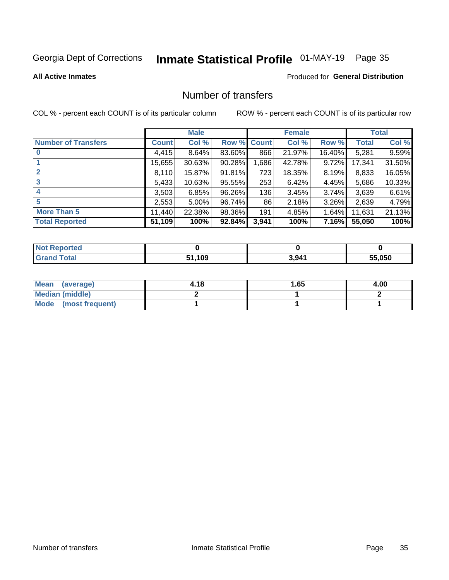## Inmate Statistical Profile 01-MAY-19 Page 35

#### **All Active Inmates**

### **Produced for General Distribution**

## Number of transfers

COL % - percent each COUNT is of its particular column

|                            |         | <b>Male</b> |        |              | <b>Female</b> |          |              | <b>Total</b> |
|----------------------------|---------|-------------|--------|--------------|---------------|----------|--------------|--------------|
| <b>Number of Transfers</b> | Count l | Col %       | Row %  | <b>Count</b> | Col %         | Row %    | <b>Total</b> | Col %        |
|                            | 4,415   | 8.64%       | 83.60% | 866          | 21.97%        | 16.40%   | 5,281        | 9.59%        |
|                            | 15,655  | 30.63%      | 90.28% | 1,686        | 42.78%        | $9.72\%$ | 17,341       | 31.50%       |
| $\mathbf{2}$               | 8,110   | 15.87%      | 91.81% | 723          | 18.35%        | 8.19%    | 8,833        | 16.05%       |
| 3                          | 5,433   | 10.63%      | 95.55% | 253          | 6.42%         | 4.45%    | 5,686        | 10.33%       |
|                            | 3,503   | 6.85%       | 96.26% | 136          | 3.45%         | $3.74\%$ | 3,639        | 6.61%        |
| 5                          | 2,553   | $5.00\%$    | 96.74% | 86           | 2.18%         | $3.26\%$ | 2,639        | 4.79%        |
| <b>More Than 5</b>         | 11,440  | 22.38%      | 98.36% | 191          | 4.85%         | 1.64%    | 11,631       | 21.13%       |
| <b>Total Reported</b>      | 51,109  | 100%        | 92.84% | 3,941        | 100%          | 7.16%    | 55,050       | 100%         |

| orted<br><b>NOT</b> |            |       |        |
|---------------------|------------|-------|--------|
| Total               | .109<br>54 | 3,941 | 55.050 |

| Mean (average)       | 4.18 | 65.، | 4.00 |
|----------------------|------|------|------|
| Median (middle)      |      |      |      |
| Mode (most frequent) |      |      |      |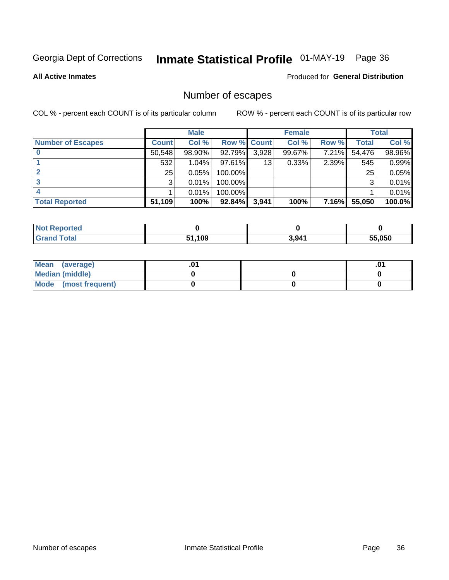## Inmate Statistical Profile 01-MAY-19 Page 36

**All Active Inmates** 

#### Produced for General Distribution

## Number of escapes

COL % - percent each COUNT is of its particular column

|                          |              | <b>Male</b> |             |       | <b>Female</b> |              |        | <b>Total</b> |
|--------------------------|--------------|-------------|-------------|-------|---------------|--------------|--------|--------------|
| <b>Number of Escapes</b> | <b>Count</b> | Col %       | Row % Count |       | Col %         | Row %        | Total  | Col %        |
|                          | 50,548       | 98.90%      | 92.79%      | 3,928 | 99.67%        | 7.21%        | 54,476 | 98.96%       |
|                          | 532          | 1.04%       | 97.61%      | 13    | 0.33%         | 2.39%        | 545    | 0.99%        |
| 2                        | 25           | 0.05%       | 100.00%     |       |               |              | 25     | 0.05%        |
| 3                        | 3            | 0.01%       | 100.00%     |       |               |              | 3      | 0.01%        |
|                          |              | 0.01%       | 100.00%     |       |               |              |        | 0.01%        |
| <b>Total Reported</b>    | 51,109       | 100%        | 92.84%      | 3,941 | 100%          | <b>7.16%</b> | 55,050 | 100.0%       |

| тео |             |       |        |
|-----|-------------|-------|--------|
|     | .109<br>EA. | 3,941 | 55.050 |

| Mean (average)       |  | .0 <sup>1</sup> |
|----------------------|--|-----------------|
| Median (middle)      |  |                 |
| Mode (most frequent) |  |                 |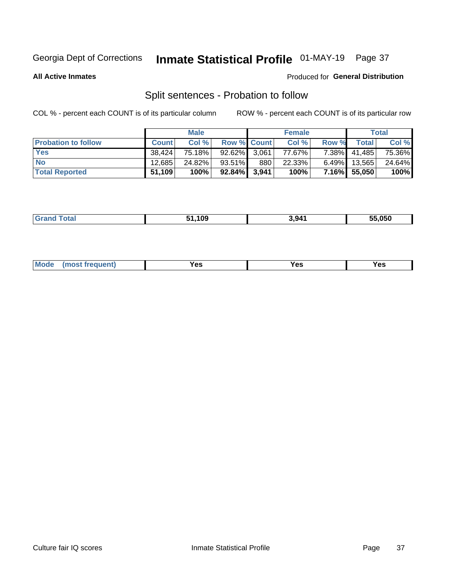## Inmate Statistical Profile 01-MAY-19 Page 37

**All Active Inmates** 

#### Produced for General Distribution

## Split sentences - Probation to follow

COL % - percent each COUNT is of its particular column

|                            |              | <b>Male</b> |                 |     | <b>Female</b> |          |              | <b>Total</b> |
|----------------------------|--------------|-------------|-----------------|-----|---------------|----------|--------------|--------------|
| <b>Probation to follow</b> | <b>Count</b> | Col%        | Row % Count     |     | Col %         | Row %    | <b>Total</b> | Col %        |
| <b>Yes</b>                 | 38.424       | 75.18%      | $92.62\%$ 3.061 |     | 77.67%        | $7.38\%$ | 41,485       | 75.36%       |
| <b>No</b>                  | 12.685       | 24.82%      | $93.51\%$       | 880 | 22.33%        | $6.49\%$ | 13,565       | 24.64%       |
| <b>Total Reported</b>      | 51,109       | 100%        | $92.84\%$ 3,941 |     | 100%          |          | 7.16% 55,050 | 100%         |

| .<br>_______ | 109 | .941 | 55.050 |
|--------------|-----|------|--------|
|              |     |      |        |

| M<br>reauent)<br>/٥<br>$\sim$<br>v.,<br>.<br>w<br>$\cdot$ - $\cdot$ |  |  |  |  |  |
|---------------------------------------------------------------------|--|--|--|--|--|
|---------------------------------------------------------------------|--|--|--|--|--|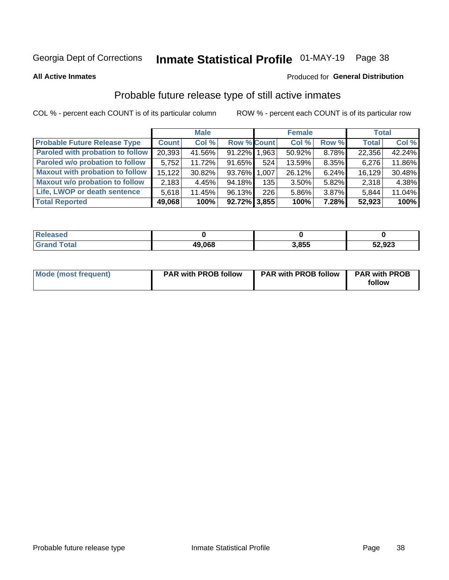## Inmate Statistical Profile 01-MAY-19 Page 38

**All Active Inmates** 

#### Produced for General Distribution

## Probable future release type of still active inmates

COL % - percent each COUNT is of its particular column

|                                         |              | <b>Male</b> |                    |     | <b>Female</b> |          | <b>Total</b> |        |
|-----------------------------------------|--------------|-------------|--------------------|-----|---------------|----------|--------------|--------|
| <b>Probable Future Release Type</b>     | <b>Count</b> | Col %       | <b>Row % Count</b> |     | Col %         | Row %    | <b>Total</b> | Col %  |
| <b>Paroled with probation to follow</b> | 20,393       | 41.56%      | 91.22% 1.963       |     | 50.92%        | 8.78%    | 22,356       | 42.24% |
| Paroled w/o probation to follow         | 5,752        | 11.72%      | 91.65%             | 524 | 13.59%        | 8.35%    | 6,276        | 11.86% |
| <b>Maxout with probation to follow</b>  | 15.122       | 30.82%      | 93.76% 1.007       |     | 26.12%        | 6.24%    | 16,129       | 30.48% |
| <b>Maxout w/o probation to follow</b>   | 2,183        | 4.45%       | 94.18%             | 135 | 3.50%         | 5.82%    | 2,318        | 4.38%  |
| Life, LWOP or death sentence            | 5,618        | 11.45%      | 96.13%             | 226 | 5.86%         | $3.87\%$ | 5,844        | 11.04% |
| <b>Total Reported</b>                   | 49,068       | 100%        | $92.72\%$ 3.855    |     | 100%          | 7.28%    | 52,923       | 100%   |

| 456U                  |        |       |                 |
|-----------------------|--------|-------|-----------------|
| $f \wedge f \wedge f$ | 49,068 | 3.855 | כפח ה<br>34,943 |

| <b>Mode (most frequent)</b> | <b>PAR with PROB follow</b> | <b>PAR with PROB follow</b> | <b>PAR with PROB</b> |
|-----------------------------|-----------------------------|-----------------------------|----------------------|
|                             |                             |                             | follow               |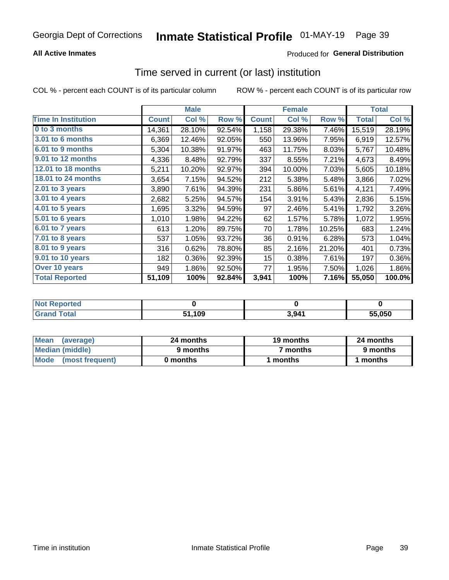### **All Active Inmates**

### **Produced for General Distribution**

# Time served in current (or last) institution

COL % - percent each COUNT is of its particular column

|                            |              | <b>Male</b> |        |              | <b>Female</b> |        |              | <b>Total</b> |
|----------------------------|--------------|-------------|--------|--------------|---------------|--------|--------------|--------------|
| <b>Time In Institution</b> | <b>Count</b> | Col %       | Row %  | <b>Count</b> | Col %         | Row %  | <b>Total</b> | Col %        |
| 0 to 3 months              | 14,361       | 28.10%      | 92.54% | 1,158        | 29.38%        | 7.46%  | 15,519       | 28.19%       |
| 3.01 to 6 months           | 6,369        | 12.46%      | 92.05% | 550          | 13.96%        | 7.95%  | 6,919        | 12.57%       |
| 6.01 to 9 months           | 5,304        | 10.38%      | 91.97% | 463          | 11.75%        | 8.03%  | 5,767        | 10.48%       |
| 9.01 to 12 months          | 4,336        | 8.48%       | 92.79% | 337          | 8.55%         | 7.21%  | 4,673        | 8.49%        |
| 12.01 to 18 months         | 5,211        | 10.20%      | 92.97% | 394          | 10.00%        | 7.03%  | 5,605        | 10.18%       |
| <b>18.01 to 24 months</b>  | 3,654        | 7.15%       | 94.52% | 212          | 5.38%         | 5.48%  | 3,866        | 7.02%        |
| 2.01 to 3 years            | 3,890        | 7.61%       | 94.39% | 231          | 5.86%         | 5.61%  | 4,121        | 7.49%        |
| 3.01 to 4 years            | 2,682        | 5.25%       | 94.57% | 154          | 3.91%         | 5.43%  | 2,836        | 5.15%        |
| $4.01$ to 5 years          | 1,695        | 3.32%       | 94.59% | 97           | 2.46%         | 5.41%  | 1,792        | 3.26%        |
| 5.01 to 6 years            | 1,010        | 1.98%       | 94.22% | 62           | 1.57%         | 5.78%  | 1,072        | 1.95%        |
| 6.01 to 7 years            | 613          | 1.20%       | 89.75% | 70           | 1.78%         | 10.25% | 683          | 1.24%        |
| 7.01 to 8 years            | 537          | 1.05%       | 93.72% | 36           | 0.91%         | 6.28%  | 573          | 1.04%        |
| $8.01$ to 9 years          | 316          | 0.62%       | 78.80% | 85           | 2.16%         | 21.20% | 401          | 0.73%        |
| 9.01 to 10 years           | 182          | 0.36%       | 92.39% | 15           | 0.38%         | 7.61%  | 197          | 0.36%        |
| Over 10 years              | 949          | 1.86%       | 92.50% | 77           | 1.95%         | 7.50%  | 1,026        | 1.86%        |
| <b>Total Reported</b>      | 51,109       | 100%        | 92.84% | 3,941        | 100%          | 7.16%  | 55,050       | 100.0%       |

| <b>Penorted</b><br><b>Not</b> |      |       |        |
|-------------------------------|------|-------|--------|
| ⊺ิ∩tal                        | .109 | . Q41 | 55.050 |

| <b>Mean</b><br>(average) | 24 months | 19 months | 24 months |
|--------------------------|-----------|-----------|-----------|
| Median (middle)          | 9 months  | 7 months  | 9 months  |
| Mode (most frequent)     | 0 months  | months    | 1 months  |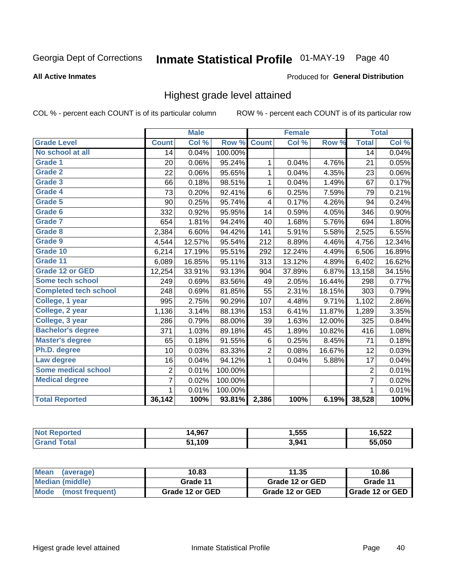# Inmate Statistical Profile 01-MAY-19 Page 40

#### **All Active Inmates**

#### Produced for General Distribution

### Highest grade level attained

COL % - percent each COUNT is of its particular column

|                              |                 | <b>Male</b> |         |                | <b>Female</b> |        |                 | <b>Total</b> |
|------------------------------|-----------------|-------------|---------|----------------|---------------|--------|-----------------|--------------|
| <b>Grade Level</b>           | <b>Count</b>    | Col %       | Row %   | <b>Count</b>   | Col %         | Row %  | <b>Total</b>    | Col %        |
| No school at all             | $\overline{14}$ | 0.04%       | 100.00% |                |               |        | $\overline{14}$ | 0.04%        |
| <b>Grade 1</b>               | 20              | 0.06%       | 95.24%  | 1              | 0.04%         | 4.76%  | 21              | 0.05%        |
| <b>Grade 2</b>               | 22              | 0.06%       | 95.65%  | 1              | 0.04%         | 4.35%  | 23              | 0.06%        |
| Grade 3                      | 66              | 0.18%       | 98.51%  | 1              | 0.04%         | 1.49%  | 67              | 0.17%        |
| Grade 4                      | 73              | 0.20%       | 92.41%  | 6              | 0.25%         | 7.59%  | 79              | 0.21%        |
| Grade 5                      | 90              | 0.25%       | 95.74%  | 4              | 0.17%         | 4.26%  | 94              | 0.24%        |
| Grade 6                      | 332             | 0.92%       | 95.95%  | 14             | 0.59%         | 4.05%  | 346             | 0.90%        |
| <b>Grade 7</b>               | 654             | 1.81%       | 94.24%  | 40             | 1.68%         | 5.76%  | 694             | 1.80%        |
| Grade 8                      | 2,384           | 6.60%       | 94.42%  | 141            | 5.91%         | 5.58%  | 2,525           | 6.55%        |
| Grade 9                      | 4,544           | 12.57%      | 95.54%  | 212            | 8.89%         | 4.46%  | 4,756           | 12.34%       |
| Grade 10                     | 6,214           | 17.19%      | 95.51%  | 292            | 12.24%        | 4.49%  | 6,506           | 16.89%       |
| Grade 11                     | 6,089           | 16.85%      | 95.11%  | 313            | 13.12%        | 4.89%  | 6,402           | 16.62%       |
| <b>Grade 12 or GED</b>       | 12,254          | 33.91%      | 93.13%  | 904            | 37.89%        | 6.87%  | 13,158          | 34.15%       |
| <b>Some tech school</b>      | 249             | 0.69%       | 83.56%  | 49             | 2.05%         | 16.44% | 298             | 0.77%        |
| <b>Completed tech school</b> | 248             | 0.69%       | 81.85%  | 55             | 2.31%         | 18.15% | 303             | 0.79%        |
| College, 1 year              | 995             | 2.75%       | 90.29%  | 107            | 4.48%         | 9.71%  | 1,102           | 2.86%        |
| College, 2 year              | 1,136           | 3.14%       | 88.13%  | 153            | 6.41%         | 11.87% | 1,289           | 3.35%        |
| College, 3 year              | 286             | 0.79%       | 88.00%  | 39             | 1.63%         | 12.00% | 325             | 0.84%        |
| <b>Bachelor's degree</b>     | 371             | 1.03%       | 89.18%  | 45             | 1.89%         | 10.82% | 416             | 1.08%        |
| <b>Master's degree</b>       | 65              | 0.18%       | 91.55%  | $\,6$          | 0.25%         | 8.45%  | 71              | 0.18%        |
| Ph.D. degree                 | 10              | 0.03%       | 83.33%  | $\overline{c}$ | 0.08%         | 16.67% | 12              | 0.03%        |
| Law degree                   | 16              | 0.04%       | 94.12%  | 1              | 0.04%         | 5.88%  | 17              | 0.04%        |
| <b>Some medical school</b>   | $\overline{2}$  | 0.01%       | 100.00% |                |               |        | 2               | 0.01%        |
| <b>Medical degree</b>        | 7               | 0.02%       | 100.00% |                |               |        | $\overline{7}$  | 0.02%        |
|                              | 1.              | 0.01%       | 100.00% |                |               |        | 1               | 0.01%        |
| <b>Total Reported</b>        | 36,142          | 100%        | 93.81%  | 2,386          | 100%          | 6.19%  | 38,528          | 100%         |

| 0 <sub>5</sub><br>ıл<br>4.JU | <b>1.555</b> | <b>FOO</b><br>⊿∆כ,סי |
|------------------------------|--------------|----------------------|
| ,109                         | 3,941        | 55.050               |

| Mean<br>(average)    | 10.83           | 11.35           | 10.86           |  |
|----------------------|-----------------|-----------------|-----------------|--|
| Median (middle)      | Grade 11        | Grade 12 or GED | Grade 11        |  |
| Mode (most frequent) | Grade 12 or GED | Grade 12 or GED | Grade 12 or GED |  |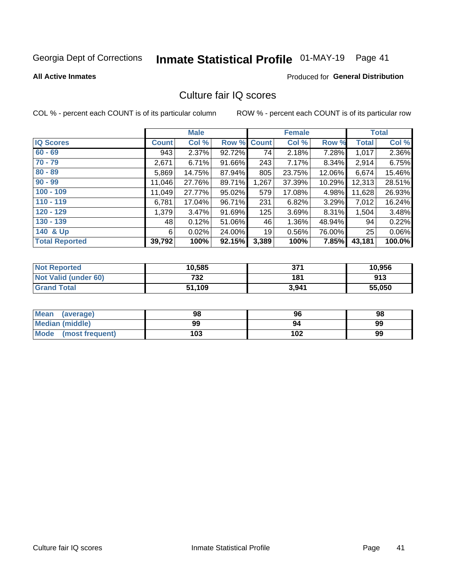# Inmate Statistical Profile 01-MAY-19 Page 41

#### **All Active Inmates**

### **Produced for General Distribution**

## Culture fair IQ scores

COL % - percent each COUNT is of its particular column

|                       |              | <b>Male</b> |             |       | <b>Female</b> |        |        | <b>Total</b> |
|-----------------------|--------------|-------------|-------------|-------|---------------|--------|--------|--------------|
| <b>IQ Scores</b>      | <b>Count</b> | Col %       | Row % Count |       | Col %         | Row %  | Total  | Col %        |
| $60 - 69$             | 943          | 2.37%       | 92.72%      | 74    | 2.18%         | 7.28%  | 1,017  | 2.36%        |
| $70 - 79$             | 2,671        | 6.71%       | 91.66%      | 243   | 7.17%         | 8.34%  | 2,914  | 6.75%        |
| $80 - 89$             | 5,869        | 14.75%      | 87.94%      | 805   | 23.75%        | 12.06% | 6,674  | 15.46%       |
| $90 - 99$             | 11,046       | 27.76%      | 89.71%      | 1,267 | 37.39%        | 10.29% | 12,313 | 28.51%       |
| $100 - 109$           | 11,049       | 27.77%      | 95.02%      | 579   | 17.08%        | 4.98%  | 11,628 | 26.93%       |
| $110 - 119$           | 6,781        | 17.04%      | 96.71%      | 231   | 6.82%         | 3.29%  | 7,012  | 16.24%       |
| $120 - 129$           | 1,379        | 3.47%       | 91.69%      | 125   | 3.69%         | 8.31%  | 1,504  | 3.48%        |
| $130 - 139$           | 48           | 0.12%       | 51.06%      | 46    | 1.36%         | 48.94% | 94     | 0.22%        |
| 140 & Up              | 6            | 0.02%       | 24.00%      | 19    | 0.56%         | 76.00% | 25     | 0.06%        |
| <b>Total Reported</b> | 39,792       | 100%        | 92.15%      | 3,389 | 100%          | 7.85%  | 43,181 | 100.0%       |

| <b>Not Reported</b>  | 10,585 | 371   | 10,956 |
|----------------------|--------|-------|--------|
| Not Valid (under 60) | 732    | 181   | 913    |
| <b>Grand Total</b>   | 51,109 | 3,941 | 55,050 |

| <b>Mean</b><br>(average) | 98  | 96  | 98 |
|--------------------------|-----|-----|----|
| <b>Median (middle)</b>   | 99  | 94  | 99 |
| Mode<br>(most frequent)  | 103 | 102 | 99 |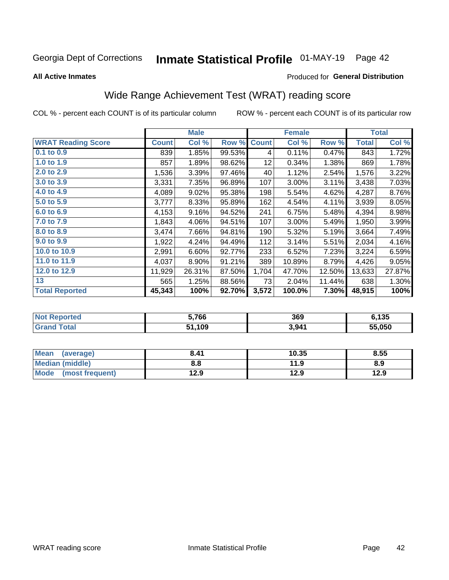# Inmate Statistical Profile 01-MAY-19 Page 42

#### **All Active Inmates**

#### Produced for General Distribution

# Wide Range Achievement Test (WRAT) reading score

COL % - percent each COUNT is of its particular column

|                           |         | <b>Male</b> |        |              | <b>Female</b> |        |              | <b>Total</b> |
|---------------------------|---------|-------------|--------|--------------|---------------|--------|--------------|--------------|
| <b>WRAT Reading Score</b> | Count l | Col %       | Row %  | <b>Count</b> | Col %         | Row %  | <b>Total</b> | Col %        |
| $0.1$ to $0.9$            | 839     | 1.85%       | 99.53% | 4            | 0.11%         | 0.47%  | 843          | 1.72%        |
| 1.0 to 1.9                | 857     | 1.89%       | 98.62% | 12           | 0.34%         | 1.38%  | 869          | 1.78%        |
| 2.0 to 2.9                | 1,536   | 3.39%       | 97.46% | 40           | 1.12%         | 2.54%  | 1,576        | 3.22%        |
| 3.0 to 3.9                | 3,331   | 7.35%       | 96.89% | 107          | 3.00%         | 3.11%  | 3,438        | 7.03%        |
| 4.0 to 4.9                | 4,089   | 9.02%       | 95.38% | 198          | 5.54%         | 4.62%  | 4,287        | 8.76%        |
| 5.0 to 5.9                | 3,777   | 8.33%       | 95.89% | 162          | 4.54%         | 4.11%  | 3,939        | 8.05%        |
| 6.0 to 6.9                | 4,153   | 9.16%       | 94.52% | 241          | 6.75%         | 5.48%  | 4,394        | 8.98%        |
| 7.0 to 7.9                | 1,843   | 4.06%       | 94.51% | 107          | 3.00%         | 5.49%  | 1,950        | 3.99%        |
| 8.0 to 8.9                | 3,474   | 7.66%       | 94.81% | 190          | 5.32%         | 5.19%  | 3,664        | 7.49%        |
| 9.0 to 9.9                | 1,922   | 4.24%       | 94.49% | 112          | 3.14%         | 5.51%  | 2,034        | 4.16%        |
| 10.0 to 10.9              | 2,991   | 6.60%       | 92.77% | 233          | 6.52%         | 7.23%  | 3,224        | 6.59%        |
| 11.0 to 11.9              | 4,037   | 8.90%       | 91.21% | 389          | 10.89%        | 8.79%  | 4,426        | 9.05%        |
| 12.0 to 12.9              | 11,929  | 26.31%      | 87.50% | 1,704        | 47.70%        | 12.50% | 13,633       | 27.87%       |
| 13                        | 565     | 1.25%       | 88.56% | 73           | 2.04%         | 11.44% | 638          | 1.30%        |
| <b>Total Reported</b>     | 45,343  | 100%        | 92.70% | 3,572        | 100.0%        | 7.30%  | 48,915       | 100%         |

| <u>orteo</u><br>' NOT | 5,766 | 369   | 6,135  |
|-----------------------|-------|-------|--------|
| $f \wedge f \wedge f$ | ,109  | 3,941 | 55.050 |

| <b>Mean</b><br>(average) | 8.41 | 10.35 | 8.55 |
|--------------------------|------|-------|------|
| Median (middle)          | 8.8  | 11.9  | 8.9  |
| Mode<br>(most frequent)  | 12.9 | 12.9  | 12.9 |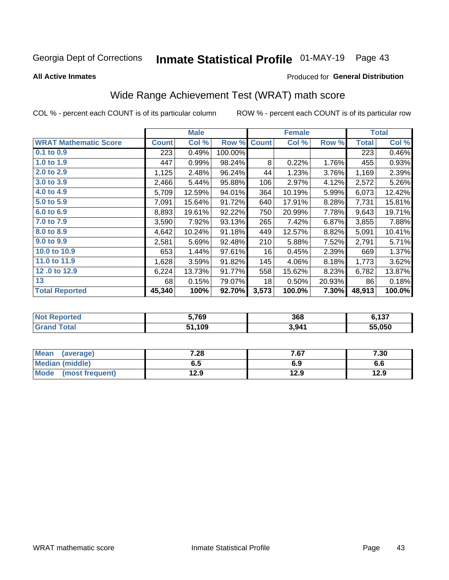# Inmate Statistical Profile 01-MAY-19 Page 43

**All Active Inmates** 

#### Produced for General Distribution

# Wide Range Achievement Test (WRAT) math score

COL % - percent each COUNT is of its particular column

|                              |              | <b>Male</b> |         |              | <b>Female</b> |        |              | <b>Total</b> |
|------------------------------|--------------|-------------|---------|--------------|---------------|--------|--------------|--------------|
| <b>WRAT Mathematic Score</b> | <b>Count</b> | Col %       | Row %   | <b>Count</b> | Col %         | Row %  | <b>Total</b> | Col %        |
| $0.1$ to $0.9$               | 223          | 0.49%       | 100.00% |              |               |        | 223          | 0.46%        |
| 1.0 to 1.9                   | 447          | 0.99%       | 98.24%  | 8            | 0.22%         | 1.76%  | 455          | 0.93%        |
| 2.0 to 2.9                   | 1,125        | 2.48%       | 96.24%  | 44           | 1.23%         | 3.76%  | 1,169        | 2.39%        |
| 3.0 to 3.9                   | 2,466        | 5.44%       | 95.88%  | 106          | 2.97%         | 4.12%  | 2,572        | 5.26%        |
| 4.0 to 4.9                   | 5,709        | 12.59%      | 94.01%  | 364          | 10.19%        | 5.99%  | 6,073        | 12.42%       |
| 5.0 to 5.9                   | 7,091        | 15.64%      | 91.72%  | 640          | 17.91%        | 8.28%  | 7,731        | 15.81%       |
| 6.0 to 6.9                   | 8,893        | 19.61%      | 92.22%  | 750          | 20.99%        | 7.78%  | 9,643        | 19.71%       |
| 7.0 to 7.9                   | 3,590        | 7.92%       | 93.13%  | 265          | 7.42%         | 6.87%  | 3,855        | 7.88%        |
| 8.0 to 8.9                   | 4,642        | 10.24%      | 91.18%  | 449          | 12.57%        | 8.82%  | 5,091        | 10.41%       |
| 9.0 to 9.9                   | 2,581        | 5.69%       | 92.48%  | 210          | 5.88%         | 7.52%  | 2,791        | 5.71%        |
| 10.0 to 10.9                 | 653          | 1.44%       | 97.61%  | 16           | 0.45%         | 2.39%  | 669          | 1.37%        |
| 11.0 to 11.9                 | 1,628        | 3.59%       | 91.82%  | 145          | 4.06%         | 8.18%  | 1,773        | 3.62%        |
| 12.0 to 12.9                 | 6,224        | 13.73%      | 91.77%  | 558          | 15.62%        | 8.23%  | 6,782        | 13.87%       |
| 13                           | 68           | 0.15%       | 79.07%  | 18           | 0.50%         | 20.93% | 86           | 0.18%        |
| <b>Total Reported</b>        | 45,340       | 100%        | 92.70%  | 3,573        | 100.0%        | 7.30%  | 48,913       | 100.0%       |

| <b>Reported</b>        | 5,769   | 368   | 127    |
|------------------------|---------|-------|--------|
| ' Not I                | <b></b> |       | 0,131  |
| <b>Total</b><br>'Grano | ,109    | 3,941 | 55.050 |

| <b>Mean</b><br>(average) | 7.28 | 7.67 | 7.30 |
|--------------------------|------|------|------|
| Median (middle)          | כ.ס  | 6.9  | ס.ס  |
| Mode<br>(most frequent)  | 12.9 | 12.9 | 12.9 |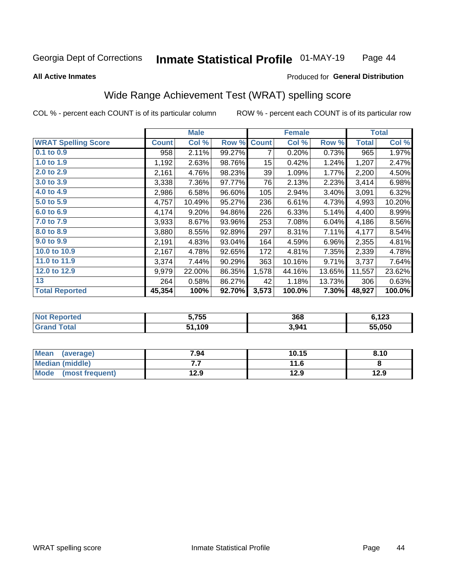#### Inmate Statistical Profile 01-MAY-19 Page 44

#### **All Active Inmates**

### **Produced for General Distribution**

## Wide Range Achievement Test (WRAT) spelling score

COL % - percent each COUNT is of its particular column

|                            |              | <b>Male</b> |        |              | <b>Female</b> |        |              | <b>Total</b> |
|----------------------------|--------------|-------------|--------|--------------|---------------|--------|--------------|--------------|
| <b>WRAT Spelling Score</b> | <b>Count</b> | Col %       | Row %  | <b>Count</b> | Col %         | Row %  | <b>Total</b> | Col %        |
| 0.1 to 0.9                 | 958          | 2.11%       | 99.27% | 7            | 0.20%         | 0.73%  | 965          | 1.97%        |
| 1.0 to 1.9                 | 1,192        | 2.63%       | 98.76% | 15           | 0.42%         | 1.24%  | 1,207        | 2.47%        |
| 2.0 to 2.9                 | 2,161        | 4.76%       | 98.23% | 39           | 1.09%         | 1.77%  | 2,200        | 4.50%        |
| 3.0 to 3.9                 | 3,338        | 7.36%       | 97.77% | 76           | 2.13%         | 2.23%  | 3,414        | 6.98%        |
| 4.0 to 4.9                 | 2,986        | 6.58%       | 96.60% | 105          | 2.94%         | 3.40%  | 3,091        | 6.32%        |
| 5.0 to 5.9                 | 4,757        | 10.49%      | 95.27% | 236          | 6.61%         | 4.73%  | 4,993        | 10.20%       |
| 6.0 to 6.9                 | 4,174        | 9.20%       | 94.86% | 226          | 6.33%         | 5.14%  | 4,400        | 8.99%        |
| 7.0 to 7.9                 | 3,933        | 8.67%       | 93.96% | 253          | 7.08%         | 6.04%  | 4,186        | 8.56%        |
| 8.0 to 8.9                 | 3,880        | 8.55%       | 92.89% | 297          | 8.31%         | 7.11%  | 4,177        | 8.54%        |
| 9.0 to 9.9                 | 2,191        | 4.83%       | 93.04% | 164          | 4.59%         | 6.96%  | 2,355        | 4.81%        |
| 10.0 to 10.9               | 2,167        | 4.78%       | 92.65% | 172          | 4.81%         | 7.35%  | 2,339        | 4.78%        |
| 11.0 to 11.9               | 3,374        | 7.44%       | 90.29% | 363          | 10.16%        | 9.71%  | 3,737        | 7.64%        |
| 12.0 to 12.9               | 9,979        | 22.00%      | 86.35% | 1,578        | 44.16%        | 13.65% | 11,557       | 23.62%       |
| 13                         | 264          | 0.58%       | 86.27% | 42           | 1.18%         | 13.73% | 306          | 0.63%        |
| <b>Total Reported</b>      | 45,354       | 100%        | 92.70% | 3,573        | 100.0%        | 7.30%  | 48,927       | 100.0%       |

| -тес<br>NO | 5,755 | 368   | $\sqrt{2}$<br>1 Z J<br>$\sim$ |
|------------|-------|-------|-------------------------------|
|            | ,109  | 3,941 | 55.050                        |

| Mean<br>(average)      | 7.94 | 10.15 | 8.10 |
|------------------------|------|-------|------|
| <b>Median (middle)</b> | .    | 11.6  |      |
| Mode (most frequent)   | 12.9 | 12.9  | 12.9 |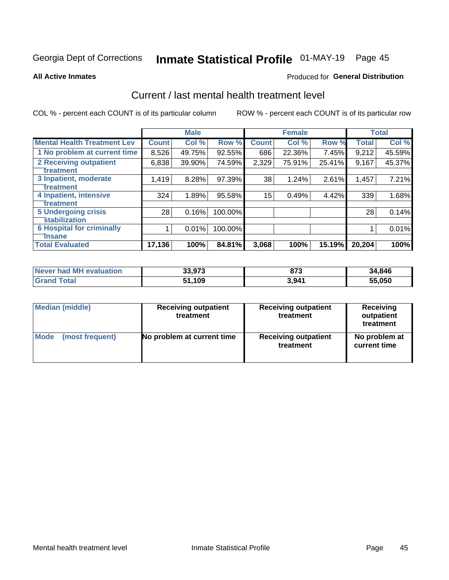# Inmate Statistical Profile 01-MAY-19 Page 45

#### **All Active Inmates**

#### Produced for General Distribution

## Current / last mental health treatment level

COL % - percent each COUNT is of its particular column

|                                    |              | <b>Male</b> |         |              | <b>Female</b> |        |        | <b>Total</b> |
|------------------------------------|--------------|-------------|---------|--------------|---------------|--------|--------|--------------|
| <b>Mental Health Treatment Lev</b> | <b>Count</b> | Col%        | Row %   | <b>Count</b> | Col %         | Row %  | Total  | Col %        |
| 1 No problem at current time       | 8,526        | 49.75%      | 92.55%  | 686          | 22.36%        | 7.45%  | 9,212  | 45.59%       |
| <b>2 Receiving outpatient</b>      | 6,838        | 39.90%      | 74.59%  | 2,329        | 75.91%        | 25.41% | 9,167  | 45.37%       |
| <b>Treatment</b>                   |              |             |         |              |               |        |        |              |
| 3 Inpatient, moderate              | 1,419        | 8.28%       | 97.39%  | 38           | 1.24%         | 2.61%  | 1,457  | 7.21%        |
| <b>Treatment</b>                   |              |             |         |              |               |        |        |              |
| 4 Inpatient, intensive             | 324          | 1.89%       | 95.58%  | 15           | 0.49%         | 4.42%  | 339    | 1.68%        |
| <b>Treatment</b>                   |              |             |         |              |               |        |        |              |
| <b>5 Undergoing crisis</b>         | 28           | 0.16%       | 100.00% |              |               |        | 28     | 0.14%        |
| <b>stabilization</b>               |              |             |         |              |               |        |        |              |
| <b>6 Hospital for criminally</b>   |              | 0.01%       | 100.00% |              |               |        |        | 0.01%        |
| <b>Tinsane</b>                     |              |             |         |              |               |        |        |              |
| <b>Total Evaluated</b>             | 17,136       | 100%        | 84.81%  | 3,068        | 100%          | 15.19% | 20,204 | 100%         |

| Never had MH evaluation | 33,973 | 873   | 34,846 |
|-------------------------|--------|-------|--------|
| <b>Grand Total</b>      | 51,109 | 3,941 | 55,050 |

| Median (middle) | <b>Receiving outpatient</b><br>treatment | <b>Receiving outpatient</b><br>treatment | <b>Receiving</b><br>outpatient<br>treatment |  |  |
|-----------------|------------------------------------------|------------------------------------------|---------------------------------------------|--|--|
| <b>Mode</b>     | No problem at current time               | <b>Receiving outpatient</b>              | No problem at                               |  |  |
| (most frequent) |                                          | treatment                                | current time                                |  |  |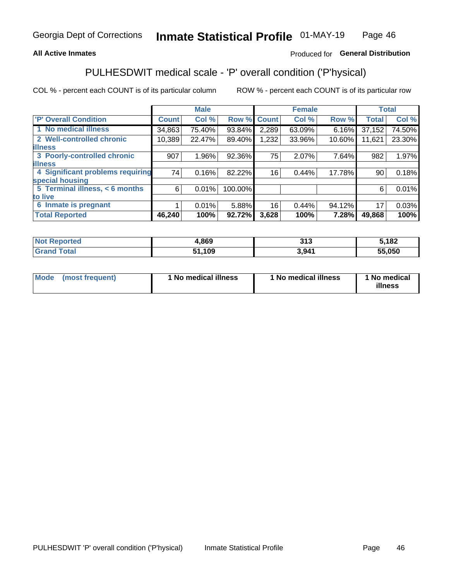### **All Active Inmates**

### Produced for General Distribution

# PULHESDWIT medical scale - 'P' overall condition ('P'hysical)

COL % - percent each COUNT is of its particular column

|                                  |              | <b>Male</b> |         |              | <b>Female</b> |        |              | <b>Total</b> |
|----------------------------------|--------------|-------------|---------|--------------|---------------|--------|--------------|--------------|
| <b>P' Overall Condition</b>      | <b>Count</b> | Col %       | Row %   | <b>Count</b> | Col %         | Row %  | <b>Total</b> | Col %        |
| 1 No medical illness             | 34,863       | 75.40%      | 93.84%  | 2,289        | 63.09%        | 6.16%  | 37,152       | 74.50%       |
| 2 Well-controlled chronic        | 10,389       | 22.47%      | 89.40%  | 1,232        | 33.96%        | 10.60% | 11,621       | 23.30%       |
| <b>lilness</b>                   |              |             |         |              |               |        |              |              |
| 3 Poorly-controlled chronic      | 907          | $1.96\%$    | 92.36%  | 75           | 2.07%         | 7.64%  | 982          | 1.97%        |
| <b>illness</b>                   |              |             |         |              |               |        |              |              |
| 4 Significant problems requiring | 74           | 0.16%       | 82.22%  | 16           | 0.44%         | 17.78% | 90           | 0.18%        |
| special housing                  |              |             |         |              |               |        |              |              |
| 5 Terminal illness, < 6 months   | 6            | 0.01%       | 100.00% |              |               |        | 6            | 0.01%        |
| to live                          |              |             |         |              |               |        |              |              |
| 6 Inmate is pregnant             |              | 0.01%       | 5.88%   | 16           | 0.44%         | 94.12% | 17           | 0.03%        |
| <b>Total Reported</b>            | 46,240       | 100%        | 92.72%  | 3,628        | 100%          | 7.28%  | 49,868       | 100%         |

| тео | .869 | 24c<br>UIV | ,182   |
|-----|------|------------|--------|
|     | ,109 | 3.94'      | 55.050 |

| Mode | (most frequent) | 1 No medical illness | 1 No medical illness | 1 No medical<br>illness |
|------|-----------------|----------------------|----------------------|-------------------------|
|------|-----------------|----------------------|----------------------|-------------------------|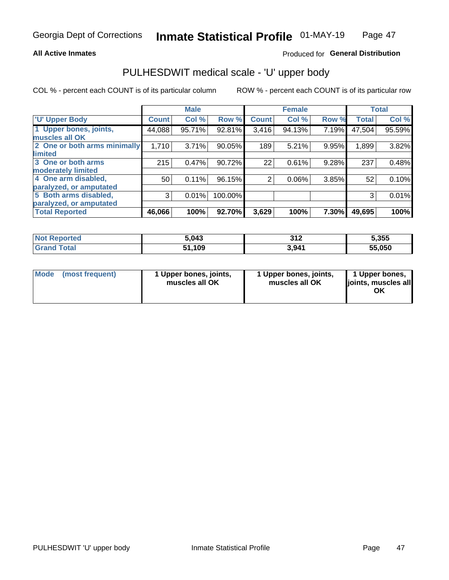#### **All Active Inmates**

### Produced for General Distribution

# PULHESDWIT medical scale - 'U' upper body

COL % - percent each COUNT is of its particular column

|                              |              | <b>Male</b> |         |              | <b>Female</b> |       |              | <b>Total</b> |
|------------------------------|--------------|-------------|---------|--------------|---------------|-------|--------------|--------------|
| <b>U' Upper Body</b>         | <b>Count</b> | Col %       | Row %   | <b>Count</b> | Col %         | Row % | <b>Total</b> | Col %        |
| 1 Upper bones, joints,       | 44,088       | 95.71%      | 92.81%  | 3,416        | 94.13%        | 7.19% | 47,504       | 95.59%       |
| muscles all OK               |              |             |         |              |               |       |              |              |
| 2 One or both arms minimally | 1,710        | 3.71%       | 90.05%  | 189          | 5.21%         | 9.95% | 1,899        | 3.82%        |
| limited                      |              |             |         |              |               |       |              |              |
| 3 One or both arms           | 215          | 0.47%       | 90.72%  | 22           | 0.61%         | 9.28% | 237          | 0.48%        |
| <b>moderately limited</b>    |              |             |         |              |               |       |              |              |
| 4 One arm disabled,          | 50           | 0.11%       | 96.15%  | 2            | 0.06%         | 3.85% | 52           | 0.10%        |
| paralyzed, or amputated      |              |             |         |              |               |       |              |              |
| 5 Both arms disabled,        | 3            | 0.01%       | 100.00% |              |               |       | 3            | 0.01%        |
| paralyzed, or amputated      |              |             |         |              |               |       |              |              |
| <b>Total Reported</b>        | 46,066       | 100%        | 92.70%  | 3,629        | 100%          | 7.30% | 49,695       | 100%         |

| Reported<br><b>Not</b> | 5.043        | つイク<br>ے ا ت | 5,355  |
|------------------------|--------------|--------------|--------|
| <b>Total</b>           | 51,109<br>E4 | 3,941        | 55.050 |

|  | Mode (most frequent) | 1 Upper bones, joints,<br>muscles all OK | 1 Upper bones, joints,<br>muscles all OK | 1 Upper bones,<br>ljoints, muscles all<br>ОK |
|--|----------------------|------------------------------------------|------------------------------------------|----------------------------------------------|
|--|----------------------|------------------------------------------|------------------------------------------|----------------------------------------------|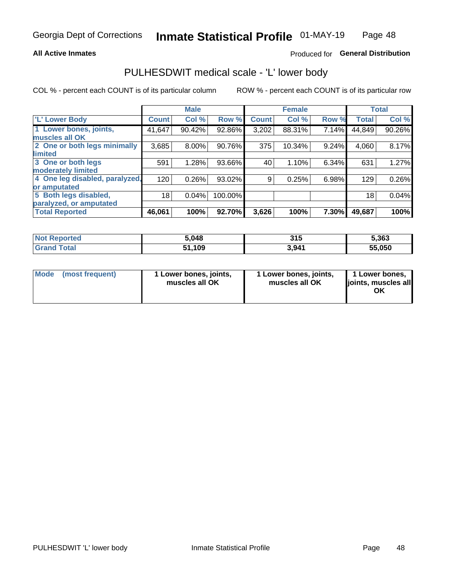#### **All Active Inmates**

### Produced for General Distribution

### PULHESDWIT medical scale - 'L' lower body

COL % - percent each COUNT is of its particular column

|                                |              | <b>Male</b> |         |              | <b>Female</b> |       |                 | <b>Total</b> |
|--------------------------------|--------------|-------------|---------|--------------|---------------|-------|-----------------|--------------|
| 'L' Lower Body                 | <b>Count</b> | Col %       | Row %   | <b>Count</b> | Col %         | Row % | <b>Total</b>    | Col %        |
| 1 Lower bones, joints,         | 41,647       | 90.42%      | 92.86%  | 3,202        | 88.31%        | 7.14% | 44,849          | 90.26%       |
| muscles all OK                 |              |             |         |              |               |       |                 |              |
| 2 One or both legs minimally   | 3,685        | 8.00%       | 90.76%  | 375          | 10.34%        | 9.24% | 4,060           | 8.17%        |
| limited                        |              |             |         |              |               |       |                 |              |
| 3 One or both legs             | 591          | 1.28%       | 93.66%  | 40           | 1.10%         | 6.34% | 631             | 1.27%        |
| moderately limited             |              |             |         |              |               |       |                 |              |
| 4 One leg disabled, paralyzed, | 120          | 0.26%       | 93.02%  | 9            | 0.25%         | 6.98% | 129             | 0.26%        |
| or amputated                   |              |             |         |              |               |       |                 |              |
| 5 Both legs disabled,          | 18           | 0.04%       | 100.00% |              |               |       | 18 <sub>1</sub> | 0.04%        |
| paralyzed, or amputated        |              |             |         |              |               |       |                 |              |
| <b>Total Reported</b>          | 46,061       | 100%        | 92.70%  | 3,626        | 100%          | 7.30% | 49,687          | 100%         |

| <b>Not Reported</b> | 5,048  | 315   | 5,363  |
|---------------------|--------|-------|--------|
| <b>Grand Total</b>  | 51,109 | 3,941 | 55,050 |

|  | Mode (most frequent) | 1 Lower bones, joints,<br>muscles all OK | 1 Lower bones, joints,<br>muscles all OK | 1 Lower bones,<br>joints, muscles all<br>ΟK |
|--|----------------------|------------------------------------------|------------------------------------------|---------------------------------------------|
|--|----------------------|------------------------------------------|------------------------------------------|---------------------------------------------|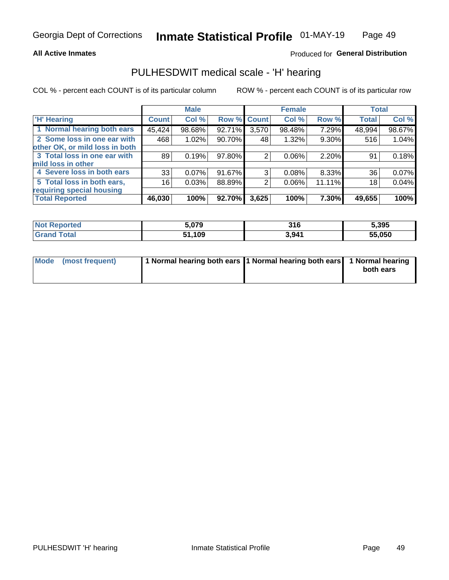#### **All Active Inmates**

### Produced for General Distribution

### PULHESDWIT medical scale - 'H' hearing

COL % - percent each COUNT is of its particular column

|                                |              | <b>Male</b> |                    |       | <b>Female</b> |        | <b>Total</b> |        |
|--------------------------------|--------------|-------------|--------------------|-------|---------------|--------|--------------|--------|
| <b>'H' Hearing</b>             | <b>Count</b> | Col %       | <b>Row % Count</b> |       | Col %         | Row %  | <b>Total</b> | Col %  |
| 1 Normal hearing both ears     | 45,424       | 98.68%      | 92.71%             | 3,570 | 98.48%        | 7.29%  | 48,994       | 98.67% |
| 2 Some loss in one ear with    | 468          | 1.02%       | 90.70%             | 48    | 1.32%         | 9.30%  | 516          | 1.04%  |
| other OK, or mild loss in both |              |             |                    |       |               |        |              |        |
| 3 Total loss in one ear with   | 89           | 0.19%       | 97.80%             | 2     | $0.06\%$      | 2.20%  | 91           | 0.18%  |
| mild loss in other             |              |             |                    |       |               |        |              |        |
| 4 Severe loss in both ears     | 33           | 0.07%       | 91.67%             | 3     | $0.08\%$      | 8.33%  | 36           | 0.07%  |
| 5 Total loss in both ears,     | 16           | 0.03%       | 88.89%             | 2     | 0.06%         | 11.11% | 18           | 0.04%  |
| requiring special housing      |              |             |                    |       |               |        |              |        |
| <b>Total Reported</b>          | 46,030       | 100%        | 92.70%             | 3,625 | 100%          | 7.30%  | 49,655       | 100%   |

| <b>Not Renc</b><br><b>roorted</b> | 070    | <u>та.</u><br>JIV | 5,395  |
|-----------------------------------|--------|-------------------|--------|
| Total                             | 51,109 | 3,941             | 55,050 |

| Mode (most frequent) | 1 Normal hearing both ears 11 Normal hearing both ears 1 Normal hearing | both ears |
|----------------------|-------------------------------------------------------------------------|-----------|
|                      |                                                                         |           |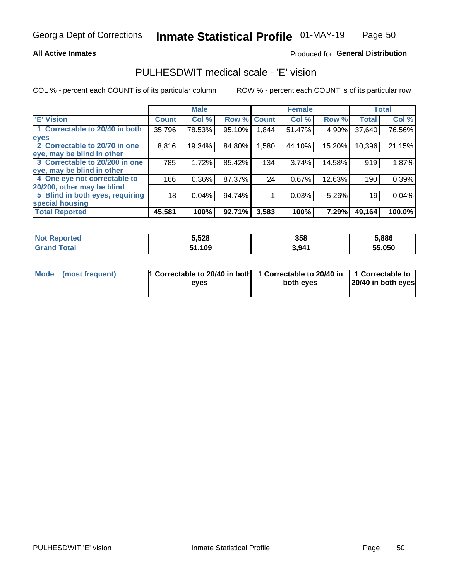#### **All Active Inmates**

### Produced for General Distribution

### PULHESDWIT medical scale - 'E' vision

COL % - percent each COUNT is of its particular column

|                                 |              | <b>Male</b> |        |              | <b>Female</b> |        |              | <b>Total</b> |
|---------------------------------|--------------|-------------|--------|--------------|---------------|--------|--------------|--------------|
| <b>E' Vision</b>                | <b>Count</b> | Col %       | Row %  | <b>Count</b> | Col %         | Row %  | <b>Total</b> | Col %        |
| 1 Correctable to 20/40 in both  | 35,796       | 78.53%      | 95.10% | .844         | 51.47%        | 4.90%  | 37,640       | 76.56%       |
| eyes                            |              |             |        |              |               |        |              |              |
| 2 Correctable to 20/70 in one   | 8,816        | 19.34%      | 84.80% | 1,580        | 44.10%        | 15.20% | 10,396       | 21.15%       |
| eye, may be blind in other      |              |             |        |              |               |        |              |              |
| 3 Correctable to 20/200 in one  | 785          | 1.72%       | 85.42% | 134          | 3.74%         | 14.58% | 919          | 1.87%        |
| eye, may be blind in other      |              |             |        |              |               |        |              |              |
| 4 One eye not correctable to    | 166          | 0.36%       | 87.37% | 24           | 0.67%         | 12.63% | 190          | 0.39%        |
| 20/200, other may be blind      |              |             |        |              |               |        |              |              |
| 5 Blind in both eyes, requiring | 18           | 0.04%       | 94.74% |              | 0.03%         | 5.26%  | 19           | 0.04%        |
| special housing                 |              |             |        |              |               |        |              |              |
| <b>Total Reported</b>           | 45,581       | 100%        | 92.71% | 3,583        | 100%          | 7.29%  | 49,164       | 100.0%       |

| <b>Not Reported</b> | 5,528       | 358   | 5,886  |
|---------------------|-------------|-------|--------|
| ™∩tal               | 109,<br>64. | 3,941 | 55,050 |

| Mode (most frequent) | 1 Correctable to 20/40 in both<br>eves | 1 Correctable to 20/40 in   1 Correctable to  <br>both eves | 20/40 in both eyes |
|----------------------|----------------------------------------|-------------------------------------------------------------|--------------------|
|                      |                                        |                                                             |                    |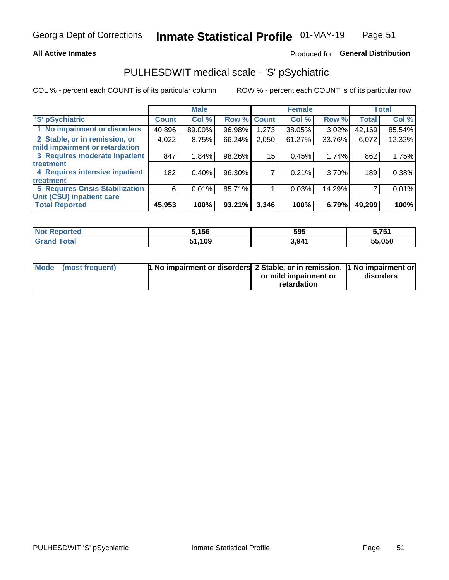#### **All Active Inmates**

### Produced for General Distribution

# PULHESDWIT medical scale - 'S' pSychiatric

COL % - percent each COUNT is of its particular column

|                                        |              | <b>Male</b> |        |              | <b>Female</b> |          |              | <b>Total</b> |
|----------------------------------------|--------------|-------------|--------|--------------|---------------|----------|--------------|--------------|
| 'S' pSychiatric                        | <b>Count</b> | Col %       | Row %  | <b>Count</b> | Col %         | Row %    | <b>Total</b> | Col %        |
| 1 No impairment or disorders           | 40,896       | 89.00%      | 96.98% | 1,273        | 38.05%        | 3.02%    | 42,169       | 85.54%       |
| 2 Stable, or in remission, or          | 4,022        | 8.75%       | 66.24% | 2,050        | 61.27%        | 33.76%   | 6,072        | 12.32%       |
| mild impairment or retardation         |              |             |        |              |               |          |              |              |
| 3 Requires moderate inpatient          | 847          | 1.84%       | 98.26% | 15           | 0.45%         | 1.74%    | 862          | 1.75%        |
| treatment                              |              |             |        |              |               |          |              |              |
| 4 Requires intensive inpatient         | 182          | 0.40%       | 96.30% |              | 0.21%         | $3.70\%$ | 189          | 0.38%        |
| treatment                              |              |             |        |              |               |          |              |              |
| <b>5 Requires Crisis Stabilization</b> | 6            | 0.01%       | 85.71% |              | 0.03%         | 14.29%   |              | 0.01%        |
| Unit (CSU) inpatient care              |              |             |        |              |               |          |              |              |
| <b>Total Reported</b>                  | 45,953       | 100%        | 93.21% | 3,346        | 100%          | 6.79%    | 49,299       | 100%         |

| <b>Not Reported</b>          | 5,156  | 595   | 5,751  |
|------------------------------|--------|-------|--------|
| <b>Total</b><br><b>Grand</b> | 51,109 | 3,941 | 55,050 |

| Mode (most frequent) | <b>1 No impairment or disorders 2 Stable, or in remission, 1 No impairment or</b> |                       |           |
|----------------------|-----------------------------------------------------------------------------------|-----------------------|-----------|
|                      |                                                                                   | or mild impairment or | disorders |
|                      |                                                                                   | retardation           |           |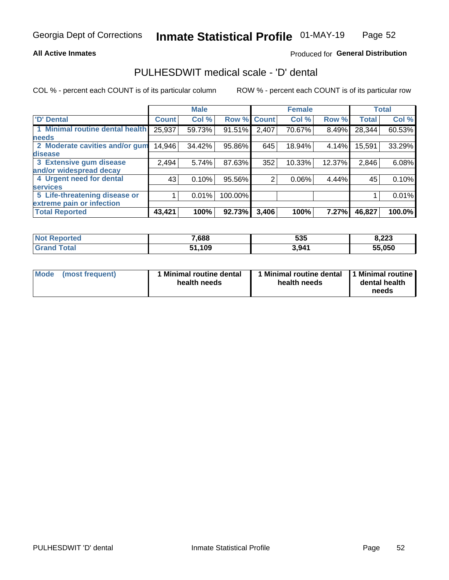#### **All Active Inmates**

### Produced for General Distribution

### PULHESDWIT medical scale - 'D' dental

COL % - percent each COUNT is of its particular column

|                                 |              | <b>Male</b> |         |              | <b>Female</b> |          |              | <b>Total</b> |
|---------------------------------|--------------|-------------|---------|--------------|---------------|----------|--------------|--------------|
| <b>D'</b> Dental                | <b>Count</b> | Col %       | Row %   | <b>Count</b> | Col %         | Row %    | <b>Total</b> | Col %        |
| 1 Minimal routine dental health | 25,937       | 59.73%      | 91.51%  | 2,407        | 70.67%        | 8.49%    | 28,344       | 60.53%       |
| <b>needs</b>                    |              |             |         |              |               |          |              |              |
| 2 Moderate cavities and/or gum  | 14,946       | 34.42%      | 95.86%  | 645          | 18.94%        | 4.14%    | 15,591       | 33.29%       |
| disease                         |              |             |         |              |               |          |              |              |
| 3 Extensive gum disease         | 2,494        | 5.74%       | 87.63%  | 352          | 10.33%        | 12.37%   | 2,846        | 6.08%        |
| and/or widespread decay         |              |             |         |              |               |          |              |              |
| 4 Urgent need for dental        | 43           | 0.10%       | 95.56%  | 2            | $0.06\%$      | $4.44\%$ | 45           | 0.10%        |
| <b>services</b>                 |              |             |         |              |               |          |              |              |
| 5 Life-threatening disease or   |              | 0.01%       | 100.00% |              |               |          |              | 0.01%        |
| extreme pain or infection       |              |             |         |              |               |          |              |              |
| <b>Total Reported</b>           | 43,421       | 100%        | 92.73%  | 3,406        | 100%          | 7.27%    | 46,827       | 100.0%       |

| <b>Not Reported</b> | 7,688        | 535   | 8,223  |
|---------------------|--------------|-------|--------|
| <b>Total</b>        | 51,109<br>51 | 3,941 | 55,050 |

| 1 Minimal routine dental<br>Mode<br>(most frequent)<br>health needs | 1 Minimal routine dental 1 Minimal routine<br>health needs | dental health<br>needs |
|---------------------------------------------------------------------|------------------------------------------------------------|------------------------|
|---------------------------------------------------------------------|------------------------------------------------------------|------------------------|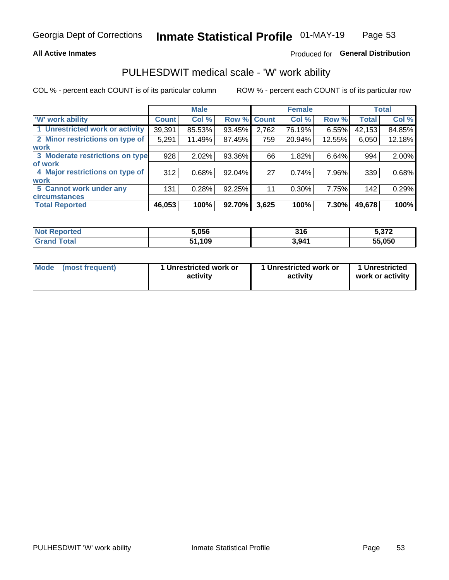#### **All Active Inmates**

### Produced for General Distribution

## PULHESDWIT medical scale - 'W' work ability

COL % - percent each COUNT is of its particular column

|                                 |              | <b>Male</b> |        |             | <b>Female</b> |          |              | <b>Total</b> |
|---------------------------------|--------------|-------------|--------|-------------|---------------|----------|--------------|--------------|
| <b>W' work ability</b>          | <b>Count</b> | Col %       |        | Row % Count | Col %         | Row %    | <b>Total</b> | Col %        |
| 1 Unrestricted work or activity | 39,391       | 85.53%      | 93.45% | 2,762       | 76.19%        | $6.55\%$ | 42,153       | 84.85%       |
| 2 Minor restrictions on type of | 5,291        | 11.49%      | 87.45% | 759         | 20.94%        | 12.55%   | 6,050        | 12.18%       |
| <b>work</b>                     |              |             |        |             |               |          |              |              |
| 3 Moderate restrictions on type | 928          | 2.02%       | 93.36% | 66          | 1.82%         | 6.64%    | 994          | 2.00%        |
| lof work                        |              |             |        |             |               |          |              |              |
| 4 Major restrictions on type of | 312          | 0.68%       | 92.04% | 27          | 0.74%         | 7.96%    | 339          | 0.68%        |
| <b>work</b>                     |              |             |        |             |               |          |              |              |
| 5 Cannot work under any         | 131          | 0.28%       | 92.25% | 11          | 0.30%         | 7.75%    | 142          | 0.29%        |
| <b>circumstances</b>            |              |             |        |             |               |          |              |              |
| <b>Total Reported</b>           | 46,053       | 100%        | 92.70% | 3,625       | 100%          | 7.30%    | 49,678       | 100%         |

| <b>Not Reported</b> | 5.056       | 316   | מדה ה<br><b>J.JIZ</b> |
|---------------------|-------------|-------|-----------------------|
| Total<br>Grand      | ,109<br>- 4 | 3,941 | 55,050                |

| Mode            | 1 Unrestricted work or | 1 Unrestricted work or | 1 Unrestricted   |
|-----------------|------------------------|------------------------|------------------|
| (most frequent) | activity               | activity               | work or activity |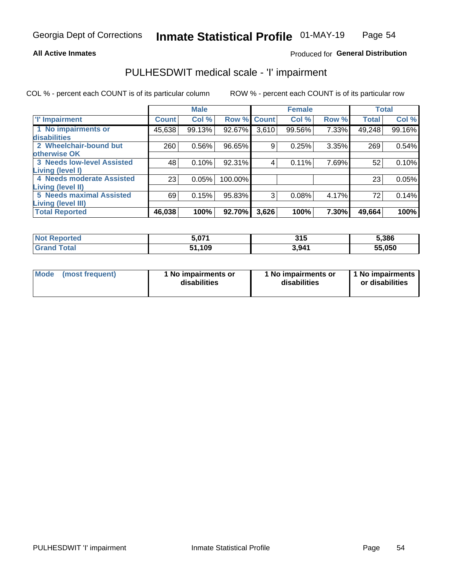#### **All Active Inmates**

### Produced for General Distribution

# PULHESDWIT medical scale - 'I' impairment

COL % - percent each COUNT is of its particular column

|                                                              |              | <b>Male</b> |             |       | <b>Female</b> |       |              | <b>Total</b> |
|--------------------------------------------------------------|--------------|-------------|-------------|-------|---------------|-------|--------------|--------------|
| <b>T' Impairment</b>                                         | <b>Count</b> | Col %       | Row % Count |       | Col %         | Row % | <b>Total</b> | Col %        |
| 1 No impairments or<br>disabilities                          | 45,638       | 99.13%      | 92.67%      | 3,610 | 99.56%        | 7.33% | 49,248       | 99.16%       |
| 2 Wheelchair-bound but<br>otherwise OK                       | 260          | 0.56%       | 96.65%      | 9     | 0.25%         | 3.35% | 269          | 0.54%        |
| <b>3 Needs low-level Assisted</b><br>Living (level I)        | 48           | 0.10%       | 92.31%      | 4     | 0.11%         | 7.69% | 52           | 0.10%        |
| 4 Needs moderate Assisted<br>Living (level II)               | 23           | 0.05%       | 100.00%     |       |               |       | 23           | 0.05%        |
| <b>5 Needs maximal Assisted</b><br><b>Living (level III)</b> | 69           | 0.15%       | 95.83%      | 3     | 0.08%         | 4.17% | 72           | 0.14%        |
| <b>Total Reported</b>                                        | 46,038       | 100%        | 92.70%      | 3,626 | 100%          | 7.30% | 49,664       | 100%         |

| Not is<br><b>Reported</b> | 5,07 <sup>4</sup> | 315               | 5,386  |
|---------------------------|-------------------|-------------------|--------|
| <b>Total</b><br>' Grand   | 51,109            | 3.94 <sup>4</sup> | 55,050 |

| Mode | (most frequent) | 1 No impairments or<br>disabilities | 1 No impairments or<br>disabilities | 1 No impairments<br>or disabilities |
|------|-----------------|-------------------------------------|-------------------------------------|-------------------------------------|
|------|-----------------|-------------------------------------|-------------------------------------|-------------------------------------|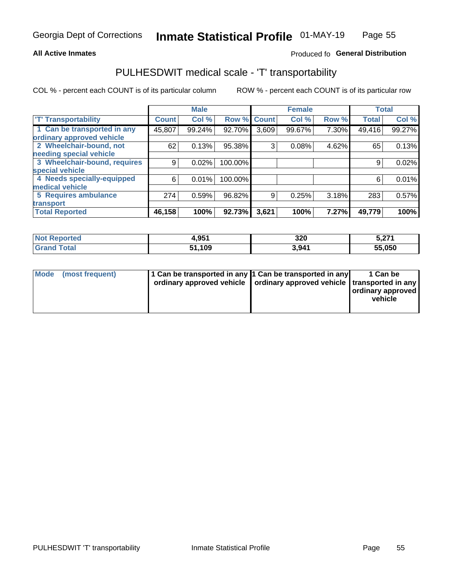#### **All Active Inmates**

### Produced fo General Distribution

## PULHESDWIT medical scale - 'T' transportability

COL % - percent each COUNT is of its particular column

|                              |                    | <b>Male</b> |         |              | <b>Female</b> |       | <b>Total</b> |        |
|------------------------------|--------------------|-------------|---------|--------------|---------------|-------|--------------|--------|
| <b>T' Transportability</b>   | Count <sup>!</sup> | Col %       | Row %   | <b>Count</b> | Col %         | Row % | <b>Total</b> | Col %  |
| 1 Can be transported in any  | 45,807             | 99.24%      | 92.70%  | 3,609        | 99.67%        | 7.30% | 49,416       | 99.27% |
| ordinary approved vehicle    |                    |             |         |              |               |       |              |        |
| 2 Wheelchair-bound, not      | 62                 | 0.13%       | 95.38%  | 3            | 0.08%         | 4.62% | 65           | 0.13%  |
| needing special vehicle      |                    |             |         |              |               |       |              |        |
| 3 Wheelchair-bound, requires | 9                  | 0.02%       | 100.00% |              |               |       | 9            | 0.02%  |
| special vehicle              |                    |             |         |              |               |       |              |        |
| 4 Needs specially-equipped   | 6                  | 0.01%       | 100.00% |              |               |       | 6            | 0.01%  |
| medical vehicle              |                    |             |         |              |               |       |              |        |
| <b>5 Requires ambulance</b>  | 274                | 0.59%       | 96.82%  | 9            | 0.25%         | 3.18% | 283          | 0.57%  |
| transport                    |                    |             |         |              |               |       |              |        |
| <b>Total Reported</b>        | 46,158             | 100%        | 92.73%  | 3,621        | 100%          | 7.27% | 49,779       | 100%   |

| <b>Not</b><br>Reported | 4.951      | 320   | 5,271  |
|------------------------|------------|-------|--------|
| Total                  | .109<br>51 | 3,941 | 55,050 |

|  | Mode (most frequent) | 1 Can be transported in any 1 Can be transported in any<br>ordinary approved vehicle   ordinary approved vehicle   transported in any |  | 1 Can be<br>  ordinary approved  <br>vehicle |
|--|----------------------|---------------------------------------------------------------------------------------------------------------------------------------|--|----------------------------------------------|
|--|----------------------|---------------------------------------------------------------------------------------------------------------------------------------|--|----------------------------------------------|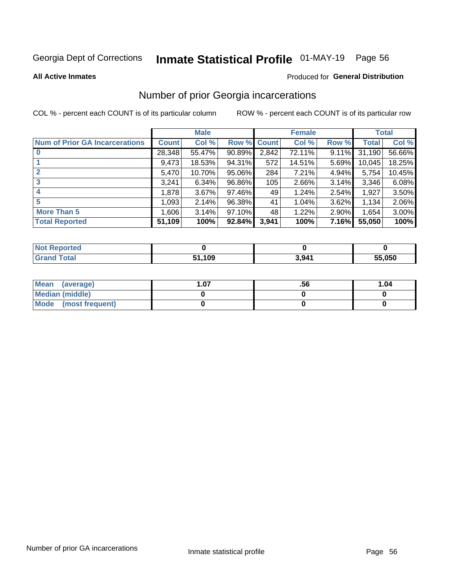# Inmate Statistical Profile 01-MAY-19 Page 56

**All Active Inmates** 

#### Produced for General Distribution

### Number of prior Georgia incarcerations

COL % - percent each COUNT is of its particular column

|                                       |              | <b>Male</b> |             |       | <b>Female</b> |          |        | <b>Total</b> |
|---------------------------------------|--------------|-------------|-------------|-------|---------------|----------|--------|--------------|
| <b>Num of Prior GA Incarcerations</b> | <b>Count</b> | Col %       | Row % Count |       | Col %         | Row %    | Total  | Col %        |
|                                       | 28,348       | 55.47%      | $90.89\%$   | 2,842 | 72.11%        | 9.11%    | 31,190 | 56.66%       |
|                                       | 9,473        | 18.53%      | 94.31%      | 572   | 14.51%        | 5.69%    | 10,045 | 18.25%       |
| $\overline{2}$                        | 5,470        | 10.70%      | 95.06%      | 284   | 7.21%         | 4.94%    | 5,754  | 10.45%       |
| 3                                     | 3,241        | 6.34%       | 96.86%      | 105   | 2.66%         | 3.14%    | 3,346  | 6.08%        |
| $\boldsymbol{4}$                      | 1,878        | 3.67%       | 97.46%      | 49    | 1.24%         | 2.54%    | 1,927  | 3.50%        |
| 5                                     | 1,093        | 2.14%       | 96.38%      | 41    | 1.04%         | 3.62%    | 1,134  | 2.06%        |
| <b>More Than 5</b>                    | 1,606        | 3.14%       | 97.10%      | 48    | 1.22%         | $2.90\%$ | 1,654  | $3.00\%$     |
| <b>Total Reported</b>                 | 51,109       | 100%        | 92.84%      | 3,941 | 100%          | 7.16%    | 55,050 | 100%         |

| orted<br>NO.      |      |                   |        |
|-------------------|------|-------------------|--------|
| <b>otal</b><br>Gr | ,109 | 3.94 <sup>′</sup> | 55,050 |

| Mean (average)       | . .07 | .56 | 1.04 |
|----------------------|-------|-----|------|
| Median (middle)      |       |     |      |
| Mode (most frequent) |       |     |      |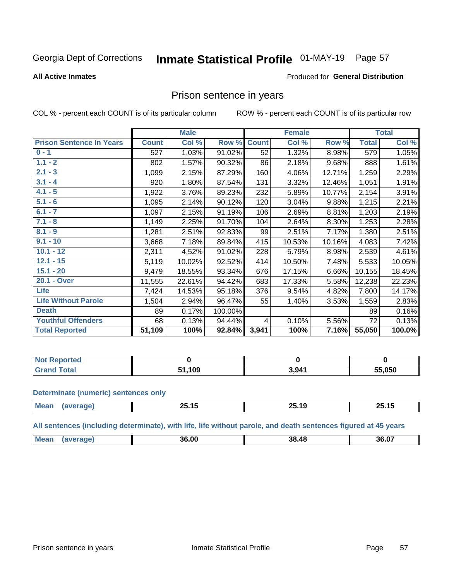#### **Inmate Statistical Profile 01-MAY-19** Page 57

#### **All Active Inmates**

### **Produced for General Distribution**

### Prison sentence in years

COL % - percent each COUNT is of its particular column

ROW % - percent each COUNT is of its particular row

|                                 |              | <b>Male</b> |         |              | <b>Female</b> |        |              | <b>Total</b> |
|---------------------------------|--------------|-------------|---------|--------------|---------------|--------|--------------|--------------|
| <b>Prison Sentence In Years</b> | <b>Count</b> | Col %       | Row %   | <b>Count</b> | Col %         | Row %  | <b>Total</b> | Col %        |
| $0 - 1$                         | 527          | 1.03%       | 91.02%  | 52           | 1.32%         | 8.98%  | 579          | 1.05%        |
| $1.1 - 2$                       | 802          | 1.57%       | 90.32%  | 86           | 2.18%         | 9.68%  | 888          | 1.61%        |
| $2.1 - 3$                       | 1,099        | 2.15%       | 87.29%  | 160          | 4.06%         | 12.71% | 1,259        | 2.29%        |
| $3.1 - 4$                       | 920          | 1.80%       | 87.54%  | 131          | 3.32%         | 12.46% | 1,051        | 1.91%        |
| $4.1 - 5$                       | 1,922        | 3.76%       | 89.23%  | 232          | 5.89%         | 10.77% | 2,154        | 3.91%        |
| $5.1 - 6$                       | 1,095        | 2.14%       | 90.12%  | 120          | 3.04%         | 9.88%  | 1,215        | 2.21%        |
| $6.1 - 7$                       | 1,097        | 2.15%       | 91.19%  | 106          | 2.69%         | 8.81%  | 1,203        | 2.19%        |
| $7.1 - 8$                       | 1,149        | 2.25%       | 91.70%  | 104          | 2.64%         | 8.30%  | 1,253        | 2.28%        |
| $8.1 - 9$                       | 1,281        | 2.51%       | 92.83%  | 99           | 2.51%         | 7.17%  | 1,380        | 2.51%        |
| $9.1 - 10$                      | 3,668        | 7.18%       | 89.84%  | 415          | 10.53%        | 10.16% | 4,083        | 7.42%        |
| $10.1 - 12$                     | 2,311        | 4.52%       | 91.02%  | 228          | 5.79%         | 8.98%  | 2,539        | 4.61%        |
| $12.1 - 15$                     | 5,119        | 10.02%      | 92.52%  | 414          | 10.50%        | 7.48%  | 5,533        | 10.05%       |
| $15.1 - 20$                     | 9,479        | 18.55%      | 93.34%  | 676          | 17.15%        | 6.66%  | 10,155       | 18.45%       |
| 20.1 - Over                     | 11,555       | 22.61%      | 94.42%  | 683          | 17.33%        | 5.58%  | 12,238       | 22.23%       |
| <b>Life</b>                     | 7,424        | 14.53%      | 95.18%  | 376          | 9.54%         | 4.82%  | 7,800        | 14.17%       |
| <b>Life Without Parole</b>      | 1,504        | 2.94%       | 96.47%  | 55           | 1.40%         | 3.53%  | 1,559        | 2.83%        |
| <b>Death</b>                    | 89           | 0.17%       | 100.00% |              |               |        | 89           | 0.16%        |
| <b>Youthful Offenders</b>       | 68           | 0.13%       | 94.44%  | 4            | 0.10%         | 5.56%  | 72           | 0.13%        |
| <b>Total Reported</b>           | 51,109       | 100%        | 92.84%  | 3,941        | 100%          | 7.16%  | 55,050       | 100.0%       |

| <b>Not Reported</b> |      |       |                  |
|---------------------|------|-------|------------------|
| $\sim$<br>. Caro    | ,109 | 3,941 | 55,050<br>$\sim$ |

#### **Determinate (numeric) sentences only**

| <b>Mean</b> | . .<br>--<br>. .<br>20.IU | --<br>$\overline{\phantom{a}}$<br>1 J<br>2J. I J | --<br>ግዱ ነ<br>20.IJ |
|-------------|---------------------------|--------------------------------------------------|---------------------|
|             |                           |                                                  |                     |

All sentences (including determinate), with life, life without parole, and death sentences figured at 45 years

| <b>Me</b> | 36.00 | ЛF<br>38 | 36.07 |
|-----------|-------|----------|-------|
|           |       |          |       |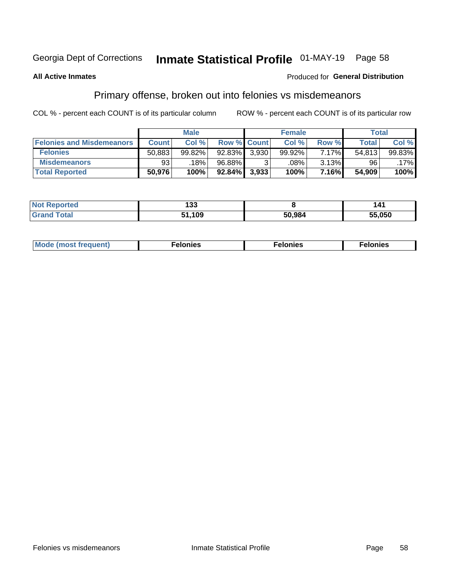# Inmate Statistical Profile 01-MAY-19 Page 58

#### **All Active Inmates**

### **Produced for General Distribution**

### Primary offense, broken out into felonies vs misdemeanors

COL % - percent each COUNT is of its particular column

|                                  |              | <b>Male</b> |           |                    | <b>Female</b> |       | Total  |        |
|----------------------------------|--------------|-------------|-----------|--------------------|---------------|-------|--------|--------|
| <b>Felonies and Misdemeanors</b> | <b>Count</b> | Col%        |           | <b>Row % Count</b> | Col%          | Row % | Total, | Col %  |
| <b>Felonies</b>                  | 50,883       | 99.82%      | 92.83%    | 3.930              | 99.92%        | 7.17% | 54.813 | 99.83% |
| <b>Misdemeanors</b>              | 93           | 18%         | 96.88%    |                    | .08%          | 3.13% | 96     | .17%   |
| <b>Total Reported</b>            | 50,976       | 100%        | $92.84\%$ | 3,933              | 100%          | 7.16% | 54.909 | 100%   |

| <b>Not</b><br>ted. | ,<br>נט ו  |        |        |
|--------------------|------------|--------|--------|
| ™otaï<br>Gran      | .109<br>-4 | 50.984 | 55.050 |

| Mo | ____ | 11 C.S<br>. | onies<br>. |
|----|------|-------------|------------|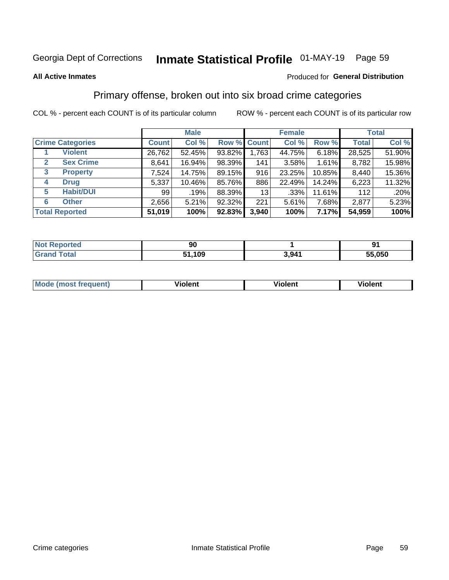# Inmate Statistical Profile 01-MAY-19 Page 59

#### **All Active Inmates**

#### Produced for General Distribution

### Primary offense, broken out into six broad crime categories

COL % - percent each COUNT is of its particular column

|                                 | <b>Male</b>  |        |        |             | <b>Female</b> |        | <b>Total</b> |        |  |
|---------------------------------|--------------|--------|--------|-------------|---------------|--------|--------------|--------|--|
| <b>Crime Categories</b>         | <b>Count</b> | Col %  |        | Row % Count | Col %         | Row %  | <b>Total</b> | Col %  |  |
| <b>Violent</b>                  | 26,762       | 52.45% | 93.82% | 1,763       | 44.75%        | 6.18%  | 28,525       | 51.90% |  |
| <b>Sex Crime</b><br>2           | 8,641        | 16.94% | 98.39% | 141         | 3.58%         | 1.61%  | 8,782        | 15.98% |  |
| $\mathbf{3}$<br><b>Property</b> | 7,524        | 14.75% | 89.15% | 916         | 23.25%        | 10.85% | 8,440        | 15.36% |  |
| <b>Drug</b><br>4                | 5,337        | 10.46% | 85.76% | 886         | 22.49%        | 14.24% | 6,223        | 11.32% |  |
| <b>Habit/DUI</b><br>5           | 99           | .19%   | 88.39% | 13          | .33%          | 11.61% | 112          | .20%   |  |
| <b>Other</b><br>6               | 2,656        | 5.21%  | 92.32% | 221         | 5.61%         | 7.68%  | 2,877        | 5.23%  |  |
| <b>Total Reported</b>           | 51,019       | 100%   | 92.83% | 3,940       | 100%          | 7.17%  | 54,959       | 100%   |  |

| <b>reco</b><br>NO. | ΩC<br>ิ่มน |       | nи     |
|--------------------|------------|-------|--------|
| $F_{\mathbf{A}}$   | 109<br>E 4 | 3,941 | 55,050 |

| M | - --<br>100011 | .<br><b>VIOIGIIL</b> | 1.91311 |
|---|----------------|----------------------|---------|
|   |                |                      |         |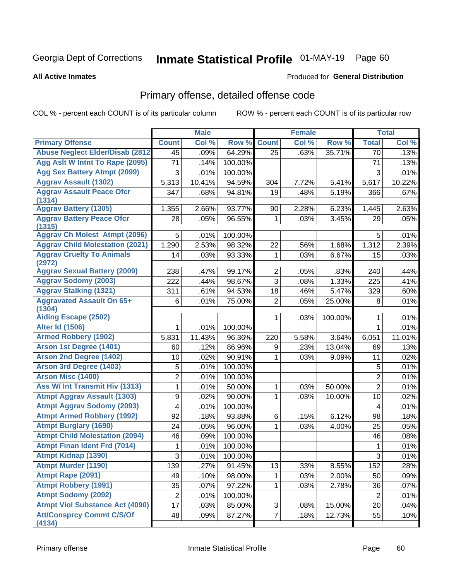#### Inmate Statistical Profile 01-MAY-19 Page 60

#### **All Active Inmates**

#### Produced for General Distribution

# Primary offense, detailed offense code

COL % - percent each COUNT is of its particular column

|                                               | <b>Male</b>                                        |                                                                |                                                                                 | <b>Female</b> |                                               |                                                         | <b>Total</b>                                                                                            |
|-----------------------------------------------|----------------------------------------------------|----------------------------------------------------------------|---------------------------------------------------------------------------------|---------------|-----------------------------------------------|---------------------------------------------------------|---------------------------------------------------------------------------------------------------------|
| <b>Count</b>                                  | Col %                                              | Row %                                                          | <b>Count</b>                                                                    | Col %         | Row %                                         | <b>Total</b>                                            | Col %                                                                                                   |
| <b>Abuse Neglect Elder/Disab (2812)</b><br>45 | .09%                                               | 64.29%                                                         | 25                                                                              | .63%          | 35.71%                                        | 70                                                      | .13%                                                                                                    |
| 71                                            | .14%                                               | 100.00%                                                        |                                                                                 |               |                                               | 71                                                      | .13%                                                                                                    |
| 3                                             | .01%                                               | 100.00%                                                        |                                                                                 |               |                                               | 3                                                       | .01%                                                                                                    |
| 5,313                                         | 10.41%                                             | 94.59%                                                         | 304                                                                             | 7.72%         | 5.41%                                         | 5,617                                                   | 10.22%                                                                                                  |
| 347                                           | .68%                                               | 94.81%                                                         | 19                                                                              | .48%          | 5.19%                                         | 366                                                     | .67%                                                                                                    |
| 1,355                                         | 2.66%                                              | 93.77%                                                         | 90                                                                              | 2.28%         | 6.23%                                         | 1,445                                                   | 2.63%                                                                                                   |
| 28                                            | .05%                                               | 96.55%                                                         | 1                                                                               | .03%          | 3.45%                                         | 29                                                      | .05%                                                                                                    |
| 5                                             | .01%                                               | 100.00%                                                        |                                                                                 |               |                                               | 5                                                       | .01%                                                                                                    |
| 1,290                                         | 2.53%                                              | 98.32%                                                         | 22                                                                              | .56%          | 1.68%                                         | 1,312                                                   | 2.39%                                                                                                   |
| 14                                            | .03%                                               | 93.33%                                                         | 1                                                                               | .03%          | 6.67%                                         | 15                                                      | .03%                                                                                                    |
| 238                                           | .47%                                               | 99.17%                                                         | $\overline{2}$                                                                  | .05%          | .83%                                          | 240                                                     | .44%                                                                                                    |
| 222                                           | .44%                                               | 98.67%                                                         | 3                                                                               | .08%          | 1.33%                                         | 225                                                     | .41%                                                                                                    |
| 311                                           | .61%                                               | 94.53%                                                         | 18                                                                              | .46%          | 5.47%                                         | 329                                                     | .60%                                                                                                    |
| 6                                             | .01%                                               | 75.00%                                                         | $\overline{2}$                                                                  | .05%          | 25.00%                                        | 8                                                       | .01%                                                                                                    |
|                                               |                                                    |                                                                |                                                                                 |               |                                               |                                                         | .01%                                                                                                    |
|                                               |                                                    |                                                                |                                                                                 |               |                                               |                                                         | .01%                                                                                                    |
|                                               |                                                    |                                                                |                                                                                 |               |                                               |                                                         | 11.01%                                                                                                  |
|                                               |                                                    |                                                                |                                                                                 |               |                                               |                                                         | .13%                                                                                                    |
|                                               |                                                    |                                                                | 1                                                                               |               |                                               |                                                         | .02%                                                                                                    |
|                                               |                                                    |                                                                |                                                                                 |               |                                               |                                                         | .01%                                                                                                    |
|                                               |                                                    |                                                                |                                                                                 |               |                                               |                                                         | .01%                                                                                                    |
| $\mathbf{1}$                                  |                                                    |                                                                | 1                                                                               |               |                                               |                                                         | .01%                                                                                                    |
|                                               |                                                    |                                                                | 1                                                                               |               |                                               |                                                         | .02%                                                                                                    |
| 4                                             | .01%                                               | 100.00%                                                        |                                                                                 |               |                                               | $\overline{4}$                                          | .01%                                                                                                    |
| 92                                            | .18%                                               | 93.88%                                                         | 6                                                                               | .15%          | 6.12%                                         | 98                                                      | .18%                                                                                                    |
| 24                                            | .05%                                               | 96.00%                                                         | 1                                                                               | .03%          | 4.00%                                         | 25                                                      | .05%                                                                                                    |
| 46                                            | .09%                                               | 100.00%                                                        |                                                                                 |               |                                               | 46                                                      | .08%                                                                                                    |
| 1                                             | .01%                                               | 100.00%                                                        |                                                                                 |               |                                               | $\mathbf 1$                                             | .01%                                                                                                    |
| $\overline{3}$                                | .01%                                               | 100.00%                                                        |                                                                                 |               |                                               |                                                         | .01%                                                                                                    |
| 139                                           | .27%                                               | 91.45%                                                         | 13                                                                              | .33%          | 8.55%                                         | 152                                                     | .28%                                                                                                    |
| 49                                            | .10%                                               | 98.00%                                                         | 1                                                                               | .03%          | 2.00%                                         | 50                                                      | .09%                                                                                                    |
| 35                                            | .07%                                               | 97.22%                                                         | 1                                                                               | .03%          | 2.78%                                         | 36                                                      | .07%                                                                                                    |
| $\overline{\mathbf{c}}$                       | .01%                                               | 100.00%                                                        |                                                                                 |               |                                               | $\overline{2}$                                          | .01%                                                                                                    |
| 17                                            | .03%                                               | 85.00%                                                         | 3                                                                               | .08%          | 15.00%                                        | 20                                                      | .04%                                                                                                    |
| 48                                            | .09%                                               | 87.27%                                                         | $\overline{7}$                                                                  | .18%          | 12.73%                                        | 55                                                      | .10%                                                                                                    |
|                                               | 1<br>5,831<br>60<br>10<br>5<br>$\overline{2}$<br>9 | .01%<br>11.43%<br>.12%<br>.02%<br>.01%<br>.01%<br>.01%<br>.02% | 100.00%<br>96.36%<br>86.96%<br>90.91%<br>100.00%<br>100.00%<br>50.00%<br>90.00% | 1<br>220<br>9 | .03%<br>5.58%<br>.23%<br>.03%<br>.03%<br>.03% | 100.00%<br>3.64%<br>13.04%<br>9.09%<br>50.00%<br>10.00% | 1<br>$\mathbf{1}$<br>6,051<br>69<br>11<br>5<br>$\overline{2}$<br>$\overline{2}$<br>10<br>$\overline{3}$ |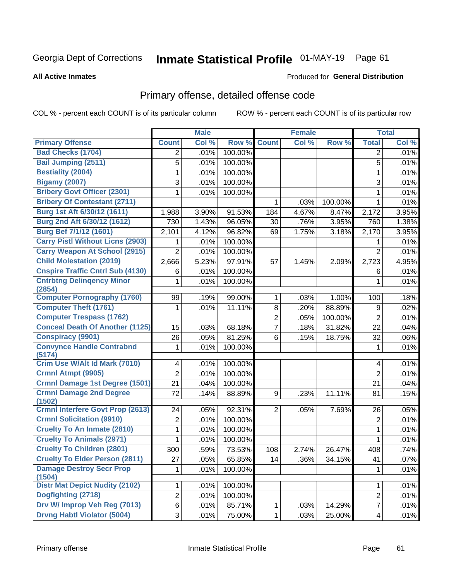# Inmate Statistical Profile 01-MAY-19 Page 61

**All Active Inmates** 

#### Produced for General Distribution

# Primary offense, detailed offense code

COL % - percent each COUNT is of its particular column

|                                            |                | <b>Male</b> |         |                | <b>Female</b> |         |                | <b>Total</b> |
|--------------------------------------------|----------------|-------------|---------|----------------|---------------|---------|----------------|--------------|
| <b>Primary Offense</b>                     | <b>Count</b>   | Col %       | Row %   | <b>Count</b>   | Col %         | Row %   | <b>Total</b>   | Col %        |
| <b>Bad Checks (1704)</b>                   | 2              | .01%        | 100.00% |                |               |         | 2              | .01%         |
| <b>Bail Jumping (2511)</b>                 | 5              | .01%        | 100.00% |                |               |         | 5              | .01%         |
| <b>Bestiality (2004)</b>                   | 1              | .01%        | 100.00% |                |               |         | $\mathbf 1$    | .01%         |
| <b>Bigamy (2007)</b>                       | 3              | .01%        | 100.00% |                |               |         | 3              | .01%         |
| <b>Bribery Govt Officer (2301)</b>         | $\mathbf{1}$   | .01%        | 100.00% |                |               |         | $\mathbf{1}$   | .01%         |
| <b>Bribery Of Contestant (2711)</b>        |                |             |         | $\mathbf{1}$   | .03%          | 100.00% | $\mathbf{1}$   | .01%         |
| Burg 1st Aft 6/30/12 (1611)                | 1,988          | 3.90%       | 91.53%  | 184            | 4.67%         | 8.47%   | 2,172          | 3.95%        |
| Burg 2nd Aft 6/30/12 (1612)                | 730            | 1.43%       | 96.05%  | 30             | .76%          | 3.95%   | 760            | 1.38%        |
| <b>Burg Bef 7/1/12 (1601)</b>              | 2,101          | 4.12%       | 96.82%  | 69             | 1.75%         | 3.18%   | 2,170          | 3.95%        |
| <b>Carry Pistl Without Licns (2903)</b>    | 1              | .01%        | 100.00% |                |               |         |                | .01%         |
| <b>Carry Weapon At School (2915)</b>       | $\overline{2}$ | .01%        | 100.00% |                |               |         | $\overline{2}$ | .01%         |
| <b>Child Molestation (2019)</b>            | 2,666          | 5.23%       | 97.91%  | 57             | 1.45%         | 2.09%   | 2,723          | 4.95%        |
| <b>Cnspire Traffic Cntrl Sub (4130)</b>    | 6              | .01%        | 100.00% |                |               |         | 6              | .01%         |
| <b>Cntrbtng Delingency Minor</b><br>(2854) | 1              | .01%        | 100.00% |                |               |         | 1              | .01%         |
| <b>Computer Pornography (1760)</b>         | 99             | .19%        | 99.00%  | $\mathbf{1}$   | .03%          | 1.00%   | 100            | .18%         |
| <b>Computer Theft (1761)</b>               | 1              | .01%        | 11.11%  | 8              | .20%          | 88.89%  | 9              | .02%         |
| <b>Computer Trespass (1762)</b>            |                |             |         | $\overline{2}$ | .05%          | 100.00% | $\overline{2}$ | .01%         |
| <b>Conceal Death Of Another (1125)</b>     | 15             | .03%        | 68.18%  | $\overline{7}$ | .18%          | 31.82%  | 22             | .04%         |
| <b>Conspiracy (9901)</b>                   | 26             | .05%        | 81.25%  | 6              | .15%          | 18.75%  | 32             | .06%         |
| <b>Convynce Handle Contrabnd</b><br>(5174) | 1              | .01%        | 100.00% |                |               |         | 1              | .01%         |
| Crim Use W/Alt Id Mark (7010)              | 4              | .01%        | 100.00% |                |               |         | 4              | .01%         |
| Crmnl Atmpt (9905)                         | $\overline{2}$ | .01%        | 100.00% |                |               |         | $\overline{2}$ | .01%         |
| <b>Crmnl Damage 1st Degree (1501)</b>      | 21             | .04%        | 100.00% |                |               |         | 21             | .04%         |
| <b>Crmnl Damage 2nd Degree</b><br>(1502)   | 72             | .14%        | 88.89%  | 9              | .23%          | 11.11%  | 81             | .15%         |
| <b>Crmnl Interfere Govt Prop (2613)</b>    | 24             | .05%        | 92.31%  | $\overline{2}$ | .05%          | 7.69%   | 26             | .05%         |
| <b>Crmnl Solicitation (9910)</b>           | 2              | .01%        | 100.00% |                |               |         | $\overline{2}$ | .01%         |
| <b>Cruelty To An Inmate (2810)</b>         | 1              | .01%        | 100.00% |                |               |         | $\mathbf{1}$   | .01%         |
| <b>Cruelty To Animals (2971)</b>           | 1              | .01%        | 100.00% |                |               |         | 1              | .01%         |
| <b>Cruelty To Children (2801)</b>          | 300            | .59%        | 73.53%  | 108            | 2.74%         | 26.47%  | 408            | .74%         |
| <b>Cruelty To Elder Person (2811)</b>      | 27             | .05%        | 65.85%  | 14             | .36%          | 34.15%  | 41             | .07%         |
| <b>Damage Destroy Secr Prop</b><br>(1504)  | 1              | .01%        | 100.00% |                |               |         | 1              | .01%         |
| <b>Distr Mat Depict Nudity (2102)</b>      | 1              | .01%        | 100.00% |                |               |         | 1              | .01%         |
| Dogfighting (2718)                         | $\overline{2}$ | .01%        | 100.00% |                |               |         | $\overline{c}$ | .01%         |
| Drv W/ Improp Veh Reg (7013)               | 6              | .01%        | 85.71%  | 1              | .03%          | 14.29%  | $\overline{7}$ | .01%         |
| <b>Drvng Habtl Violator (5004)</b>         | 3              | .01%        | 75.00%  | $\mathbf{1}$   | .03%          | 25.00%  | 4              | .01%         |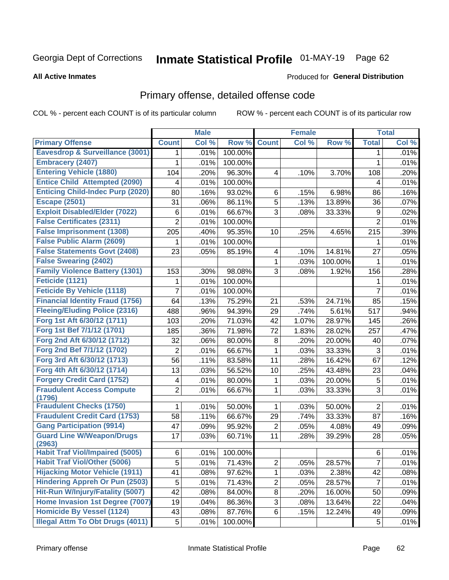# Inmate Statistical Profile 01-MAY-19 Page 62

#### **All Active Inmates**

#### Produced for General Distribution

# Primary offense, detailed offense code

COL % - percent each COUNT is of its particular column

|                                            |                | <b>Male</b> |         |                | <b>Female</b> |         |                | <b>Total</b> |
|--------------------------------------------|----------------|-------------|---------|----------------|---------------|---------|----------------|--------------|
| <b>Primary Offense</b>                     | <b>Count</b>   | Col %       | Row %   | <b>Count</b>   | Col %         | Row %   | <b>Total</b>   | Col %        |
| <b>Eavesdrop &amp; Surveillance (3001)</b> | 1.             | .01%        | 100.00% |                |               |         | 1              | .01%         |
| <b>Embracery (2407)</b>                    | 1              | .01%        | 100.00% |                |               |         | 1              | .01%         |
| <b>Entering Vehicle (1880)</b>             | 104            | .20%        | 96.30%  | 4              | .10%          | 3.70%   | 108            | .20%         |
| <b>Entice Child Attempted (2090)</b>       | 4              | .01%        | 100.00% |                |               |         | 4              | .01%         |
| <b>Enticing Child-Indec Purp (2020)</b>    | 80             | .16%        | 93.02%  | 6              | .15%          | 6.98%   | 86             | .16%         |
| <b>Escape (2501)</b>                       | 31             | .06%        | 86.11%  | 5              | .13%          | 13.89%  | 36             | .07%         |
| <b>Exploit Disabled/Elder (7022)</b>       | $\,6$          | .01%        | 66.67%  | 3              | .08%          | 33.33%  | 9              | .02%         |
| <b>False Certificates (2311)</b>           | $\overline{2}$ | .01%        | 100.00% |                |               |         | $\overline{2}$ | .01%         |
| <b>False Imprisonment (1308)</b>           | 205            | .40%        | 95.35%  | 10             | .25%          | 4.65%   | 215            | .39%         |
| <b>False Public Alarm (2609)</b>           | 1              | .01%        | 100.00% |                |               |         | 1              | .01%         |
| <b>False Statements Govt (2408)</b>        | 23             | .05%        | 85.19%  | 4              | .10%          | 14.81%  | 27             | .05%         |
| <b>False Swearing (2402)</b>               |                |             |         | $\mathbf{1}$   | .03%          | 100.00% | 1              | .01%         |
| <b>Family Violence Battery (1301)</b>      | 153            | .30%        | 98.08%  | 3              | .08%          | 1.92%   | 156            | .28%         |
| Feticide (1121)                            | 1              | .01%        | 100.00% |                |               |         | 1              | .01%         |
| <b>Feticide By Vehicle (1118)</b>          | 7              | .01%        | 100.00% |                |               |         | 7              | .01%         |
| <b>Financial Identity Fraud (1756)</b>     | 64             | .13%        | 75.29%  | 21             | .53%          | 24.71%  | 85             | .15%         |
| <b>Fleeing/Eluding Police (2316)</b>       | 488            | .96%        | 94.39%  | 29             | .74%          | 5.61%   | 517            | .94%         |
| Forg 1st Aft 6/30/12 (1711)                | 103            | .20%        | 71.03%  | 42             | 1.07%         | 28.97%  | 145            | .26%         |
| Forg 1st Bef 7/1/12 (1701)                 | 185            | .36%        | 71.98%  | 72             | 1.83%         | 28.02%  | 257            | .47%         |
| Forg 2nd Aft 6/30/12 (1712)                | 32             | .06%        | 80.00%  | 8              | .20%          | 20.00%  | 40             | .07%         |
| Forg 2nd Bef 7/1/12 (1702)                 | $\overline{2}$ | .01%        | 66.67%  | $\mathbf{1}$   | .03%          | 33.33%  | 3              | .01%         |
| Forg 3rd Aft 6/30/12 (1713)                | 56             | .11%        | 83.58%  | 11             | .28%          | 16.42%  | 67             | .12%         |
| Forg 4th Aft 6/30/12 (1714)                | 13             | .03%        | 56.52%  | 10             | .25%          | 43.48%  | 23             | .04%         |
| <b>Forgery Credit Card (1752)</b>          | 4              | .01%        | 80.00%  | 1              | .03%          | 20.00%  | 5              | .01%         |
| <b>Fraudulent Access Compute</b>           | $\overline{2}$ | .01%        | 66.67%  | 1              | .03%          | 33.33%  | 3              | .01%         |
| (1796)<br><b>Fraudulent Checks (1750)</b>  | 1              | .01%        | 50.00%  | 1              | .03%          | 50.00%  | $\overline{2}$ | .01%         |
| <b>Fraudulent Credit Card (1753)</b>       | 58             | .11%        | 66.67%  | 29             | .74%          | 33.33%  | 87             | .16%         |
| <b>Gang Participation (9914)</b>           | 47             | .09%        | 95.92%  | 2              | .05%          | 4.08%   | 49             | .09%         |
| <b>Guard Line W/Weapon/Drugs</b>           | 17             | .03%        | 60.71%  | 11             | .28%          | 39.29%  | 28             | .05%         |
| (2963)                                     |                |             |         |                |               |         |                |              |
| <b>Habit Traf Viol/Impaired (5005)</b>     | 6 <sup>1</sup> | .01%        | 100.00% |                |               |         | 6              | .01%         |
| <b>Habit Traf Viol/Other (5006)</b>        | 5              | .01%        | 71.43%  | $\overline{2}$ | .05%          | 28.57%  | $\overline{7}$ | .01%         |
| <b>Hijacking Motor Vehicle (1911)</b>      | 41             | .08%        | 97.62%  | $\mathbf 1$    | .03%          | 2.38%   | 42             | .08%         |
| <b>Hindering Appreh Or Pun (2503)</b>      | 5              | .01%        | 71.43%  | $\overline{2}$ | .05%          | 28.57%  | $\overline{7}$ | .01%         |
| Hit-Run W/Injury/Fatality (5007)           | 42             | .08%        | 84.00%  | 8              | .20%          | 16.00%  | 50             | .09%         |
| Home Invasion 1st Degree (7007)            | 19             | .04%        | 86.36%  | 3              | .08%          | 13.64%  | 22             | .04%         |
| <b>Homicide By Vessel (1124)</b>           | 43             | .08%        | 87.76%  | 6              | .15%          | 12.24%  | 49             | .09%         |
| <b>Illegal Attm To Obt Drugs (4011)</b>    | 5              | .01%        | 100.00% |                |               |         | 5              | .01%         |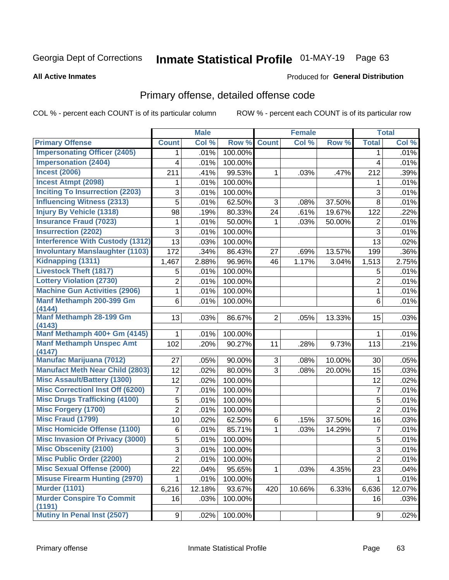# Inmate Statistical Profile 01-MAY-19 Page 63

#### **All Active Inmates**

### **Produced for General Distribution**

### Primary offense, detailed offense code

COL % - percent each COUNT is of its particular column

|                                            |                         | <b>Male</b> |         |                | <b>Female</b> |        |                | <b>Total</b> |
|--------------------------------------------|-------------------------|-------------|---------|----------------|---------------|--------|----------------|--------------|
| <b>Primary Offense</b>                     | <b>Count</b>            | Col %       | Row %   | <b>Count</b>   | Col %         | Row %  | <b>Total</b>   | Col %        |
| <b>Impersonating Officer (2405)</b>        | 1                       | .01%        | 100.00% |                |               |        | 1              | .01%         |
| <b>Impersonation (2404)</b>                | 4                       | .01%        | 100.00% |                |               |        | 4              | .01%         |
| <b>Incest (2006)</b>                       | 211                     | .41%        | 99.53%  | 1              | .03%          | .47%   | 212            | .39%         |
| <b>Incest Atmpt (2098)</b>                 | 1                       | .01%        | 100.00% |                |               |        | 1              | .01%         |
| <b>Inciting To Insurrection (2203)</b>     | 3                       | .01%        | 100.00% |                |               |        | 3              | .01%         |
| <b>Influencing Witness (2313)</b>          | 5                       | .01%        | 62.50%  | 3              | .08%          | 37.50% | 8              | .01%         |
| <b>Injury By Vehicle (1318)</b>            | 98                      | .19%        | 80.33%  | 24             | .61%          | 19.67% | 122            | .22%         |
| <b>Insurance Fraud (7023)</b>              | 1                       | .01%        | 50.00%  | 1              | .03%          | 50.00% | 2              | .01%         |
| <b>Insurrection (2202)</b>                 | 3                       | .01%        | 100.00% |                |               |        | 3              | .01%         |
| <b>Interference With Custody (1312)</b>    | 13                      | .03%        | 100.00% |                |               |        | 13             | .02%         |
| <b>Involuntary Manslaughter (1103)</b>     | 172                     | .34%        | 86.43%  | 27             | .69%          | 13.57% | 199            | .36%         |
| Kidnapping (1311)                          | 1,467                   | 2.88%       | 96.96%  | 46             | 1.17%         | 3.04%  | 1,513          | 2.75%        |
| <b>Livestock Theft (1817)</b>              | 5                       | .01%        | 100.00% |                |               |        | 5              | .01%         |
| <b>Lottery Violation (2730)</b>            | $\overline{2}$          | .01%        | 100.00% |                |               |        | $\overline{2}$ | .01%         |
| <b>Machine Gun Activities (2906)</b>       | 1                       | .01%        | 100.00% |                |               |        | $\mathbf{1}$   | .01%         |
| Manf Methamph 200-399 Gm<br>(4144)         | 6                       | .01%        | 100.00% |                |               |        | 6              | .01%         |
| Manf Methamph 28-199 Gm                    | 13                      | .03%        | 86.67%  | $\overline{2}$ | .05%          | 13.33% | 15             | .03%         |
| (4143)                                     |                         |             |         |                |               |        |                |              |
| Manf Methamph 400+ Gm (4145)               | 1                       | .01%        | 100.00% |                |               |        | 1              | .01%         |
| <b>Manf Methamph Unspec Amt</b><br>(4147)  | 102                     | .20%        | 90.27%  | 11             | .28%          | 9.73%  | 113            | .21%         |
| <b>Manufac Marijuana (7012)</b>            | 27                      | .05%        | 90.00%  | 3              | .08%          | 10.00% | 30             | .05%         |
| <b>Manufact Meth Near Child (2803)</b>     | 12                      | .02%        | 80.00%  | 3              | .08%          | 20.00% | 15             | .03%         |
| <b>Misc Assault/Battery (1300)</b>         | 12                      | .02%        | 100.00% |                |               |        | 12             | .02%         |
| <b>Misc Correctionl Inst Off (6200)</b>    | 7                       | .01%        | 100.00% |                |               |        | $\overline{7}$ | .01%         |
| <b>Misc Drugs Trafficking (4100)</b>       | 5                       | .01%        | 100.00% |                |               |        | 5              | .01%         |
| <b>Misc Forgery (1700)</b>                 | $\overline{2}$          | .01%        | 100.00% |                |               |        | $\overline{2}$ | .01%         |
| <b>Misc Fraud (1799)</b>                   | 10                      | .02%        | 62.50%  | 6              | .15%          | 37.50% | 16             | .03%         |
| <b>Misc Homicide Offense (1100)</b>        | 6                       | .01%        | 85.71%  | $\mathbf 1$    | .03%          | 14.29% | $\overline{7}$ | .01%         |
| <b>Misc Invasion Of Privacy (3000)</b>     | 5                       | .01%        | 100.00% |                |               |        | $\sqrt{5}$     | .01%         |
| <b>Misc Obscenity (2100)</b>               | 3                       | .01%        | 100.00% |                |               |        | 3              | .01%         |
| <b>Misc Public Order (2200)</b>            | $\overline{\mathbf{c}}$ | .01%        | 100.00% |                |               |        | $\overline{c}$ | .01%         |
| <b>Misc Sexual Offense (2000)</b>          | 22                      | .04%        | 95.65%  | $\mathbf{1}$   | .03%          | 4.35%  | 23             | .04%         |
| <b>Misuse Firearm Hunting (2970)</b>       | 1                       | .01%        | 100.00% |                |               |        | 1              | .01%         |
| <b>Murder (1101)</b>                       | 6,216                   | 12.18%      | 93.67%  | 420            | 10.66%        | 6.33%  | 6,636          | 12.07%       |
| <b>Murder Conspire To Commit</b><br>(1191) | 16                      | .03%        | 100.00% |                |               |        | 16             | .03%         |
| <b>Mutiny In Penal Inst (2507)</b>         | 9 <sup>1</sup>          | .02%        | 100.00% |                |               |        | 9              | .02%         |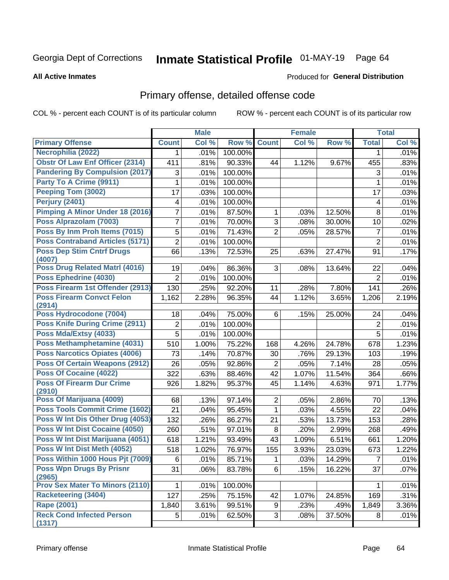# Inmate Statistical Profile 01-MAY-19 Page 64

#### **All Active Inmates**

#### Produced for General Distribution

# Primary offense, detailed offense code

COL % - percent each COUNT is of its particular column

|                                            |                | <b>Male</b> |         |                | <b>Female</b> |        |                | <b>Total</b> |
|--------------------------------------------|----------------|-------------|---------|----------------|---------------|--------|----------------|--------------|
| <b>Primary Offense</b>                     | <b>Count</b>   | Col %       | Row %   | <b>Count</b>   | Col %         | Row %  | <b>Total</b>   | Col %        |
| Necrophilia (2022)                         | 1              | .01%        | 100.00% |                |               |        | $\mathbf 1$    | .01%         |
| <b>Obstr Of Law Enf Officer (2314)</b>     | 411            | .81%        | 90.33%  | 44             | 1.12%         | 9.67%  | 455            | .83%         |
| <b>Pandering By Compulsion (2017)</b>      | 3              | .01%        | 100.00% |                |               |        | 3              | .01%         |
| Party To A Crime (9911)                    | 1              | .01%        | 100.00% |                |               |        | 1              | .01%         |
| Peeping Tom (3002)                         | 17             | .03%        | 100.00% |                |               |        | 17             | .03%         |
| <b>Perjury (2401)</b>                      | 4              | .01%        | 100.00% |                |               |        | 4              | .01%         |
| <b>Pimping A Minor Under 18 (2016)</b>     | 7              | .01%        | 87.50%  | 1              | .03%          | 12.50% | 8              | .01%         |
| Poss Alprazolam (7003)                     | $\overline{7}$ | .01%        | 70.00%  | 3              | .08%          | 30.00% | 10             | .02%         |
| Poss By Inm Proh Items (7015)              | 5              | .01%        | 71.43%  | $\overline{2}$ | .05%          | 28.57% | $\overline{7}$ | .01%         |
| <b>Poss Contraband Articles (5171)</b>     | $\overline{2}$ | .01%        | 100.00% |                |               |        | $\overline{2}$ | .01%         |
| <b>Poss Dep Stim Cntrf Drugs</b>           | 66             | .13%        | 72.53%  | 25             | .63%          | 27.47% | 91             | .17%         |
| (4007)                                     |                |             |         |                |               |        |                |              |
| <b>Poss Drug Related Matri (4016)</b>      | 19             | .04%        | 86.36%  | 3              | .08%          | 13.64% | 22             | .04%         |
| Poss Ephedrine (4030)                      | $\overline{2}$ | .01%        | 100.00% |                |               |        | $\overline{2}$ | .01%         |
| Poss Firearm 1st Offender (2913)           | 130            | .25%        | 92.20%  | 11             | .28%          | 7.80%  | 141            | .26%         |
| <b>Poss Firearm Convct Felon</b><br>(2914) | 1,162          | 2.28%       | 96.35%  | 44             | 1.12%         | 3.65%  | 1,206          | 2.19%        |
| Poss Hydrocodone (7004)                    | 18             | .04%        | 75.00%  | 6              | .15%          | 25.00% | 24             | .04%         |
| <b>Poss Knife During Crime (2911)</b>      | 2              | .01%        | 100.00% |                |               |        | $\overline{2}$ | .01%         |
| Poss Mda/Extsy (4033)                      | $\overline{5}$ | .01%        | 100.00% |                |               |        | 5              | .01%         |
| Poss Methamphetamine (4031)                | 510            | 1.00%       | 75.22%  | 168            | 4.26%         | 24.78% | 678            | 1.23%        |
| <b>Poss Narcotics Opiates (4006)</b>       | 73             | .14%        | 70.87%  | 30             | .76%          | 29.13% | 103            | .19%         |
| <b>Poss Of Certain Weapons (2912)</b>      | 26             | .05%        | 92.86%  | $\overline{c}$ | .05%          | 7.14%  | 28             | .05%         |
| <b>Poss Of Cocaine (4022)</b>              | 322            | .63%        | 88.46%  | 42             | 1.07%         | 11.54% | 364            | .66%         |
| <b>Poss Of Firearm Dur Crime</b><br>(2910) | 926            | 1.82%       | 95.37%  | 45             | 1.14%         | 4.63%  | 971            | 1.77%        |
| Poss Of Marijuana (4009)                   | 68             | .13%        | 97.14%  | $\overline{c}$ | .05%          | 2.86%  | 70             | .13%         |
| <b>Poss Tools Commit Crime (1602)</b>      | 21             | .04%        | 95.45%  | $\mathbf{1}$   | .03%          | 4.55%  | 22             | .04%         |
| Poss W Int Dis Other Drug (4053)           | 132            | .26%        | 86.27%  | 21             | .53%          | 13.73% | 153            | .28%         |
| Poss W Int Dist Cocaine (4050)             | 260            | .51%        | 97.01%  | 8              | .20%          | 2.99%  | 268            | .49%         |
| Poss W Int Dist Marijuana (4051)           | 618            | 1.21%       | 93.49%  | 43             | 1.09%         | 6.51%  | 661            | 1.20%        |
| Poss W Int Dist Meth (4052)                | 518            | 1.02%       | 76.97%  | 155            | 3.93%         | 23.03% | 673            | 1.22%        |
| Poss Within 1000 Hous Pjt (7009)           | 6              | .01%        | 85.71%  | 1              | .03%          | 14.29% | $\overline{7}$ | .01%         |
| <b>Poss Wpn Drugs By Prisnr</b><br>(2965)  | 31             | .06%        | 83.78%  | 6              | .15%          | 16.22% | 37             | .07%         |
| <b>Prov Sex Mater To Minors (2110)</b>     | 1              | .01%        | 100.00% |                |               |        |                | .01%         |
| <b>Racketeering (3404)</b>                 | 127            | .25%        | 75.15%  | 42             | 1.07%         | 24.85% | 169            | .31%         |
| <b>Rape (2001)</b>                         | 1,840          | 3.61%       | 99.51%  | 9              | .23%          | .49%   | 1,849          | 3.36%        |
| <b>Reck Cond Infected Person</b><br>(1317) | 5 <sup>1</sup> | .01%        | 62.50%  | 3              | .08%          | 37.50% | 8              | .01%         |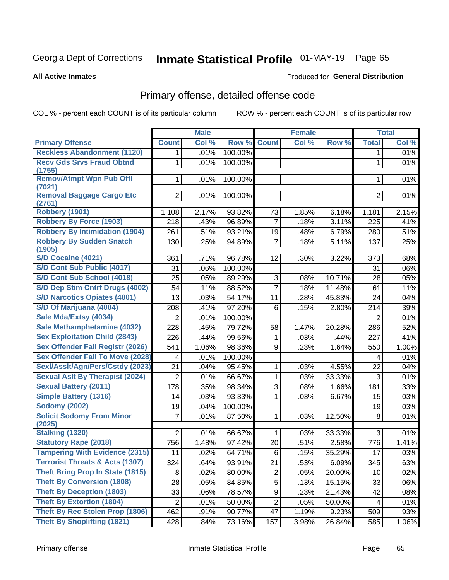# Inmate Statistical Profile 01-MAY-19 Page 65

#### **All Active Inmates**

#### Produced for General Distribution

# Primary offense, detailed offense code

COL % - percent each COUNT is of its particular column

|                                            |                | <b>Male</b> |         |                | <b>Female</b> |        |                | <b>Total</b> |
|--------------------------------------------|----------------|-------------|---------|----------------|---------------|--------|----------------|--------------|
| <b>Primary Offense</b>                     | <b>Count</b>   | Col %       | Row %   | <b>Count</b>   | CoI%          | Row %  | <b>Total</b>   | Col %        |
| <b>Reckless Abandonment (1120)</b>         | 1              | .01%        | 100.00% |                |               |        | 1              | .01%         |
| <b>Recv Gds Srvs Fraud Obtnd</b><br>(1755) | 1              | .01%        | 100.00% |                |               |        | 1              | .01%         |
| <b>Remov/Atmpt Wpn Pub Offl</b><br>(7021)  | 1              | .01%        | 100.00% |                |               |        | 1              | .01%         |
| <b>Removal Baggage Cargo Etc</b><br>(2761) | $\overline{2}$ | .01%        | 100.00% |                |               |        | $\overline{2}$ | .01%         |
| <b>Robbery (1901)</b>                      | 1,108          | 2.17%       | 93.82%  | 73             | 1.85%         | 6.18%  | 1,181          | 2.15%        |
| <b>Robbery By Force (1903)</b>             | 218            | .43%        | 96.89%  | $\overline{7}$ | .18%          | 3.11%  | 225            | .41%         |
| <b>Robbery By Intimidation (1904)</b>      | 261            | .51%        | 93.21%  | 19             | .48%          | 6.79%  | 280            | .51%         |
| <b>Robbery By Sudden Snatch</b><br>(1905)  | 130            | .25%        | 94.89%  | $\overline{7}$ | .18%          | 5.11%  | 137            | .25%         |
| <b>S/D Cocaine (4021)</b>                  | 361            | .71%        | 96.78%  | 12             | .30%          | 3.22%  | 373            | .68%         |
| S/D Cont Sub Public (4017)                 | 31             | .06%        | 100.00% |                |               |        | 31             | .06%         |
| S/D Cont Sub School (4018)                 | 25             | .05%        | 89.29%  | 3              | .08%          | 10.71% | 28             | .05%         |
| S/D Dep Stim Cntrf Drugs (4002)            | 54             | .11%        | 88.52%  | $\overline{7}$ | .18%          | 11.48% | 61             | .11%         |
| <b>S/D Narcotics Opiates (4001)</b>        | 13             | .03%        | 54.17%  | 11             | .28%          | 45.83% | 24             | .04%         |
| S/D Of Marijuana (4004)                    | 208            | .41%        | 97.20%  | 6              | .15%          | 2.80%  | 214            | .39%         |
| Sale Mda/Extsy (4034)                      | 2              | .01%        | 100.00% |                |               |        | $\overline{2}$ | .01%         |
| Sale Methamphetamine (4032)                | 228            | .45%        | 79.72%  | 58             | 1.47%         | 20.28% | 286            | .52%         |
| <b>Sex Exploitation Child (2843)</b>       | 226            | .44%        | 99.56%  | $\mathbf{1}$   | .03%          | .44%   | 227            | .41%         |
| <b>Sex Offender Fail Registr (2026)</b>    | 541            | 1.06%       | 98.36%  | 9              | .23%          | 1.64%  | 550            | 1.00%        |
| <b>Sex Offender Fail To Move (2028)</b>    | 4              | .01%        | 100.00% |                |               |        | 4              | .01%         |
| Sexl/Asslt/Agn/Pers/Cstdy (2023)           | 21             | .04%        | 95.45%  | $\mathbf{1}$   | .03%          | 4.55%  | 22             | .04%         |
| <b>Sexual Aslt By Therapist (2024)</b>     | $\overline{2}$ | .01%        | 66.67%  | $\mathbf{1}$   | .03%          | 33.33% | 3              | .01%         |
| <b>Sexual Battery (2011)</b>               | 178            | .35%        | 98.34%  | 3              | .08%          | 1.66%  | 181            | .33%         |
| <b>Simple Battery (1316)</b>               | 14             | .03%        | 93.33%  | $\mathbf{1}$   | .03%          | 6.67%  | 15             | .03%         |
| <b>Sodomy (2002)</b>                       | 19             | .04%        | 100.00% |                |               |        | 19             | .03%         |
| <b>Solicit Sodomy From Minor</b><br>(2025) | 7              | .01%        | 87.50%  | $\mathbf{1}$   | .03%          | 12.50% | 8              | .01%         |
| <b>Stalking (1320)</b>                     | $\overline{2}$ | .01%        | 66.67%  | $\mathbf{1}$   | .03%          | 33.33% | 3              | .01%         |
| <b>Statutory Rape (2018)</b>               | 756            | 1.48%       | 97.42%  | 20             | .51%          | 2.58%  | 776            | 1.41%        |
| <b>Tampering With Evidence (2315)</b>      | 11             | .02%        | 64.71%  | 6              | .15%          | 35.29% | 17             | .03%         |
| <b>Terrorist Threats &amp; Acts (1307)</b> | 324            | .64%        | 93.91%  | 21             | .53%          | 6.09%  | 345            | .63%         |
| <b>Theft Bring Prop In State (1815)</b>    | 8              | .02%        | 80.00%  | $\overline{2}$ | .05%          | 20.00% | 10             | .02%         |
| <b>Theft By Conversion (1808)</b>          | 28             | .05%        | 84.85%  | 5              | .13%          | 15.15% | 33             | .06%         |
| <b>Theft By Deception (1803)</b>           | 33             | .06%        | 78.57%  | 9              | .23%          | 21.43% | 42             | .08%         |
| <b>Theft By Extortion (1804)</b>           | $\overline{c}$ | .01%        | 50.00%  | $\overline{2}$ | .05%          | 50.00% | 4              | .01%         |
| Theft By Rec Stolen Prop (1806)            | 462            | .91%        | 90.77%  | 47             | 1.19%         | 9.23%  | 509            | .93%         |
| <b>Theft By Shoplifting (1821)</b>         | 428            | .84%        | 73.16%  | 157            | 3.98%         | 26.84% | 585            | 1.06%        |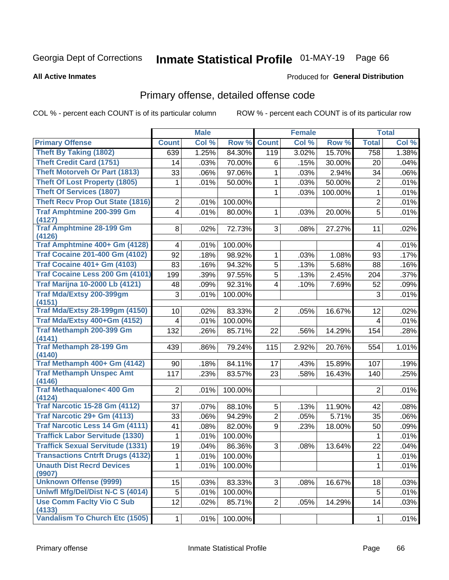# Inmate Statistical Profile 01-MAY-19 Page 66

#### **All Active Inmates**

#### Produced for General Distribution

# Primary offense, detailed offense code

COL % - percent each COUNT is of its particular column

|                                                |                         | <b>Male</b> |         |                | <b>Female</b> |         |                | <b>Total</b> |
|------------------------------------------------|-------------------------|-------------|---------|----------------|---------------|---------|----------------|--------------|
| <b>Primary Offense</b>                         | <b>Count</b>            | Col %       | Row %   | <b>Count</b>   | Col %         | Row %   | <b>Total</b>   | Col %        |
| <b>Theft By Taking (1802)</b>                  | $\overline{639}$        | 1.25%       | 84.30%  | 119            | 3.02%         | 15.70%  | 758            | 1.38%        |
| <b>Theft Credit Card (1751)</b>                | 14                      | .03%        | 70.00%  | 6              | .15%          | 30.00%  | 20             | .04%         |
| <b>Theft Motorveh Or Part (1813)</b>           | 33                      | .06%        | 97.06%  | 1              | .03%          | 2.94%   | 34             | .06%         |
| <b>Theft Of Lost Property (1805)</b>           | 1                       | .01%        | 50.00%  | 1              | .03%          | 50.00%  | $\overline{2}$ | .01%         |
| <b>Theft Of Services (1807)</b>                |                         |             |         | 1              | .03%          | 100.00% | 1              | .01%         |
| <b>Theft Recv Prop Out State (1816)</b>        | $\overline{2}$          | .01%        | 100.00% |                |               |         | $\overline{2}$ | .01%         |
| <b>Traf Amphtmine 200-399 Gm</b><br>(4127)     | 4                       | .01%        | 80.00%  | 1              | .03%          | 20.00%  | 5              | .01%         |
| <b>Traf Amphtmine 28-199 Gm</b><br>(4126)      | 8                       | .02%        | 72.73%  | 3              | .08%          | 27.27%  | 11             | .02%         |
| Traf Amphtmine 400+ Gm (4128)                  | $\overline{\mathbf{4}}$ | .01%        | 100.00% |                |               |         | 4              | .01%         |
| <b>Traf Cocaine 201-400 Gm (4102)</b>          | 92                      | .18%        | 98.92%  | 1              | .03%          | 1.08%   | 93             | .17%         |
| <b>Traf Cocaine 401+ Gm (4103)</b>             | 83                      | .16%        | 94.32%  | 5              | .13%          | 5.68%   | 88             | .16%         |
| Traf Cocaine Less 200 Gm (4101)                | 199                     | .39%        | 97.55%  | 5              | .13%          | 2.45%   | 204            | .37%         |
| <b>Traf Marijna 10-2000 Lb (4121)</b>          | 48                      | .09%        | 92.31%  | 4              | .10%          | 7.69%   | 52             | .09%         |
| <b>Traf Mda/Extsy 200-399gm</b>                | 3                       | .01%        | 100.00% |                |               |         | 3              | .01%         |
| (4151)                                         |                         |             |         |                |               |         |                |              |
| <b>Traf Mda/Extsy 28-199gm (4150)</b>          | 10 <sup>1</sup>         | .02%        | 83.33%  | $\overline{2}$ | .05%          | 16.67%  | 12             | .02%         |
| Traf Mda/Extsy 400+Gm (4152)                   | 4                       | .01%        | 100.00% |                |               |         | 4              | .01%         |
| Traf Methamph 200-399 Gm<br>(4141)             | 132                     | .26%        | 85.71%  | 22             | .56%          | 14.29%  | 154            | .28%         |
| <b>Traf Methamph 28-199 Gm</b><br>(4140)       | 439                     | .86%        | 79.24%  | 115            | 2.92%         | 20.76%  | 554            | 1.01%        |
| Traf Methamph 400+ Gm (4142)                   | 90                      | .18%        | 84.11%  | 17             | .43%          | 15.89%  | 107            | .19%         |
| <b>Traf Methamph Unspec Amt</b>                | 117                     | .23%        | 83.57%  | 23             | .58%          | 16.43%  | 140            | .25%         |
| (4146)                                         |                         |             |         |                |               |         |                |              |
| <b>Traf Methaqualone&lt; 400 Gm</b>            | $\overline{2}$          | .01%        | 100.00% |                |               |         | $\overline{2}$ | .01%         |
| (4124)<br><b>Traf Narcotic 15-28 Gm (4112)</b> | 37                      | .07%        | 88.10%  | 5              | .13%          | 11.90%  | 42             | .08%         |
| Traf Narcotic 29+ Gm (4113)                    | 33                      | .06%        | 94.29%  | $\overline{2}$ | .05%          | 5.71%   | 35             | .06%         |
| <b>Traf Narcotic Less 14 Gm (4111)</b>         | 41                      | .08%        | 82.00%  | 9              | .23%          | 18.00%  | 50             | .09%         |
| <b>Traffick Labor Servitude (1330)</b>         | 1                       | .01%        | 100.00% |                |               |         | 1              | .01%         |
| <b>Traffick Sexual Servitude (1331)</b>        | 19                      | .04%        | 86.36%  | 3              | .08%          | 13.64%  | 22             | .04%         |
| <b>Transactions Cntrft Drugs (4132)</b>        | 1                       | .01%        | 100.00% |                |               |         | $\mathbf{1}$   | .01%         |
| <b>Unauth Dist Recrd Devices</b>               | 1                       | .01%        | 100.00% |                |               |         | 1              | .01%         |
| (9907)                                         |                         |             |         |                |               |         |                |              |
| <b>Unknown Offense (9999)</b>                  | 15                      | .03%        | 83.33%  | 3              | .08%          | 16.67%  | 18             | .03%         |
| Uniwfl Mfg/Del/Dist N-C S (4014)               | 5                       | .01%        | 100.00% |                |               |         | 5              | .01%         |
| <b>Use Comm Facity Vio C Sub</b><br>(4133)     | 12                      | .02%        | 85.71%  | 2 <sup>1</sup> | .05%          | 14.29%  | 14             | .03%         |
| Vandalism To Church Etc (1505)                 | 1                       | .01%        | 100.00% |                |               |         | $\mathbf{1}$   | .01%         |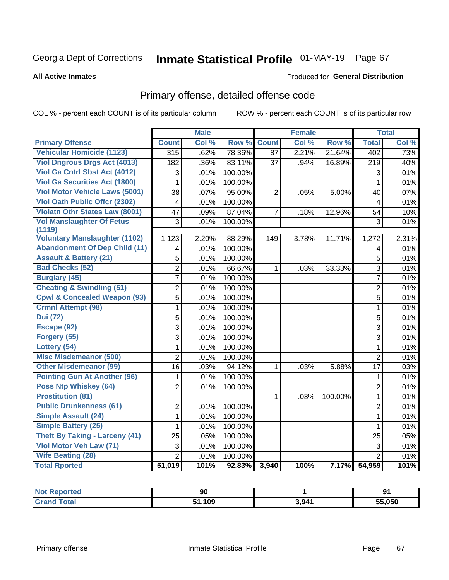# Inmate Statistical Profile 01-MAY-19 Page 67

#### **All Active Inmates**

#### Produced for General Distribution

# Primary offense, detailed offense code

COL % - percent each COUNT is of its particular column

|                                            |                         | <b>Male</b> |         |              | <b>Female</b> |         |                  | <b>Total</b> |
|--------------------------------------------|-------------------------|-------------|---------|--------------|---------------|---------|------------------|--------------|
| <b>Primary Offense</b>                     | <b>Count</b>            | Col %       | Row %   | <b>Count</b> | Col %         | Row %   | <b>Total</b>     | Col %        |
| <b>Vehicular Homicide (1123)</b>           | 315                     | .62%        | 78.36%  | 87           | 2.21%         | 21.64%  | $\overline{402}$ | .73%         |
| <b>Viol Dngrous Drgs Act (4013)</b>        | 182                     | .36%        | 83.11%  | 37           | .94%          | 16.89%  | 219              | .40%         |
| Viol Ga Cntrl Sbst Act (4012)              | 3                       | .01%        | 100.00% |              |               |         | 3                | .01%         |
| <b>Viol Ga Securities Act (1800)</b>       | 1                       | .01%        | 100.00% |              |               |         | $\mathbf{1}$     | .01%         |
| <b>Viol Motor Vehicle Laws (5001)</b>      | $\overline{38}$         | .07%        | 95.00%  | 2            | .05%          | 5.00%   | 40               | .07%         |
| <b>Viol Oath Public Offer (2302)</b>       | $\overline{4}$          | .01%        | 100.00% |              |               |         | 4                | .01%         |
| <b>Violatn Othr States Law (8001)</b>      | 47                      | .09%        | 87.04%  | 7            | .18%          | 12.96%  | 54               | .10%         |
| <b>Vol Manslaughter Of Fetus</b><br>(1119) | 3                       | .01%        | 100.00% |              |               |         | 3                | .01%         |
| <b>Voluntary Manslaughter (1102)</b>       | 1,123                   | 2.20%       | 88.29%  | 149          | 3.78%         | 11.71%  | 1,272            | 2.31%        |
| <b>Abandonment Of Dep Child (11)</b>       | $\overline{\mathbf{4}}$ | .01%        | 100.00% |              |               |         | 4                | .01%         |
| <b>Assault &amp; Battery (21)</b>          | 5                       | .01%        | 100.00% |              |               |         | 5                | .01%         |
| <b>Bad Checks (52)</b>                     | $\overline{2}$          | .01%        | 66.67%  | 1            | .03%          | 33.33%  | 3                | .01%         |
| <b>Burglary (45)</b>                       | $\overline{7}$          | .01%        | 100.00% |              |               |         | $\overline{7}$   | .01%         |
| <b>Cheating &amp; Swindling (51)</b>       | $\overline{2}$          | .01%        | 100.00% |              |               |         | $\overline{2}$   | .01%         |
| <b>Cpwl &amp; Concealed Weapon (93)</b>    | $\overline{5}$          | .01%        | 100.00% |              |               |         | $\overline{5}$   | .01%         |
| <b>Crmnl Attempt (98)</b>                  | $\mathbf{1}$            | .01%        | 100.00% |              |               |         | $\mathbf{1}$     | .01%         |
| <b>Dui</b> (72)                            | 5                       | .01%        | 100.00% |              |               |         | $\overline{5}$   | .01%         |
| Escape (92)                                | 3                       | .01%        | 100.00% |              |               |         | 3                | .01%         |
| Forgery (55)                               | 3                       | .01%        | 100.00% |              |               |         | 3                | .01%         |
| Lottery (54)                               | $\mathbf{1}$            | .01%        | 100.00% |              |               |         | $\mathbf 1$      | .01%         |
| <b>Misc Misdemeanor (500)</b>              | $\overline{2}$          | .01%        | 100.00% |              |               |         | $\overline{2}$   | .01%         |
| <b>Other Misdemeanor (99)</b>              | $\overline{16}$         | .03%        | 94.12%  | 1            | .03%          | 5.88%   | 17               | .03%         |
| <b>Pointing Gun At Another (96)</b>        | 1                       | .01%        | 100.00% |              |               |         | $\mathbf 1$      | .01%         |
| Poss Ntp Whiskey (64)                      | $\overline{2}$          | .01%        | 100.00% |              |               |         | $\overline{2}$   | .01%         |
| <b>Prostitution (81)</b>                   |                         |             |         | 1            | .03%          | 100.00% | 1                | .01%         |
| <b>Public Drunkenness (61)</b>             | $\overline{2}$          | .01%        | 100.00% |              |               |         | $\overline{2}$   | .01%         |
| <b>Simple Assault (24)</b>                 | $\mathbf{1}$            | .01%        | 100.00% |              |               |         | $\mathbf 1$      | .01%         |
| <b>Simple Battery (25)</b>                 | $\mathbf{1}$            | .01%        | 100.00% |              |               |         | $\mathbf{1}$     | .01%         |
| <b>Theft By Taking - Larceny (41)</b>      | 25                      | .05%        | 100.00% |              |               |         | 25               | .05%         |
| Viol Motor Veh Law (71)                    | 3                       | .01%        | 100.00% |              |               |         | $\overline{3}$   | .01%         |
| <b>Wife Beating (28)</b>                   | $\overline{2}$          | .01%        | 100.00% |              |               |         | $\overline{2}$   | .01%         |
| <b>Total Rported</b>                       | 51,019                  | 101%        | 92.83%  | 3,940        | 100%          | 7.17%   | 54,959           | 101%         |

| Reported<br>' NOT | 90   |       | Q1<br>◡ |
|-------------------|------|-------|---------|
| ™otar             | ,109 | 3,941 | 55.050  |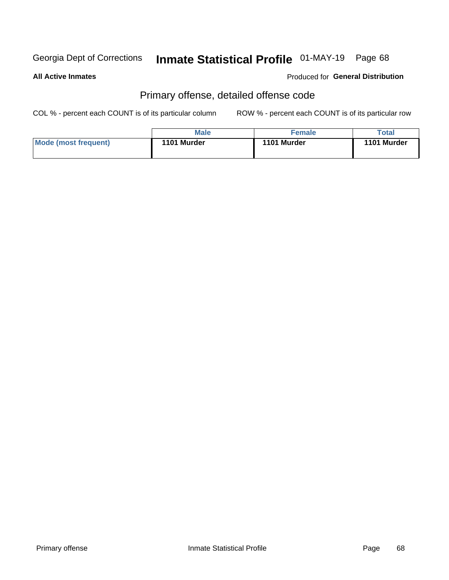# Inmate Statistical Profile 01-MAY-19 Page 68

#### **All Active Inmates**

#### Produced for General Distribution

# Primary offense, detailed offense code

COL % - percent each COUNT is of its particular column

|                      | <b>Male</b> | <b>Female</b> | Total       |
|----------------------|-------------|---------------|-------------|
| Mode (most frequent) | 1101 Murder | 1101 Murder   | 1101 Murder |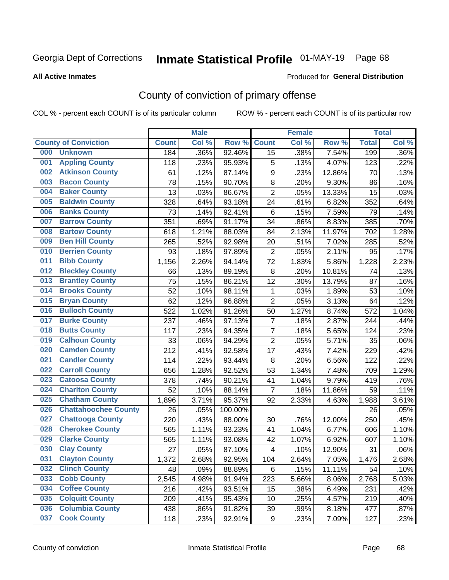# Inmate Statistical Profile 01-MAY-19 Page 68

#### **All Active Inmates**

#### Produced for General Distribution

# County of conviction of primary offense

COL % - percent each COUNT is of its particular column

|     |                             |              | <b>Male</b> |         |                         | <b>Female</b> |        |              | <b>Total</b> |
|-----|-----------------------------|--------------|-------------|---------|-------------------------|---------------|--------|--------------|--------------|
|     | <b>County of Conviction</b> | <b>Count</b> | Col %       | Row %   | <b>Count</b>            | Col %         | Row %  | <b>Total</b> | Col %        |
| 000 | <b>Unknown</b>              | 184          | .36%        | 92.46%  | 15                      | .38%          | 7.54%  | 199          | .36%         |
| 001 | <b>Appling County</b>       | 118          | .23%        | 95.93%  | 5                       | .13%          | 4.07%  | 123          | .22%         |
| 002 | <b>Atkinson County</b>      | 61           | .12%        | 87.14%  | $\boldsymbol{9}$        | .23%          | 12.86% | 70           | .13%         |
| 003 | <b>Bacon County</b>         | 78           | .15%        | 90.70%  | 8                       | .20%          | 9.30%  | 86           | .16%         |
| 004 | <b>Baker County</b>         | 13           | .03%        | 86.67%  | $\overline{2}$          | .05%          | 13.33% | 15           | .03%         |
| 005 | <b>Baldwin County</b>       | 328          | .64%        | 93.18%  | 24                      | .61%          | 6.82%  | 352          | .64%         |
| 006 | <b>Banks County</b>         | 73           | .14%        | 92.41%  | $\,6$                   | .15%          | 7.59%  | 79           | .14%         |
| 007 | <b>Barrow County</b>        | 351          | .69%        | 91.17%  | 34                      | .86%          | 8.83%  | 385          | .70%         |
| 008 | <b>Bartow County</b>        | 618          | 1.21%       | 88.03%  | 84                      | 2.13%         | 11.97% | 702          | 1.28%        |
| 009 | <b>Ben Hill County</b>      | 265          | .52%        | 92.98%  | 20                      | .51%          | 7.02%  | 285          | .52%         |
| 010 | <b>Berrien County</b>       | 93           | .18%        | 97.89%  | $\mathbf 2$             | .05%          | 2.11%  | 95           | .17%         |
| 011 | <b>Bibb County</b>          | 1,156        | 2.26%       | 94.14%  | 72                      | 1.83%         | 5.86%  | 1,228        | 2.23%        |
| 012 | <b>Bleckley County</b>      | 66           | .13%        | 89.19%  | 8                       | .20%          | 10.81% | 74           | .13%         |
| 013 | <b>Brantley County</b>      | 75           | .15%        | 86.21%  | 12                      | .30%          | 13.79% | 87           | .16%         |
| 014 | <b>Brooks County</b>        | 52           | .10%        | 98.11%  | 1                       | .03%          | 1.89%  | 53           | .10%         |
| 015 | <b>Bryan County</b>         | 62           | .12%        | 96.88%  | $\overline{2}$          | .05%          | 3.13%  | 64           | .12%         |
| 016 | <b>Bulloch County</b>       | 522          | 1.02%       | 91.26%  | 50                      | 1.27%         | 8.74%  | 572          | 1.04%        |
| 017 | <b>Burke County</b>         | 237          | .46%        | 97.13%  | $\overline{7}$          | .18%          | 2.87%  | 244          | .44%         |
| 018 | <b>Butts County</b>         | 117          | .23%        | 94.35%  | $\overline{7}$          | .18%          | 5.65%  | 124          | .23%         |
| 019 | <b>Calhoun County</b>       | 33           | .06%        | 94.29%  | $\overline{2}$          | .05%          | 5.71%  | 35           | .06%         |
| 020 | <b>Camden County</b>        | 212          | .41%        | 92.58%  | 17                      | .43%          | 7.42%  | 229          | .42%         |
| 021 | <b>Candler County</b>       | 114          | .22%        | 93.44%  | 8                       | .20%          | 6.56%  | 122          | .22%         |
| 022 | <b>Carroll County</b>       | 656          | 1.28%       | 92.52%  | 53                      | 1.34%         | 7.48%  | 709          | 1.29%        |
| 023 | <b>Catoosa County</b>       | 378          | .74%        | 90.21%  | 41                      | 1.04%         | 9.79%  | 419          | .76%         |
| 024 | <b>Charlton County</b>      | 52           | .10%        | 88.14%  | $\overline{7}$          | .18%          | 11.86% | 59           | .11%         |
| 025 | <b>Chatham County</b>       | 1,896        | 3.71%       | 95.37%  | 92                      | 2.33%         | 4.63%  | 1,988        | 3.61%        |
| 026 | <b>Chattahoochee County</b> | 26           | .05%        | 100.00% |                         |               |        | 26           | .05%         |
| 027 | <b>Chattooga County</b>     | 220          | .43%        | 88.00%  | 30                      | .76%          | 12.00% | 250          | .45%         |
| 028 | <b>Cherokee County</b>      | 565          | 1.11%       | 93.23%  | 41                      | 1.04%         | 6.77%  | 606          | 1.10%        |
| 029 | <b>Clarke County</b>        | 565          | 1.11%       | 93.08%  | 42                      | 1.07%         | 6.92%  | 607          | 1.10%        |
| 030 | <b>Clay County</b>          | 27           | .05%        | 87.10%  | $\overline{\mathbf{4}}$ | .10%          | 12.90% | 31           | .06%         |
| 031 | <b>Clayton County</b>       | 1,372        | 2.68%       | 92.95%  | 104                     | 2.64%         | 7.05%  | 1,476        | 2.68%        |
| 032 | <b>Clinch County</b>        | 48           | .09%        | 88.89%  | 6                       | .15%          | 11.11% | 54           | .10%         |
| 033 | <b>Cobb County</b>          | 2,545        | 4.98%       | 91.94%  | 223                     | 5.66%         | 8.06%  | 2,768        | 5.03%        |
| 034 | <b>Coffee County</b>        | 216          | .42%        | 93.51%  | 15                      | .38%          | 6.49%  | 231          | .42%         |
| 035 | <b>Colquitt County</b>      | 209          | .41%        | 95.43%  | 10                      | .25%          | 4.57%  | 219          | .40%         |
| 036 | <b>Columbia County</b>      | 438          | .86%        | 91.82%  | 39                      | .99%          | 8.18%  | 477          | .87%         |
| 037 | <b>Cook County</b>          | 118          | .23%        | 92.91%  | 9                       | .23%          | 7.09%  | 127          | .23%         |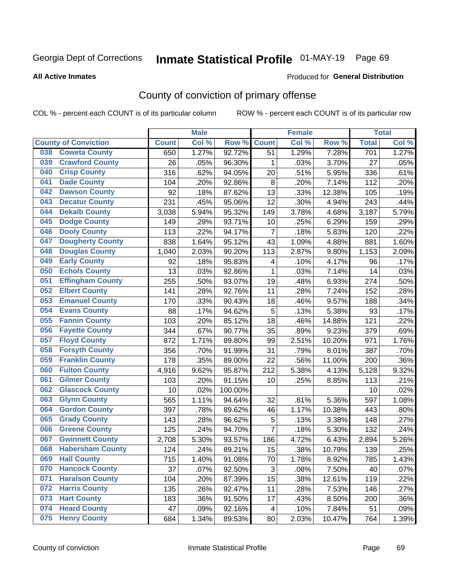# Inmate Statistical Profile 01-MAY-19 Page 69

**All Active Inmates** 

#### Produced for General Distribution

# County of conviction of primary offense

COL % - percent each COUNT is of its particular column

|     |                             |              | <b>Male</b> |         |                | <b>Female</b> |        |              | <b>Total</b> |
|-----|-----------------------------|--------------|-------------|---------|----------------|---------------|--------|--------------|--------------|
|     | <b>County of Conviction</b> | <b>Count</b> | Col %       | Row %   | <b>Count</b>   | Col %         | Row %  | <b>Total</b> | Col %        |
| 038 | <b>Coweta County</b>        | 650          | 1.27%       | 92.72%  | 51             | 1.29%         | 7.28%  | 701          | 1.27%        |
| 039 | <b>Crawford County</b>      | 26           | .05%        | 96.30%  | 1              | .03%          | 3.70%  | 27           | .05%         |
| 040 | <b>Crisp County</b>         | 316          | .62%        | 94.05%  | 20             | .51%          | 5.95%  | 336          | .61%         |
| 041 | <b>Dade County</b>          | 104          | .20%        | 92.86%  | 8              | .20%          | 7.14%  | 112          | .20%         |
| 042 | <b>Dawson County</b>        | 92           | .18%        | 87.62%  | 13             | .33%          | 12.38% | 105          | .19%         |
| 043 | <b>Decatur County</b>       | 231          | .45%        | 95.06%  | 12             | .30%          | 4.94%  | 243          | .44%         |
| 044 | <b>Dekalb County</b>        | 3,038        | 5.94%       | 95.32%  | 149            | 3.78%         | 4.68%  | 3,187        | 5.79%        |
| 045 | <b>Dodge County</b>         | 149          | .29%        | 93.71%  | 10             | .25%          | 6.29%  | 159          | .29%         |
| 046 | <b>Dooly County</b>         | 113          | .22%        | 94.17%  | $\overline{7}$ | .18%          | 5.83%  | 120          | .22%         |
| 047 | <b>Dougherty County</b>     | 838          | 1.64%       | 95.12%  | 43             | 1.09%         | 4.88%  | 881          | 1.60%        |
| 048 | <b>Douglas County</b>       | 1,040        | 2.03%       | 90.20%  | 113            | 2.87%         | 9.80%  | 1,153        | 2.09%        |
| 049 | <b>Early County</b>         | 92           | .18%        | 95.83%  | 4              | .10%          | 4.17%  | 96           | .17%         |
| 050 | <b>Echols County</b>        | 13           | .03%        | 92.86%  | $\mathbf{1}$   | .03%          | 7.14%  | 14           | .03%         |
| 051 | <b>Effingham County</b>     | 255          | .50%        | 93.07%  | 19             | .48%          | 6.93%  | 274          | .50%         |
| 052 | <b>Elbert County</b>        | 141          | .28%        | 92.76%  | 11             | .28%          | 7.24%  | 152          | .28%         |
| 053 | <b>Emanuel County</b>       | 170          | .33%        | 90.43%  | 18             | .46%          | 9.57%  | 188          | .34%         |
| 054 | <b>Evans County</b>         | 88           | .17%        | 94.62%  | 5              | .13%          | 5.38%  | 93           | .17%         |
| 055 | <b>Fannin County</b>        | 103          | .20%        | 85.12%  | 18             | .46%          | 14.88% | 121          | .22%         |
| 056 | <b>Fayette County</b>       | 344          | .67%        | 90.77%  | 35             | .89%          | 9.23%  | 379          | .69%         |
| 057 | <b>Floyd County</b>         | 872          | 1.71%       | 89.80%  | 99             | 2.51%         | 10.20% | 971          | 1.76%        |
| 058 | <b>Forsyth County</b>       | 356          | .70%        | 91.99%  | 31             | .79%          | 8.01%  | 387          | .70%         |
| 059 | <b>Franklin County</b>      | 178          | .35%        | 89.00%  | 22             | .56%          | 11.00% | 200          | .36%         |
| 060 | <b>Fulton County</b>        | 4,916        | 9.62%       | 95.87%  | 212            | 5.38%         | 4.13%  | 5,128        | 9.32%        |
| 061 | <b>Gilmer County</b>        | 103          | .20%        | 91.15%  | 10             | .25%          | 8.85%  | 113          | .21%         |
| 062 | <b>Glascock County</b>      | 10           | .02%        | 100.00% |                |               |        | 10           | .02%         |
| 063 | <b>Glynn County</b>         | 565          | 1.11%       | 94.64%  | 32             | .81%          | 5.36%  | 597          | 1.08%        |
| 064 | <b>Gordon County</b>        | 397          | .78%        | 89.62%  | 46             | 1.17%         | 10.38% | 443          | .80%         |
| 065 | <b>Grady County</b>         | 143          | .28%        | 96.62%  | 5              | .13%          | 3.38%  | 148          | .27%         |
| 066 | <b>Greene County</b>        | 125          | .24%        | 94.70%  | $\overline{7}$ | .18%          | 5.30%  | 132          | .24%         |
| 067 | <b>Gwinnett County</b>      | 2,708        | 5.30%       | 93.57%  | 186            | 4.72%         | 6.43%  | 2,894        | 5.26%        |
| 068 | <b>Habersham County</b>     | 124          | .24%        | 89.21%  | 15             | .38%          | 10.79% | 139          | .25%         |
| 069 | <b>Hall County</b>          | 715          | 1.40%       | 91.08%  | 70             | 1.78%         | 8.92%  | 785          | 1.43%        |
| 070 | <b>Hancock County</b>       | 37           | .07%        | 92.50%  | 3              | .08%          | 7.50%  | 40           | .07%         |
| 071 | <b>Haralson County</b>      | 104          | .20%        | 87.39%  | 15             | .38%          | 12.61% | 119          | .22%         |
| 072 | <b>Harris County</b>        | 135          | .26%        | 92.47%  | 11             | .28%          | 7.53%  | 146          | .27%         |
| 073 | <b>Hart County</b>          | 183          | .36%        | 91.50%  | 17             | .43%          | 8.50%  | 200          | .36%         |
| 074 | <b>Heard County</b>         | 47           | .09%        | 92.16%  | 4              | .10%          | 7.84%  | 51           | .09%         |
| 075 | <b>Henry County</b>         | 684          | 1.34%       | 89.53%  | 80             | 2.03%         | 10.47% | 764          | 1.39%        |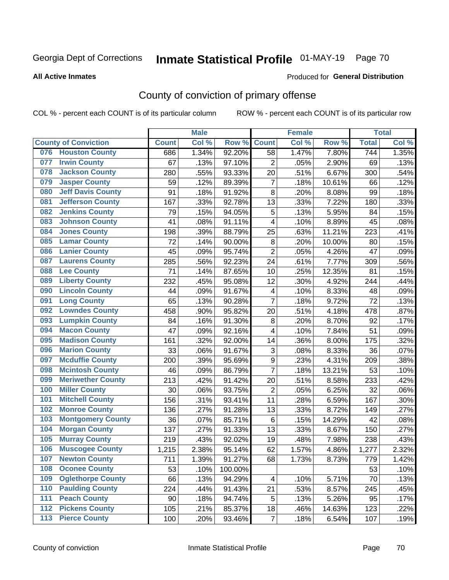# Inmate Statistical Profile 01-MAY-19 Page 70

#### **All Active Inmates**

### **Produced for General Distribution**

# County of conviction of primary offense

COL % - percent each COUNT is of its particular column

|     |                             |              | <b>Male</b> |         |                         | <b>Female</b> |        |                  | <b>Total</b> |
|-----|-----------------------------|--------------|-------------|---------|-------------------------|---------------|--------|------------------|--------------|
|     | <b>County of Conviction</b> | <b>Count</b> | Col %       | Row %   | <b>Count</b>            | Col %         | Row %  | <b>Total</b>     | Col %        |
| 076 | <b>Houston County</b>       | 686          | 1.34%       | 92.20%  | 58                      | 1.47%         | 7.80%  | $\overline{744}$ | 1.35%        |
| 077 | <b>Irwin County</b>         | 67           | .13%        | 97.10%  | $\overline{2}$          | .05%          | 2.90%  | 69               | .13%         |
| 078 | <b>Jackson County</b>       | 280          | .55%        | 93.33%  | 20                      | .51%          | 6.67%  | 300              | .54%         |
| 079 | <b>Jasper County</b>        | 59           | .12%        | 89.39%  | $\overline{7}$          | .18%          | 10.61% | 66               | .12%         |
| 080 | <b>Jeff Davis County</b>    | 91           | .18%        | 91.92%  | 8                       | .20%          | 8.08%  | 99               | .18%         |
| 081 | <b>Jefferson County</b>     | 167          | .33%        | 92.78%  | 13                      | .33%          | 7.22%  | 180              | .33%         |
| 082 | <b>Jenkins County</b>       | 79           | .15%        | 94.05%  | $\mathbf 5$             | .13%          | 5.95%  | 84               | .15%         |
| 083 | <b>Johnson County</b>       | 41           | .08%        | 91.11%  | 4                       | .10%          | 8.89%  | 45               | .08%         |
| 084 | <b>Jones County</b>         | 198          | .39%        | 88.79%  | 25                      | .63%          | 11.21% | 223              | .41%         |
| 085 | <b>Lamar County</b>         | 72           | .14%        | 90.00%  | 8                       | .20%          | 10.00% | 80               | .15%         |
| 086 | <b>Lanier County</b>        | 45           | .09%        | 95.74%  | $\overline{2}$          | .05%          | 4.26%  | 47               | .09%         |
| 087 | <b>Laurens County</b>       | 285          | .56%        | 92.23%  | 24                      | .61%          | 7.77%  | 309              | .56%         |
| 088 | <b>Lee County</b>           | 71           | .14%        | 87.65%  | 10                      | .25%          | 12.35% | 81               | .15%         |
| 089 | <b>Liberty County</b>       | 232          | .45%        | 95.08%  | 12                      | .30%          | 4.92%  | 244              | .44%         |
| 090 | <b>Lincoln County</b>       | 44           | .09%        | 91.67%  | $\overline{\mathbf{4}}$ | .10%          | 8.33%  | 48               | .09%         |
| 091 | <b>Long County</b>          | 65           | .13%        | 90.28%  | $\overline{7}$          | .18%          | 9.72%  | 72               | .13%         |
| 092 | <b>Lowndes County</b>       | 458          | .90%        | 95.82%  | 20                      | .51%          | 4.18%  | 478              | .87%         |
| 093 | <b>Lumpkin County</b>       | 84           | .16%        | 91.30%  | 8                       | .20%          | 8.70%  | 92               | .17%         |
| 094 | <b>Macon County</b>         | 47           | .09%        | 92.16%  | 4                       | .10%          | 7.84%  | 51               | .09%         |
| 095 | <b>Madison County</b>       | 161          | .32%        | 92.00%  | 14                      | .36%          | 8.00%  | 175              | .32%         |
| 096 | <b>Marion County</b>        | 33           | .06%        | 91.67%  | 3                       | .08%          | 8.33%  | 36               | .07%         |
| 097 | <b>Mcduffie County</b>      | 200          | .39%        | 95.69%  | 9                       | .23%          | 4.31%  | 209              | .38%         |
| 098 | <b>Mcintosh County</b>      | 46           | .09%        | 86.79%  | $\overline{7}$          | .18%          | 13.21% | 53               | .10%         |
| 099 | <b>Meriwether County</b>    | 213          | .42%        | 91.42%  | 20                      | .51%          | 8.58%  | 233              | .42%         |
| 100 | <b>Miller County</b>        | 30           | .06%        | 93.75%  | $\overline{2}$          | .05%          | 6.25%  | 32               | .06%         |
| 101 | <b>Mitchell County</b>      | 156          | .31%        | 93.41%  | 11                      | .28%          | 6.59%  | 167              | .30%         |
| 102 | <b>Monroe County</b>        | 136          | .27%        | 91.28%  | 13                      | .33%          | 8.72%  | 149              | .27%         |
| 103 | <b>Montgomery County</b>    | 36           | .07%        | 85.71%  | 6                       | .15%          | 14.29% | 42               | .08%         |
| 104 | <b>Morgan County</b>        | 137          | .27%        | 91.33%  | 13                      | .33%          | 8.67%  | 150              | .27%         |
| 105 | <b>Murray County</b>        | 219          | .43%        | 92.02%  | 19                      | .48%          | 7.98%  | 238              | .43%         |
| 106 | <b>Muscogee County</b>      | 1,215        | 2.38%       | 95.14%  | 62                      | 1.57%         | 4.86%  | 1,277            | 2.32%        |
| 107 | <b>Newton County</b>        | 711          | 1.39%       | 91.27%  | 68                      | 1.73%         | 8.73%  | 779              | 1.42%        |
| 108 | <b>Oconee County</b>        | 53           | .10%        | 100.00% |                         |               |        | 53               | .10%         |
| 109 | <b>Oglethorpe County</b>    | 66           | .13%        | 94.29%  | 4                       | .10%          | 5.71%  | 70               | .13%         |
| 110 | <b>Paulding County</b>      | 224          | .44%        | 91.43%  | 21                      | .53%          | 8.57%  | 245              | .45%         |
| 111 | <b>Peach County</b>         | 90           | .18%        | 94.74%  | 5                       | .13%          | 5.26%  | 95               | .17%         |
| 112 | <b>Pickens County</b>       | 105          | .21%        | 85.37%  | 18                      | .46%          | 14.63% | 123              | .22%         |
| 113 | <b>Pierce County</b>        | 100          | .20%        | 93.46%  | $\overline{7}$          | .18%          | 6.54%  | 107              | .19%         |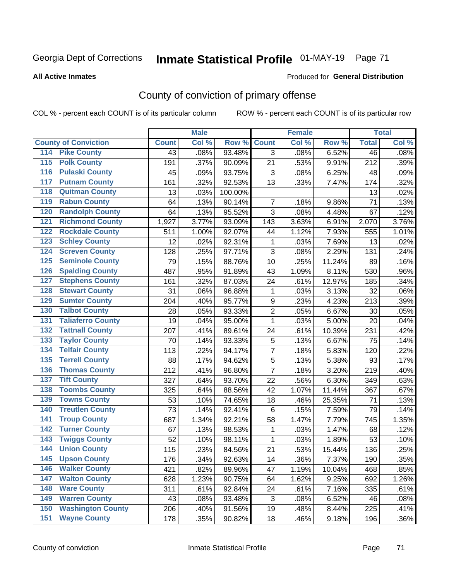# Inmate Statistical Profile 01-MAY-19 Page 71

#### **All Active Inmates**

#### **Produced for General Distribution**

# County of conviction of primary offense

COL % - percent each COUNT is of its particular column

|                                          |              | <b>Male</b> |         |                | <b>Female</b> |        |                 | <b>Total</b> |
|------------------------------------------|--------------|-------------|---------|----------------|---------------|--------|-----------------|--------------|
| <b>County of Conviction</b>              | <b>Count</b> | Col %       | Row %   | <b>Count</b>   | Col %         | Row %  | <b>Total</b>    | Col %        |
| <b>Pike County</b><br>114                | 43           | .08%        | 93.48%  | 3              | .08%          | 6.52%  | $\overline{46}$ | .08%         |
| <b>Polk County</b><br>$\overline{115}$   | 191          | .37%        | 90.09%  | 21             | .53%          | 9.91%  | 212             | .39%         |
| <b>Pulaski County</b><br>116             | 45           | .09%        | 93.75%  | 3              | .08%          | 6.25%  | 48              | .09%         |
| <b>Putnam County</b><br>117              | 161          | .32%        | 92.53%  | 13             | .33%          | 7.47%  | 174             | .32%         |
| <b>Quitman County</b><br>118             | 13           | .03%        | 100.00% |                |               |        | 13              | .02%         |
| <b>Rabun County</b><br>119               | 64           | .13%        | 90.14%  | $\overline{7}$ | .18%          | 9.86%  | 71              | .13%         |
| <b>Randolph County</b><br>120            | 64           | .13%        | 95.52%  | 3              | .08%          | 4.48%  | 67              | .12%         |
| <b>Richmond County</b><br>121            | 1,927        | 3.77%       | 93.09%  | 143            | 3.63%         | 6.91%  | 2,070           | 3.76%        |
| <b>Rockdale County</b><br>122            | 511          | 1.00%       | 92.07%  | 44             | 1.12%         | 7.93%  | 555             | 1.01%        |
| <b>Schley County</b><br>123              | 12           | .02%        | 92.31%  | 1              | .03%          | 7.69%  | 13              | .02%         |
| <b>Screven County</b><br>124             | 128          | .25%        | 97.71%  | 3              | .08%          | 2.29%  | 131             | .24%         |
| <b>Seminole County</b><br>125            | 79           | .15%        | 88.76%  | 10             | .25%          | 11.24% | 89              | .16%         |
| <b>Spalding County</b><br>126            | 487          | .95%        | 91.89%  | 43             | 1.09%         | 8.11%  | 530             | .96%         |
| <b>Stephens County</b><br>127            | 161          | .32%        | 87.03%  | 24             | .61%          | 12.97% | 185             | .34%         |
| <b>Stewart County</b><br>128             | 31           | .06%        | 96.88%  | 1              | .03%          | 3.13%  | 32              | .06%         |
| <b>Sumter County</b><br>129              | 204          | .40%        | 95.77%  | 9              | .23%          | 4.23%  | 213             | .39%         |
| <b>Talbot County</b><br>130              | 28           | .05%        | 93.33%  | $\overline{2}$ | .05%          | 6.67%  | 30              | .05%         |
| <b>Taliaferro County</b><br>131          | 19           | .04%        | 95.00%  | 1              | .03%          | 5.00%  | 20              | .04%         |
| <b>Tattnall County</b><br>132            | 207          | .41%        | 89.61%  | 24             | .61%          | 10.39% | 231             | .42%         |
| <b>Taylor County</b><br>133              | 70           | .14%        | 93.33%  | 5              | .13%          | 6.67%  | 75              | .14%         |
| <b>Telfair County</b><br>134             | 113          | .22%        | 94.17%  | $\overline{7}$ | .18%          | 5.83%  | 120             | .22%         |
| <b>Terrell County</b><br>135             | 88           | .17%        | 94.62%  | 5              | .13%          | 5.38%  | 93              | .17%         |
| <b>Thomas County</b><br>136              | 212          | .41%        | 96.80%  | $\overline{7}$ | .18%          | 3.20%  | 219             | .40%         |
| <b>Tift County</b><br>137                | 327          | .64%        | 93.70%  | 22             | .56%          | 6.30%  | 349             | .63%         |
| <b>Toombs County</b><br>138              | 325          | .64%        | 88.56%  | 42             | 1.07%         | 11.44% | 367             | .67%         |
| <b>Towns County</b><br>139               | 53           | .10%        | 74.65%  | 18             | .46%          | 25.35% | 71              | .13%         |
| <b>Treutlen County</b><br>140            | 73           | .14%        | 92.41%  | 6              | .15%          | 7.59%  | 79              | .14%         |
| <b>Troup County</b><br>141               | 687          | 1.34%       | 92.21%  | 58             | 1.47%         | 7.79%  | 745             | 1.35%        |
| <b>Turner County</b><br>142              | 67           | .13%        | 98.53%  | 1              | .03%          | 1.47%  | 68              | .12%         |
| <b>Twiggs County</b><br>$\overline{143}$ | 52           | .10%        | 98.11%  | 1              | .03%          | 1.89%  | 53              | .10%         |
| <b>Union County</b><br>144               | 115          | .23%        | 84.56%  | 21             | .53%          | 15.44% | 136             | .25%         |
| 145<br><b>Upson County</b>               | 176          | .34%        | 92.63%  | 14             | .36%          | 7.37%  | 190             | .35%         |
| <b>Walker County</b><br>146              | 421          | .82%        | 89.96%  | 47             | 1.19%         | 10.04% | 468             | .85%         |
| <b>Walton County</b><br>147              | 628          | 1.23%       | 90.75%  | 64             | 1.62%         | 9.25%  | 692             | 1.26%        |
| <b>Ware County</b><br>148                | 311          | .61%        | 92.84%  | 24             | .61%          | 7.16%  | 335             | .61%         |
| <b>Warren County</b><br>149              | 43           | .08%        | 93.48%  | 3              | .08%          | 6.52%  | 46              | .08%         |
| <b>Washington County</b><br>150          | 206          | .40%        | 91.56%  | 19             | .48%          | 8.44%  | 225             | .41%         |
| <b>Wayne County</b><br>151               | 178          | .35%        | 90.82%  | 18             | .46%          | 9.18%  | 196             | $.36\%$      |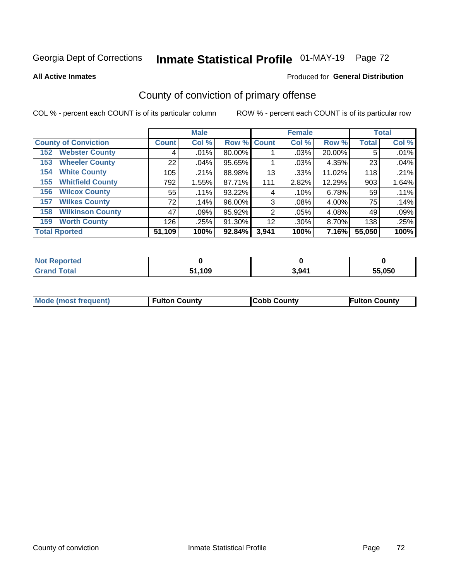# Inmate Statistical Profile 01-MAY-19 Page 72

**All Active Inmates** 

#### Produced for General Distribution

# County of conviction of primary offense

COL % - percent each COUNT is of its particular column

|                                |                    | <b>Male</b> |             |       | <b>Female</b> |          |              | <b>Total</b> |
|--------------------------------|--------------------|-------------|-------------|-------|---------------|----------|--------------|--------------|
| <b>County of Conviction</b>    | Count <sup>1</sup> | Col %       | Row % Count |       | Col %         | Row %    | <b>Total</b> | Col %        |
| <b>Webster County</b><br>152   | 4                  | .01%        | 80.00%      |       | $.03\%$       | 20.00%   | 5            | .01%         |
| <b>Wheeler County</b><br>153   | 22                 | .04%        | 95.65%      |       | .03%          | 4.35%    | 23           | .04%         |
| <b>White County</b><br>154     | 105                | .21%        | 88.98%      | 13    | .33%          | 11.02%   | 118          | .21%         |
| <b>Whitfield County</b><br>155 | 792                | 1.55%       | 87.71%      | 111   | 2.82%         | 12.29%   | 903          | 1.64%        |
| <b>Wilcox County</b><br>156    | 55                 | .11%        | 93.22%      | 4     | .10%          | $6.78\%$ | 59           | .11%         |
| <b>Wilkes County</b><br>157    | 72 <sub>1</sub>    | .14%        | 96.00%      | 3     | .08%          | 4.00%    | 75           | .14%         |
| <b>Wilkinson County</b><br>158 | 47                 | .09%        | 95.92%      | 2     | .05%          | 4.08%    | 49           | .09%         |
| <b>Worth County</b><br>159     | 126                | .25%        | 91.30%      | 12    | .30%          | 8.70%    | 138          | .25%         |
| <b>Total Rported</b>           | 51,109             | 100%        | 92.84%      | 3,941 | 100%          | 7.16%    | 55,050       | 100%         |

| <b>Not Reported</b> |        |       |        |
|---------------------|--------|-------|--------|
| $\tau$ otar         | 51,109 | 3,941 | 55,050 |

| <b>Mode (most frequent)</b> | <b>Fulton County</b> | <b>ICobb County</b> | <b>Fulton County</b> |
|-----------------------------|----------------------|---------------------|----------------------|
|                             |                      |                     |                      |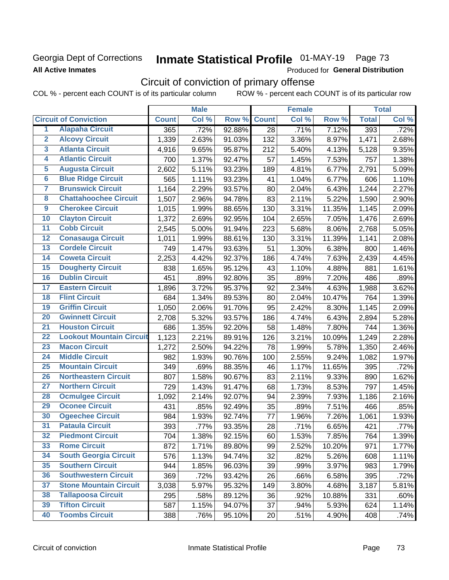### Georgia Dept of Corrections **All Active Inmates**

# Inmate Statistical Profile 01-MAY-19 Page 73

Produced for General Distribution

# Circuit of conviction of primary offense

COL % - percent each COUNT is of its particular column ROW % - percent each COUNT is of its particular row

|                         |                                 |              | <b>Male</b> |        |              | <b>Female</b> |        |              | <b>Total</b> |
|-------------------------|---------------------------------|--------------|-------------|--------|--------------|---------------|--------|--------------|--------------|
|                         | <b>Circuit of Conviction</b>    | <b>Count</b> | Col %       | Row %  | <b>Count</b> | Col %         | Row %  | <b>Total</b> | Col %        |
| 1                       | <b>Alapaha Circuit</b>          | 365          | .72%        | 92.88% | 28           | .71%          | 7.12%  | 393          | .72%         |
| $\overline{2}$          | <b>Alcovy Circuit</b>           | 1,339        | 2.63%       | 91.03% | 132          | 3.36%         | 8.97%  | 1,471        | 2.68%        |
| $\overline{\mathbf{3}}$ | <b>Atlanta Circuit</b>          | 4,916        | 9.65%       | 95.87% | 212          | 5.40%         | 4.13%  | 5,128        | 9.35%        |
| 4                       | <b>Atlantic Circuit</b>         | 700          | 1.37%       | 92.47% | 57           | 1.45%         | 7.53%  | 757          | 1.38%        |
| $\overline{5}$          | <b>Augusta Circuit</b>          | 2,602        | 5.11%       | 93.23% | 189          | 4.81%         | 6.77%  | 2,791        | 5.09%        |
| $\overline{\bf{6}}$     | <b>Blue Ridge Circuit</b>       | 565          | 1.11%       | 93.23% | 41           | 1.04%         | 6.77%  | 606          | 1.10%        |
| 7                       | <b>Brunswick Circuit</b>        | 1,164        | 2.29%       | 93.57% | 80           | 2.04%         | 6.43%  | 1,244        | 2.27%        |
| $\overline{\mathbf{8}}$ | <b>Chattahoochee Circuit</b>    | 1,507        | 2.96%       | 94.78% | 83           | 2.11%         | 5.22%  | 1,590        | 2.90%        |
| $\overline{9}$          | <b>Cherokee Circuit</b>         | 1,015        | 1.99%       | 88.65% | 130          | 3.31%         | 11.35% | 1,145        | 2.09%        |
| 10                      | <b>Clayton Circuit</b>          | 1,372        | 2.69%       | 92.95% | 104          | 2.65%         | 7.05%  | 1,476        | 2.69%        |
| $\overline{11}$         | <b>Cobb Circuit</b>             | 2,545        | 5.00%       | 91.94% | 223          | 5.68%         | 8.06%  | 2,768        | 5.05%        |
| $\overline{12}$         | <b>Conasauga Circuit</b>        | 1,011        | 1.99%       | 88.61% | 130          | 3.31%         | 11.39% | 1,141        | 2.08%        |
| 13                      | <b>Cordele Circuit</b>          | 749          | 1.47%       | 93.63% | 51           | 1.30%         | 6.38%  | 800          | 1.46%        |
| $\overline{14}$         | <b>Coweta Circuit</b>           | 2,253        | 4.42%       | 92.37% | 186          | 4.74%         | 7.63%  | 2,439        | 4.45%        |
| 15                      | <b>Dougherty Circuit</b>        | 838          | 1.65%       | 95.12% | 43           | 1.10%         | 4.88%  | 881          | 1.61%        |
| 16                      | <b>Dublin Circuit</b>           | 451          | .89%        | 92.80% | 35           | .89%          | 7.20%  | 486          | .89%         |
| 17                      | <b>Eastern Circuit</b>          | 1,896        | 3.72%       | 95.37% | 92           | 2.34%         | 4.63%  | 1,988        | 3.62%        |
| $\overline{18}$         | <b>Flint Circuit</b>            | 684          | 1.34%       | 89.53% | 80           | 2.04%         | 10.47% | 764          | 1.39%        |
| 19                      | <b>Griffin Circuit</b>          | 1,050        | 2.06%       | 91.70% | 95           | 2.42%         | 8.30%  | 1,145        | 2.09%        |
| $\overline{20}$         | <b>Gwinnett Circuit</b>         | 2,708        | 5.32%       | 93.57% | 186          | 4.74%         | 6.43%  | 2,894        | 5.28%        |
| $\overline{21}$         | <b>Houston Circuit</b>          | 686          | 1.35%       | 92.20% | 58           | 1.48%         | 7.80%  | 744          | 1.36%        |
| $\overline{22}$         | <b>Lookout Mountain Circuit</b> | 1,123        | 2.21%       | 89.91% | 126          | 3.21%         | 10.09% | 1,249        | 2.28%        |
| 23                      | <b>Macon Circuit</b>            | 1,272        | 2.50%       | 94.22% | 78           | 1.99%         | 5.78%  | 1,350        | 2.46%        |
| $\overline{24}$         | <b>Middle Circuit</b>           | 982          | 1.93%       | 90.76% | 100          | 2.55%         | 9.24%  | 1,082        | 1.97%        |
| $\overline{25}$         | <b>Mountain Circuit</b>         | 349          | .69%        | 88.35% | 46           | 1.17%         | 11.65% | 395          | .72%         |
| 26                      | <b>Northeastern Circuit</b>     | 807          | 1.58%       | 90.67% | 83           | 2.11%         | 9.33%  | 890          | 1.62%        |
| $\overline{27}$         | <b>Northern Circuit</b>         | 729          | 1.43%       | 91.47% | 68           | 1.73%         | 8.53%  | 797          | 1.45%        |
| 28                      | <b>Ocmulgee Circuit</b>         | 1,092        | 2.14%       | 92.07% | 94           | 2.39%         | 7.93%  | 1,186        | 2.16%        |
| 29                      | <b>Oconee Circuit</b>           | 431          | .85%        | 92.49% | 35           | .89%          | 7.51%  | 466          | .85%         |
| 30                      | <b>Ogeechee Circuit</b>         | 984          | 1.93%       | 92.74% | 77           | 1.96%         | 7.26%  | 1,061        | 1.93%        |
| $\overline{31}$         | <b>Pataula Circuit</b>          | 393          | .77%        | 93.35% | 28           | .71%          | 6.65%  | 421          | .77%         |
| 32                      | <b>Piedmont Circuit</b>         | 704          | 1.38%       | 92.15% | 60           | 1.53%         | 7.85%  | 764          | 1.39%        |
| 33                      | <b>Rome Circuit</b>             | 872          | 1.71%       | 89.80% | 99           | 2.52%         | 10.20% | 971          | 1.77%        |
| 34                      | <b>South Georgia Circuit</b>    | 576          | 1.13%       | 94.74% | 32           | .82%          | 5.26%  | 608          | 1.11%        |
| 35                      | <b>Southern Circuit</b>         | 944          | 1.85%       | 96.03% | 39           | .99%          | 3.97%  | 983          | 1.79%        |
| 36                      | <b>Southwestern Circuit</b>     | 369          | .72%        | 93.42% | 26           | .66%          | 6.58%  | 395          | .72%         |
| 37                      | <b>Stone Mountain Circuit</b>   | 3,038        | 5.97%       | 95.32% | 149          | 3.80%         | 4.68%  | 3,187        | 5.81%        |
| 38                      | <b>Tallapoosa Circuit</b>       | 295          | .58%        | 89.12% | 36           | .92%          | 10.88% | 331          | .60%         |
| 39                      | <b>Tifton Circuit</b>           | 587          | 1.15%       | 94.07% | 37           | .94%          | 5.93%  | 624          | 1.14%        |
| 40                      | <b>Toombs Circuit</b>           | 388          | .76%        | 95.10% | 20           | .51%          | 4.90%  | 408          | .74%         |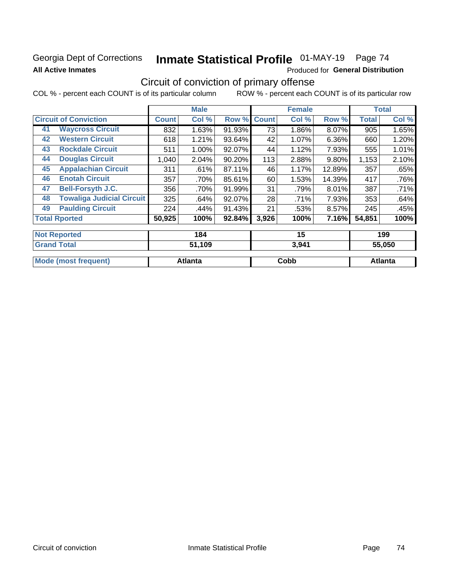### Georgia Dept of Corrections **All Active Inmates**

# Inmate Statistical Profile 01-MAY-19 Page 74

Produced for General Distribution

# Circuit of conviction of primary offense

|                                        |              | <b>Male</b> |        |              | <b>Female</b> |          |        | <b>Total</b> |
|----------------------------------------|--------------|-------------|--------|--------------|---------------|----------|--------|--------------|
| <b>Circuit of Conviction</b>           | <b>Count</b> | Col %       | Row %  | <b>Count</b> | Col %         | Row %    | Total  | Col %        |
| <b>Waycross Circuit</b><br>41          | 832          | 1.63%       | 91.93% | 73           | 1.86%         | 8.07%    | 905    | 1.65%        |
| <b>Western Circuit</b><br>42           | 618          | 1.21%       | 93.64% | 42           | $1.07\%$      | 6.36%    | 660    | 1.20%        |
| <b>Rockdale Circuit</b><br>43          | 511          | 1.00%       | 92.07% | 44           | 1.12%         | 7.93%    | 555    | 1.01%        |
| <b>Douglas Circuit</b><br>44           | 1,040        | 2.04%       | 90.20% | 113          | 2.88%         | $9.80\%$ | 1,153  | 2.10%        |
| <b>Appalachian Circuit</b><br>45       | 311          | .61%        | 87.11% | 46           | 1.17%         | 12.89%   | 357    | .65%         |
| <b>Enotah Circuit</b><br>46            | 357          | .70%        | 85.61% | 60           | 1.53%         | 14.39%   | 417    | .76%         |
| 47<br><b>Bell-Forsyth J.C.</b>         | 356          | .70%        | 91.99% | 31           | .79%          | 8.01%    | 387    | .71%         |
| <b>Towaliga Judicial Circuit</b><br>48 | 325          | .64%        | 92.07% | 28           | .71%          | 7.93%    | 353    | .64%         |
| <b>Paulding Circuit</b><br>49          | 224          | .44%        | 91.43% | 21           | .53%          | 8.57%    | 245    | .45%         |
| <b>Total Rported</b>                   | 50,925       | 100%        | 92.84% | 3,926        | 100%          | 7.16%    | 54,851 | 100%         |
| <b>Not Reported</b>                    |              | 184         |        |              | 15            |          |        | 199          |
| Concert Tradell                        |              | 21 JAO      |        |              |               |          |        | PP APA       |

| <b>Gran</b><br>⊺otaï        | 51,109         | 3,941 | 55.050  |
|-----------------------------|----------------|-------|---------|
| <b>Mode (most frequent)</b> | <b>Atlanta</b> | Cobb  | Atlanta |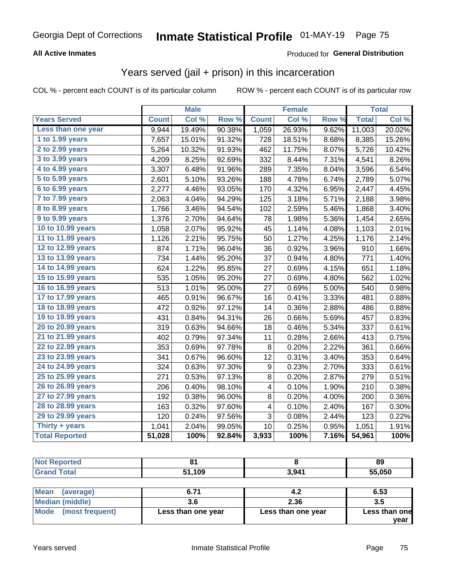### **All Active Inmates**

#### Produced for **General Distribution**

## Years served (jail + prison) in this incarceration

|                              |              | <b>Male</b> |        |              | <b>Female</b> |                  |              | <b>Total</b> |
|------------------------------|--------------|-------------|--------|--------------|---------------|------------------|--------------|--------------|
| <b>Years Served</b>          | <b>Count</b> | Col %       | Row %  | <b>Count</b> | Col %         | Row <sub>%</sub> | <b>Total</b> | Col%         |
| Less than one year           | 9,944        | 19.49%      | 90.38% | 1,059        | 26.93%        | 9.62%            | 11,003       | 20.02%       |
| 1 to 1.99 years              | 7,657        | 15.01%      | 91.32% | 728          | 18.51%        | 8.68%            | 8,385        | 15.26%       |
| $2$ to 2.99 years            | 5,264        | 10.32%      | 91.93% | 462          | 11.75%        | 8.07%            | 5,726        | 10.42%       |
| $3$ to $3.99$ years          | 4,209        | 8.25%       | 92.69% | 332          | 8.44%         | 7.31%            | 4,541        | 8.26%        |
| $\overline{4}$ to 4.99 years | 3,307        | 6.48%       | 91.96% | 289          | 7.35%         | 8.04%            | 3,596        | 6.54%        |
| 5 to 5.99 years              | 2,601        | 5.10%       | 93.26% | 188          | 4.78%         | 6.74%            | 2,789        | 5.07%        |
| 6 to 6.99 years              | 2,277        | 4.46%       | 93.05% | 170          | 4.32%         | 6.95%            | 2,447        | 4.45%        |
| 7 to 7.99 years              | 2,063        | 4.04%       | 94.29% | 125          | 3.18%         | 5.71%            | 2,188        | 3.98%        |
| <b>8 to 8.99 years</b>       | 1,766        | 3.46%       | 94.54% | 102          | 2.59%         | 5.46%            | 1,868        | 3.40%        |
| 9 to 9.99 years              | 1,376        | 2.70%       | 94.64% | 78           | 1.98%         | 5.36%            | 1,454        | 2.65%        |
| 10 to 10.99 years            | 1,058        | 2.07%       | 95.92% | 45           | 1.14%         | 4.08%            | 1,103        | 2.01%        |
| 11 to 11.99 years            | 1,126        | 2.21%       | 95.75% | 50           | 1.27%         | 4.25%            | 1,176        | 2.14%        |
| 12 to 12.99 years            | 874          | 1.71%       | 96.04% | 36           | 0.92%         | 3.96%            | 910          | 1.66%        |
| 13 to 13.99 years            | 734          | 1.44%       | 95.20% | 37           | 0.94%         | 4.80%            | 771          | 1.40%        |
| 14 to 14.99 years            | 624          | 1.22%       | 95.85% | 27           | 0.69%         | 4.15%            | 651          | 1.18%        |
| 15 to 15.99 years            | 535          | 1.05%       | 95.20% | 27           | 0.69%         | 4.80%            | 562          | 1.02%        |
| 16 to 16.99 years            | 513          | 1.01%       | 95.00% | 27           | 0.69%         | 5.00%            | 540          | 0.98%        |
| 17 to 17.99 years            | 465          | 0.91%       | 96.67% | 16           | 0.41%         | 3.33%            | 481          | 0.88%        |
| 18 to 18.99 years            | 472          | 0.92%       | 97.12% | 14           | 0.36%         | 2.88%            | 486          | 0.88%        |
| 19 to 19.99 years            | 431          | 0.84%       | 94.31% | 26           | 0.66%         | 5.69%            | 457          | 0.83%        |
| 20 to 20.99 years            | 319          | 0.63%       | 94.66% | 18           | 0.46%         | 5.34%            | 337          | 0.61%        |
| 21 to 21.99 years            | 402          | 0.79%       | 97.34% | 11           | 0.28%         | 2.66%            | 413          | 0.75%        |
| 22 to 22.99 years            | 353          | 0.69%       | 97.78% | 8            | 0.20%         | 2.22%            | 361          | 0.66%        |
| 23 to 23.99 years            | 341          | 0.67%       | 96.60% | 12           | 0.31%         | 3.40%            | 353          | 0.64%        |
| 24 to 24.99 years            | 324          | 0.63%       | 97.30% | 9            | 0.23%         | 2.70%            | 333          | 0.61%        |
| 25 to 25.99 years            | 271          | 0.53%       | 97.13% | 8            | 0.20%         | 2.87%            | 279          | 0.51%        |
| 26 to 26.99 years            | 206          | 0.40%       | 98.10% | 4            | 0.10%         | 1.90%            | 210          | 0.38%        |
| 27 to 27.99 years            | 192          | 0.38%       | 96.00% | 8            | 0.20%         | 4.00%            | 200          | 0.36%        |
| 28 to 28.99 years            | 163          | 0.32%       | 97.60% | 4            | 0.10%         | 2.40%            | 167          | 0.30%        |
| 29 to 29.99 years            | 120          | 0.24%       | 97.56% | 3            | 0.08%         | 2.44%            | 123          | 0.22%        |
| Thirty + years               | 1,041        | 2.04%       | 99.05% | 10           | 0.25%         | 0.95%            | 1,051        | 1.91%        |
| <b>Total Reported</b>        | 51,028       | 100%        | 92.84% | 3,933        | 100%          | 7.16%            | 54,961       | 100%         |

| тео   | .           | 89     |
|-------|-------------|--------|
| `nta. | ,109<br>E 4 | 55,050 |

| <b>Mean</b><br>(average) | 6.71               | 4.2                | 6.53          |
|--------------------------|--------------------|--------------------|---------------|
| Median (middle)          |                    | 2.36               | 3.5           |
| Mode<br>(most frequent)  | Less than one year | Less than one year | Less than one |
|                          |                    |                    | year          |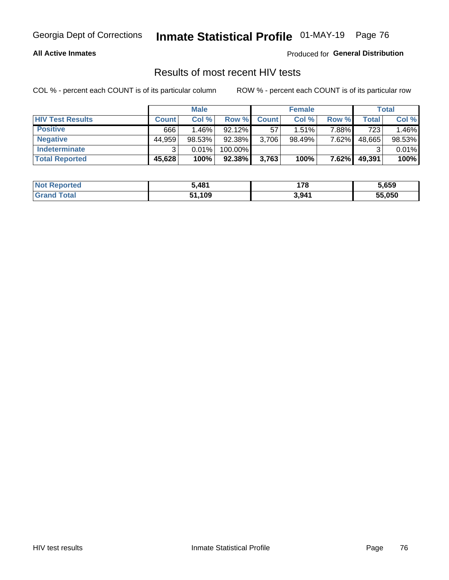#### **All Active Inmates**

Produced for **General Distribution**

### Results of most recent HIV tests

|                         | <b>Male</b>  |          |           |              | <b>Female</b> | Total |        |        |
|-------------------------|--------------|----------|-----------|--------------|---------------|-------|--------|--------|
| <b>HIV Test Results</b> | <b>Count</b> | Col%     | Row %I    | <b>Count</b> | Col %         | Row % | Total  | Col %  |
| <b>Positive</b>         | 666          | $1.46\%$ | $92.12\%$ | 57           | $1.51\%$      | 7.88% | 723    | 1.46%  |
| <b>Negative</b>         | 44,959       | 98.53%   | 92.38%    | 3,706        | 98.49%        | 7.62% | 48,665 | 98.53% |
| Indeterminate           | ົ            | 0.01%    | 100.00%   |              |               |       |        | 0.01%  |
| <b>Total Reported</b>   | 45,628       | 100%     | $92.38\%$ | 3,763        | 100%          | 7.62% | 49,391 | 100%   |

| <b>Not Reported</b> | 5,481  | 170   | 5,659  |
|---------------------|--------|-------|--------|
| Total<br>' Grand    | 51,109 | 3,941 | 55,050 |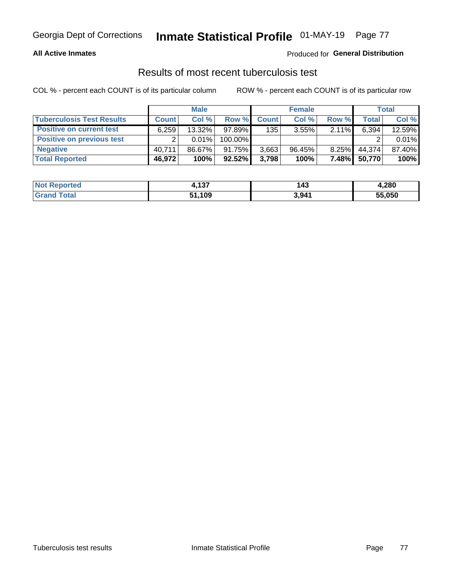#### **All Active Inmates**

#### Produced for **General Distribution**

### Results of most recent tuberculosis test

|                                  | <b>Male</b>  |        |         |              | <b>Female</b> | Total    |        |        |
|----------------------------------|--------------|--------|---------|--------------|---------------|----------|--------|--------|
| <b>Tuberculosis Test Results</b> | <b>Count</b> | Col%   | Row %   | <b>Count</b> | Col%          | Row %    | Total  | Col %  |
| <b>Positive on current test</b>  | 6,259        | 13.32% | 97.89%  | 135          | 3.55%         | 2.11%    | 6,394  | 12.59% |
| <b>Positive on previous test</b> |              | 0.01%  | 100.00% |              |               |          |        | 0.01%  |
| <b>Negative</b>                  | 40.711       | 86.67% | 91.75%  | 3,663        | $96.45\%$     | $8.25\%$ | 44,374 | 87.40% |
| <b>Total Reported</b>            | 46,972       | 100%   | 92.52%  | 3,798        | 100%          | 7.48%I   | 50,770 | 100%   |

| <b>Not Reported</b> | <b>A97</b><br>4. IJI | 143   | 4,280  |
|---------------------|----------------------|-------|--------|
| <b>Grand Total</b>  | 51,109               | 3,941 | 55,050 |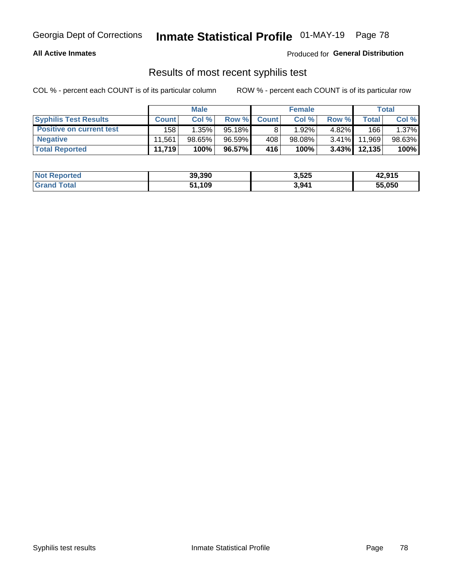#### **All Active Inmates**

Produced for **General Distribution**

### Results of most recent syphilis test

|                                 | <b>Male</b>  |          |           |              | <b>Female</b> | Total    |         |        |
|---------------------------------|--------------|----------|-----------|--------------|---------------|----------|---------|--------|
| <b>Syphilis Test Results</b>    | <b>Count</b> | Col%     | Row %     | <b>Count</b> | Col %         | Row %    | Total I | Col %  |
| <b>Positive on current test</b> | 158          | $1.35\%$ | $95.18\%$ |              | $1.92\%$      | $4.82\%$ | 166     | 1.37%  |
| <b>Negative</b>                 | 11.561       | 98.65%   | 96.59%    | 408          | $98.08\%$     | $3.41\%$ | 11.969  | 98.63% |
| <b>Total Reported</b>           | 11,719       | 100%     | 96.57%    | 416          | 100%          | $3.43\%$ | 12,135  | 100%   |

| <b>Not Reported</b> | 39,390 | 3,525 | 42,915 |
|---------------------|--------|-------|--------|
| <b>Grand Total</b>  | 51,109 | 3,941 | 55,050 |